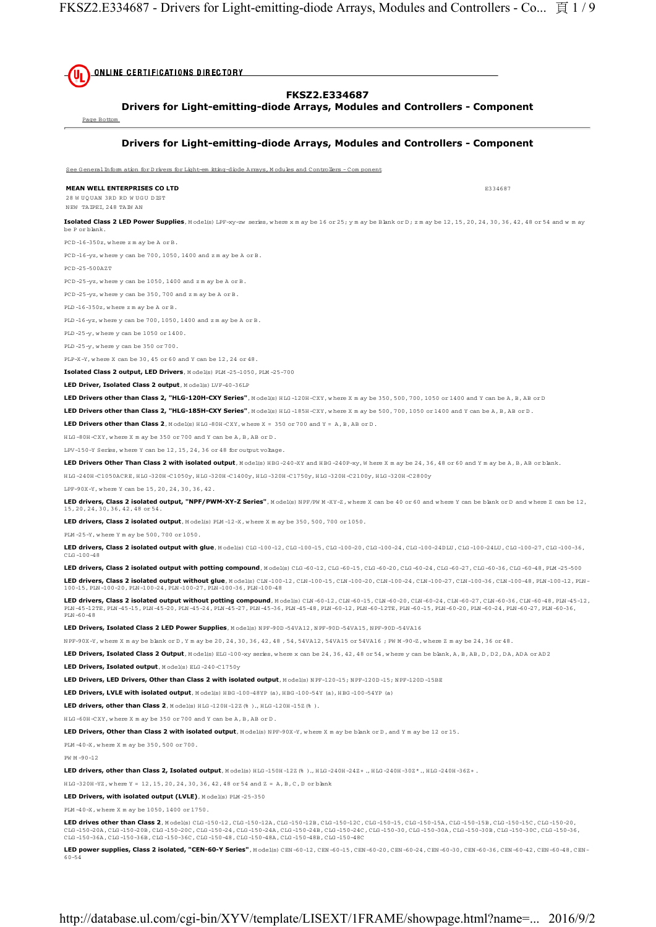**ONLINE CERTIFICATIONS DIRECTORY FKSZ2.E334687 Drivers for Light-emitting-diode Arrays, Modules and Controllers - Component** Page Bottom **Drivers for Light-emitting-diode Arrays, Modules and Controllers - Component** See G eneralInform ation for D rivers for Light-em itting-diode Arrays, M odules and Controllers - Com ponent **MEAN WELL ENTERPRISES CO LTD E334687** 28 W UQUAN 3RD RD W UGU D IST NEW TAIPEI, 248 TAIW AN Isolated Class 2 LED Power Supplies, Model(s) LPF-xy-zw series, where x m ay be 16 or 25; y m ay be Bank or D; z m ay be 12, 15, 20, 24, 30, 36, 42, 48 or 54 and w m ay be P or blank. PCD -16-350z, w here z m ay be A or B. PCD -16-yz, w here y can be 700, 1050, 1400 and z m ay be A or B. PCD -25-500AZT PCD -25-yz, w here y can be 1050, 1400 and z m ay be A or B. PCD -25-yz, w here y can be 350, 700 and z m ay be A or B. PLD -16-350z, w here z m ay be A or B. PLD -16-yz, w here y can be 700, 1050, 1400 and z m ay be A or B. PLD -25-y, w here y can be 1050 or 1400. PLD -25-y, w here y can be 350 or 700. PLP-X-Y, w here X can be 30, 45 or 60 and Y can be 12, 24 or 48. **Isolated Class 2 output, LED Drivers**, M odel(s) PLM -25-1050, PLM -25-700 **LED Driver, Isolated Class 2 output**, Model(s) LVF-40-36LP **LED Drivers other than Class 2, "HLG-120H-CXY Series"**, M odel(s) H LG -120H -CXY, w here X m ay be 350, 500, 700, 1050 or 1400 and Y can be A, B, AB or D LED Drivers other than Class 2, "HLG-185H-CXY Series", Model(s) HLG-185H-CXY, where X m ay be 500, 700, 1050 or 1400 and Y can be A, B, AB or D. **LED Drivers other than Class 2.** M odel(s) HIG-80H-CXY, where  $X = 350$  or 700 and  $Y = A$ , B, AB or D. H LG -80H -CXY, w here X m ay be 350 or 700 and Y can be A, B, AB or D . LPV-150-Y Series, w here Y can be 12, 15, 24, 36 or 48 for output voltage. LED Drivers Other Than Class 2 with isolated output, Model(s) HBG-240-XY and HBG-240P-xy, W here X m ay be 24, 36, 48 or 60 and Y m ay be A, B, AB or blank. H LG -240H -C1050ACRE, H LG -320H -C1050y, H LG -320H -C1400y, H LG -320H -C1750y, H LG -320H -C2100y, H LG -320H -C2800y LPF-90X-Y, w here Y can be 15, 20, 24, 30, 36, 42. LED drivers, Class 2 isolated output, "NPF/PWM-XY-Z Series", Model(s) NPF/PW M-XY-Z, where X can be 40 or 60 and where Y can be blank or D and where Z can be 12, 15, 20, 24, 30, 36, 42, 48 or 54. LED drivers, Class 2 isolated output, Model(s) PLM-12-X, where X m ay be 350, 500, 700 or 1050. PLM -25-Y, w here Y m ay be 500, 700 or 1050. **LED drivers, Class 2 isolated output with glue**, M odel(s) CLG -100-12, CLG -100-15, CLG -100-20, CLG -100-24, CLG -100-24D LU , CLG -100-24LU , CLG -100-27, CLG -100-36, CLG -100-48 **LED drivers, Class 2 isolated output with potting compound**, M odel(s) CLG -60-12, CLG -60-15, CLG -60-20, CLG -60-24, CLG -60-27, CLG -60-36, CLG -60-48, PLM -25-500 **LED drivers, Class 2 isolated output without glue**, M odel(s) CLN -100-12, CLN -100-15, CLN -100-20, CLN -100-24, CLN -100-27, CLN -100-36, CLN -100-48, PLN -100-12, PLN - 100-15, PLN -100-20, PLN -100-24, PLN -100-27, PLN -100-36, PLN -100-48 **LED drivers, Class 2 isolated output without potting compound**, Model(s) CLM-60-12, CLM-60-15, CLM-60-20, CLM-60-24, CLM-60-27, CLM-60-36, CLM-60-48, PLM-45-12,<br>PLM-45-12TE, PLM-45-15, PLM-45-20, PLM-45-24, PLM-45-27, PLM PLN -60-48 **LED Drivers, Isolated Class 2 LED Power Supplies**, M odel(s) N PF-90D -54VA12, N PF-90D -54VA15, N PF-90D -54VA16 N PF-90X-Y, w here X m ay be blank or D , Y m ay be 20, 24, 30, 36, 42, 48 , 54, 54VA12, 54VA15 or 54VA16 ; PW M -90-Z, w here Z m ay be 24, 36 or 48. LED Drivers, Isolated Class 2 Output, Model(s) ELG-100-xy series, where x can be 24, 36, 42, 48 or 54, where y can be blank, A, B, AB, D, D 2, DA, ADA or AD 2 **LED Drivers, Isolated output**, M odel(s) ELG -240-C1750y LED Drivers, LED Drivers, Other than Class 2 with isolated output, Model(s) NPF-120-15; NPF-120D-15; NPF-120D-15BE LED Drivers, LVLE with isolated output, M odel(s) HBG-100-48YP (a), HBG-100-54Y (a), HBG-100-54YP (a) **LED drivers, other than Class 2.** M odel(s) HTG-120H-12Z(%), HTG-120H-15Z(%). H LG -60H -CXY, w here X m ay be 350 or 700 and Y can be A, B, AB or D . **LED Drivers, Other than Class 2 with isolated output**, M odel(s) N PF-90X-Y, where X m ay be blank or D, and Y m ay be 12 or 15. PLM -40-X, w here X m ay be 350, 500 or 700. PW M -90-12 LED drivers, other than Class 2, Isolated output, Model(s) HLG -150H -12Z (% )., HLG -240H -24Z+ ., HLG -240H -30Z\*., HLG -240H -36Z+ . HLG -320H -YZ, where  $Y = 12, 15, 20, 24, 30, 36, 42, 48$  or 54 and  $Z = A, B, C, D$  or blank **LED Drivers, with isolated output (LVLE)**, M odel(s) PLM -25-350 PLM -40-X, w here X m ay be 1050, 1400 or 1750. **LED drives other than Class 2**, M odel(s) CLG -150-12, CLG -150-12A, CLG -150-12B, CLG -150-12C, CLG -150-15, CLG -150-15A, CLG -150-15B, CLG -150-15C, CLG -150-20, CLG-150-20A, CLG-150-20B, CLG-150-20C, CLG-150-24, CLG-150-24A, CLG-150-24B, CLG-150-24C, CLG-150-30, CLG-150-30B, CLG-150-30B, CLG-150-30C, CLG-150-30C, CLG-150-36,<br>CLG-150-36A, CLG-150-36B, CLG-150-36C, CLG-150-48, CLG-1

**LED power supplies, Class 2 isolated, "CEN-60-Y Series"**, M odel(s) CEN -60-12, CEN -60-15, CEN -60-20, CEN -60-24, CEN -60-30, CEN -60-36, CEN -60-42, CEN -60-48, CEN - 60-54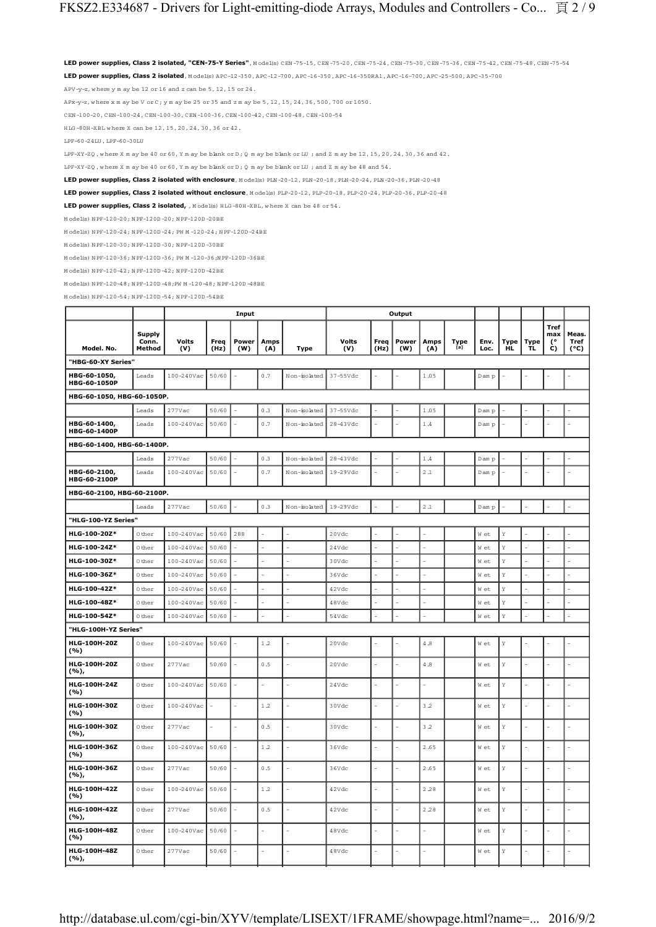**LED power supplies, Class 2 isolated, "CEN-75-Y Series"**, M odel(s) CEN -75-15, CEN -75-20, CEN -75-24, CEN -75-30, CEN -75-36, CEN -75-42, CEN -75-48, CEN -75-54 **LED power supplies, Class 2 isolated**, M odel(s) APC-12-350, APC-12-700, APC-16-350, APC-16-350RA1, APC-16-700, APC-25-500, APC-35-700

APV-y-z, where y m ay be 12 or 16 and z can be  $5$ , 12, 15 or 24.

APx-y-z, w here x m ay be V or C; y m ay be 25 or 35 and z m ay be 5, 12, 15, 24, 36, 500, 700 or 1050.

CEN -100-20, CEN -100-24, CEN -100-30, CEN -100-36, CEN -100-42, CEN -100-48, CEN -100-54

H LG -80H -XBL w here X can be 12, 15, 20, 24, 30, 36 or 42.

LPF-60-24LU , LPF-60-30LU

LPF-XY-ZQ, where X m ay be 40 or 60, Y m ay be blank or D; Q m ay be blank or LU ; and Z m ay be 12, 15, 20, 24, 30, 36 and 42.

LPF-XY-ZQ , w here X m ay be 40 or 60, Y m ay be blank or D ; Q m ay be blank or LU ; and Z m ay be 48 and 54.

**LED power supplies, Class 2 isolated with enclosure**, M odel(s) PLN -20-12, PLN -20-18, PLN -20-24, PLN -20-36, PLN -20-48

**LED nower supplies, Class 2 isolated without enclosure**, M odel(s) PLP-20-12, PLP-20-18, PLP-20-24, PLP-20-36, PLP-20-48

LED power supplies, Class 2 isolated, , Model(s) HLG-80H-XBL, where X can be 48 or 54.

M odel(s) N PF-120-20; N PF-120D -20; N PF-120D -20BE

M odel(s) N PF-120-24; N PF-120D -24; PW M -120-24; N PF-120D -24BE

M odel(s) N PF-120-30; N PF-120D -30; N PF-120D -30BE

M odel(s) N PF-120-36; N PF-120D -36; PW M -120-36;N PF-120D -36BE

 $\texttt{M}$ odel(s)  $\texttt{N} \, \texttt{PF-120-42}$ ;  $\texttt{N} \, \texttt{PF-120D-420D-42BE}$ 

M odel(s) N PF-120-48; N PF-120D -48;PW M -120-48; N PF-120D -48BE

M odel(s) N PF-120-54; N PF-120D -54; N PF-120D -54BE

|                              |                                  |                     |              | Input        |                |              |                     |              | Output       |                |             |              |             |                          |                               |                       |
|------------------------------|----------------------------------|---------------------|--------------|--------------|----------------|--------------|---------------------|--------------|--------------|----------------|-------------|--------------|-------------|--------------------------|-------------------------------|-----------------------|
| Model. No.                   | <b>Supply</b><br>Conn.<br>Method | <b>Volts</b><br>(V) | Freq<br>(Hz) | Power<br>(W) | Amps<br>(A)    | Type         | <b>Volts</b><br>(V) | Freq<br>(Hz) | Power<br>(W) | Amps<br>(A)    | Type<br>[a] | Env.<br>Loc. | Type<br>HL. | <b>Type</b><br><b>TL</b> | <b>Tref</b><br>max<br>70<br>C | Meas.<br>Tref<br>(°C) |
| "HBG-60-XY Series"           |                                  |                     |              |              |                |              |                     |              |              |                |             |              |             |                          |                               |                       |
| HBG-60-1050,<br>HBG-60-1050P | Leads                            | 100-240Vac          | 50/60        |              | 0.7            | Non-isolated | 37-55Vdc            |              |              | 1.05           |             | D am p       |             |                          |                               |                       |
| HBG-60-1050, HBG-60-1050P.   |                                  |                     |              |              |                |              |                     |              |              |                |             |              |             |                          |                               |                       |
|                              | Leads                            | 277Vac              | 50/60        |              | 0.3            | Non-isolated | 37-55Vdc            |              |              | 1.05           |             | Dam p        |             |                          |                               |                       |
| HBG-60-1400,<br>HBG-60-1400P | Leads                            | 100-240Vac          | 50/60        |              | 0.7            | Non-isolated | $28-43Vdc$          |              |              | $1\,\, .4$     |             | D am p       |             |                          |                               |                       |
| HBG-60-1400, HBG-60-1400P.   |                                  |                     |              |              |                |              |                     |              |              |                |             |              |             |                          |                               |                       |
|                              | Leads                            | 277Vac              | 50/60        |              | 0.3            | Non-isolated | 28-43Vdc            |              |              | 1.4            |             | D am p       |             |                          |                               |                       |
| HBG-60-2100,<br>HBG-60-2100P | Leads                            | 100-240Vac          | 50/60        |              | 0.7            | Non-isolated | 19-29Vdc            |              |              | 2.1            |             | D am p       |             |                          |                               |                       |
| HBG-60-2100, HBG-60-2100P.   |                                  |                     |              |              |                |              |                     |              |              |                |             |              |             |                          |                               |                       |
|                              | Leads                            | 277Vac              | 50/60        |              | 0.3            | Non-isolated | 19-29Vdc            |              |              | $2\,$ .1       |             | D am p       |             |                          |                               |                       |
| "HLG-100-YZ Series"          |                                  |                     |              |              |                |              |                     |              |              |                |             |              |             |                          |                               |                       |
| HLG-100-20Z*                 | 0 ther                           | 100-240Vac          | 50/60        | 288          |                |              | 20Vdc               |              |              |                |             | W et         | Y           |                          |                               |                       |
| HLG-100-24Z*                 | 0 ther                           | 100-240Vac          | 50/60        |              |                |              | 24Vdc               |              |              |                |             | W et         | Υ           |                          |                               |                       |
| HLG-100-30Z*                 | 0 ther                           | 100-240Vac          | 50/60        |              |                |              | 30Vdc               | L            |              |                |             | W et         | Υ           |                          | L.                            |                       |
| HLG-100-36Z*                 | 0 ther                           | 100-240Vac          | 50/60        |              |                |              | 36Vdc               |              |              |                |             | W et         | Υ           |                          |                               |                       |
| HLG-100-42Z*                 | 0 ther                           | 100-240Vac          | 50/60        |              |                |              | 42Vdc               |              |              |                |             | Wet          | Y           |                          |                               |                       |
| HLG-100-48Z*                 | 0 ther                           | 100-240Vac          | 50/60        |              |                |              | 48Vdc               |              |              |                |             | W et         | Υ           |                          |                               |                       |
| HLG-100-54Z*                 | 0 ther                           | 100-240Vac          | 50/60        |              |                |              | 54Vdc               |              |              |                |             | W et         | Y           |                          |                               |                       |
| "HLG-100H-YZ Series"         |                                  |                     |              |              |                |              |                     |              |              |                |             |              |             |                          |                               |                       |
| HLG-100H-20Z<br>(%)          | 0 ther                           | 100-240Vac          | 50/60        |              | 1.2            |              | 20Vdc               |              |              | $4\,.8$        |             | W et         | Y           |                          |                               |                       |
| HLG-100H-20Z<br>(%),         | 0 ther                           | $277$ Vac           | 50/60        |              | 0.5            |              | 20Vdc               |              |              | 4.8            |             | W et         | Y           |                          |                               |                       |
| HLG-100H-24Z<br>(%)          | 0 ther                           | 100-240Vac          | 50/60        | L,           | $\overline{a}$ | ÷,           | 24Vdc               | L.           |              | $\overline{a}$ |             | W et         | Y           |                          | L                             |                       |
| HLG-100H-30Z<br>(%)          | 0 ther                           | 100-240Vac          |              |              | 1.2            |              | 30Vdc               |              |              | 3.2            |             | W et         | Υ           |                          |                               |                       |
| HLG-100H-30Z<br>( %),        | 0 ther                           | 277Vac              |              |              | 0.5            |              | 30Vdc               |              |              | 3.2            |             | W et         | Υ           |                          |                               |                       |
| HLG-100H-36Z<br>(%)          | 0 ther                           | 100-240Vac          | 50/60        | L,           | 1.2            | L.           | 36Vdc               | L,           |              | 2.65           |             | W et         | Y           |                          | L.                            |                       |
| HLG-100H-36Z<br>(%),         | 0 ther                           | $277$ Vac           | 50/60        | L.           | 0.5            |              | 36Vdc               | L.           |              | 2.65           |             | W et         | Y           |                          | L.                            |                       |
| HLG-100H-42Z<br>(%)          | 0 ther                           | 100-240Vac          | 50/60        |              | 1.2            |              | 42Vdc               |              |              | 2.28           |             | W et         | Υ           |                          |                               |                       |
| HLG-100H-42Z<br>(%),         | 0 ther                           | 277Vac              | 50/60        |              | 0.5            |              | 42Vdc               | L            |              | 2.28           |             | W et         | Y           |                          |                               |                       |
| HLG-100H-48Z<br>(%)          | 0 ther                           | 100-240Vac          | 50/60        |              |                |              | 48Vdc               |              |              |                |             | W et         | Y           |                          |                               |                       |
| HLG-100H-48Z<br>(%),         | 0 ther                           | $277$ Vac           | 50/60        |              |                |              | 48Vdc               |              |              |                |             | W et         | Υ           |                          |                               |                       |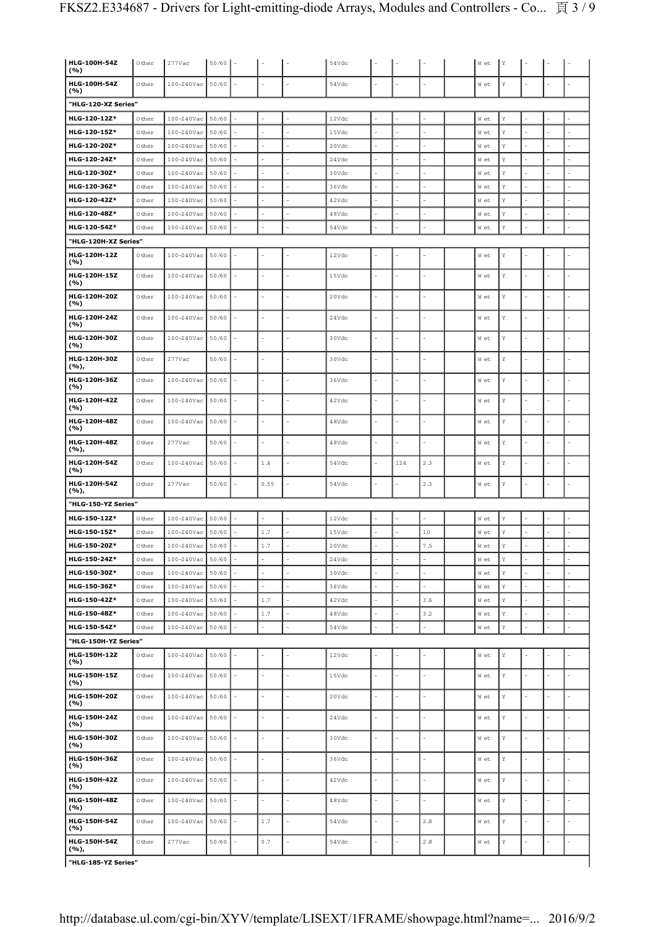| HLG-100H-54Z<br>(%)                               | 0 ther           | $277$ Vac                     | 50/60          |                        |                          |           | 54Vdc          |                          |     |                    | W et                   | Υ      |               |                          |                |
|---------------------------------------------------|------------------|-------------------------------|----------------|------------------------|--------------------------|-----------|----------------|--------------------------|-----|--------------------|------------------------|--------|---------------|--------------------------|----------------|
| HLG-100H-54Z                                      | 0 ther           | 100-240Vac                    | 50/60          |                        |                          |           | 54Vdc          |                          |     |                    | W et                   | Y      |               |                          |                |
| (%)                                               |                  |                               |                |                        |                          |           |                |                          |     |                    |                        |        |               |                          |                |
| "HLG-120-XZ Series"<br>HLG-120-12Z*               | 0 ther           | 100-240Vac                    | 50/60          |                        |                          |           | 12Vdc          |                          |     |                    | W et                   | Y      |               |                          |                |
| HLG-120-15Z*                                      | 0 ther           | 100-240Vac                    | 50/60          |                        |                          |           | 15Vdc          |                          |     |                    | W et                   | Y      |               |                          |                |
| HLG-120-20Z*                                      | 0 ther           | 100-240Vac                    | 50/60          |                        |                          |           | 20Vdc          |                          |     | L,                 | W et                   | Υ      |               | L.                       |                |
| HLG-120-24Z*                                      | 0 ther           | 100-240Vac                    | 50/60          |                        |                          |           | 24Vdc          | $\overline{a}$           |     | L,                 | W et                   | Y      |               | ÷                        |                |
| HLG-120-30Z*                                      | 0 ther           | 100-240Vac                    | 50/60          |                        |                          |           | 30Vdc          |                          |     |                    | W et                   | Y      |               |                          |                |
| HLG-120-36Z*                                      | 0 ther           | 100-240Vac                    | 50/60          |                        |                          |           | 36Vdc          | ۳                        |     |                    | W et                   | Y      |               |                          |                |
| HLG-120-42Z*                                      | 0 ther           | 100-240Vac                    | 50/60          |                        |                          |           | 42Vdc          | L.                       |     | L                  | W et                   | Y      |               | L                        |                |
| HLG-120-48Z*                                      | 0 ther           | 100-240Vac                    | 50/60          |                        |                          |           | 48Vdc          |                          |     |                    | W et                   | Y      |               | L                        | L,             |
| HLG-120-54Z*                                      | 0 ther           | 100-240Vac                    | 50/60          |                        |                          |           | 54Vdc          |                          |     |                    | W et                   | Υ      |               | L,                       |                |
| "HLG-120H-XZ Series"                              |                  |                               |                |                        |                          |           |                |                          |     |                    |                        |        |               |                          |                |
| HLG-120H-12Z<br>(%)                               | 0 ther           | 100-240Vac                    | 50/60          |                        |                          |           | 12Vdc          |                          |     |                    | W et                   | Y      |               | L                        |                |
| HLG-120H-15Z<br>(%)                               | 0 ther           | $100 - 240$ Vac               | 50/60          | ä,                     | $\overline{a}$           |           | 15Vdc          | $\overline{a}$           |     | L                  | W et                   | Υ      |               | L.                       |                |
| HLG-120H-20Z<br>(%)                               | 0 ther           | 100-240Vac                    | 50/60          | L,                     |                          |           | 20Vdc          |                          |     |                    | W et                   | Y      |               |                          |                |
| HLG-120H-24Z<br>(%)                               | 0 ther           | $100 - 240$ Vac               | 50/60          | ÷                      | $\overline{a}$           |           | 24Vdc          | ÷                        |     | L,                 | W et                   | Y      | ۳             | $\overline{\phantom{a}}$ | i.             |
| HLG-120H-30Z<br>(%)                               | 0 ther           | 100-240Vac                    | 50/60          |                        |                          |           | 30Vdc          |                          |     |                    | W et                   | Y      |               |                          |                |
| HLG-120H-30Z<br>(%),                              | 0 ther           | $277$ Vac                     | 50/60          |                        | ۳                        |           | 30Vdc          | L.                       |     | Ĺ,                 | W et                   | Y      |               | L,                       | L              |
| HLG-120H-36Z<br>(%)                               | 0 ther           | 100-240Vac                    | 50/60          | L,                     | L                        |           | 36Vdc          | ä,                       |     | L,                 | W et                   | Y      | L.            | L,                       | L,             |
| HLG-120H-42Z<br>(%)                               | 0 ther           | 100-240Vac                    | 50/60          | $\overline{a}$         | L,                       |           | 42Vdc          | $\overline{a}$           |     |                    | W et                   | Y      |               | L,                       |                |
| HLG-120H-48Z<br>(%)                               | 0 ther           | $100 - 240$ Vac               | 50/60          | L.                     | $\overline{a}$           |           | 48Vdc          | $\overline{a}$           |     | L                  | W et                   | Υ      |               | L,                       | L              |
| <b>HLG-120H-48Z</b><br>(%),                       | 0 ther           | $277$ Vac                     | 50/60          | L,                     |                          |           | 48Vdc          |                          |     |                    | W et                   | Y      |               | L,                       |                |
| HLG-120H-54Z<br>(%)                               | 0 ther           | 100-240Vac                    | 50/60          | ä,                     | 1.4                      |           | 54Vdc          | ÷                        | 124 | 2.3                | W et                   | Y      |               | ä,                       | L.             |
| HLG-120H-54Z<br>(%),                              | 0 ther           | 277Vac                        | 50/60          |                        | 0.55                     |           | 54Vdc          |                          |     | 2.3                | W et                   | Υ      |               | L                        |                |
| "HLG-150-YZ Series"                               |                  |                               |                |                        |                          |           |                |                          |     |                    |                        |        |               |                          |                |
| HLG-150-12Z*                                      | 0 ther           | $100 - 240$ Vac               | 50/60          |                        |                          |           | 12Vdc          |                          |     |                    | W et                   | Y      |               |                          |                |
| HLG-150-15Z*                                      | 0 ther           | 100-240Vac                    | 50/60          |                        | $1.7$                    |           | 15Vdc          | $\sim$                   |     | 10                 | W et                   | Υ      |               | ÷,                       | L,             |
| HLG-150-20Z*                                      | 0 ther           | $100 - 240$ Vac 50/60         |                | i.                     | $1.7\,$                  | L.        | 20Vdc          | ÷.                       |     | $7\,.5$            | W et                   | Y      | ä,            | ÷,                       |                |
| HLG-150-24Z*                                      | 0 ther           | 100-240Vac                    | 50/60          |                        | L,                       | ÷,        | 24Vdc          | ÷,                       |     | ÷,                 | W et                   | Y      |               |                          |                |
| HLG-150-30Z*                                      | 0 ther           | $100 - 240$ Vac               | 50/60          |                        | L.                       | L,        | 30Vdc          | L.                       |     | ÷                  | W et                   | Y      |               | ä,                       |                |
| HLG-150-36Z*                                      | 0 ther           | $100 - 240$ Vac               | 50/60          | ä,                     | L.                       | L.        | 36Vdc          | ÷.                       |     | ÷.                 | W et                   | Y      |               | ä,                       |                |
| HLG-150-42Z*                                      | 0 ther           | $100 - 240$ Vac               | 50/60          | L.                     | $1.7\,$                  | L.        | 42Vdc          | L,                       |     | 3.6                | W et                   | Y      |               | ÷,                       |                |
| HLG-150-48Z*                                      | 0 ther           | 100-240Vac 50/60              |                |                        | $1.7\,$                  |           | 48Vdc          |                          |     | 3.2                | W et                   | Y      |               | L,                       |                |
| HLG-150-54Z*                                      | 0 ther           | 100-240Vac                    | 50/60          |                        | $\overline{a}$           |           | 54Vdc          | ÷.                       |     | $\overline{a}$     | $\texttt{W}\xspace$ et | Y      |               | ÷,                       | $\overline{a}$ |
| "HLG-150H-YZ Series"<br>HLG-150H-12Z              |                  |                               |                |                        |                          |           |                |                          |     |                    |                        |        |               |                          |                |
| (%)<br>HLG-150H-15Z                               | 0 ther<br>0 ther | 100-240Vac<br>$100 - 240$ Vac | 50/60<br>50/60 | L.                     |                          |           | 12Vdc<br>15Vdc | L.                       |     | L                  | W et<br>W et           | Y<br>Y |               | L,                       |                |
| (%)<br><b>HLG-150H-20Z</b>                        | 0 ther           | $100 - 240$ Vac               | 50/60          | ÷,                     | ÷,                       | Ē,        | 20Vdc          | ÷.                       |     | ÷,                 | W et                   | Y      | ä,            | ÷,                       | ä,             |
| ( %)<br>HLG-150H-24Z                              | 0 ther           | 100-240Vac                    | 50/60          | ÷,                     | L.                       | ä,        | 24Vdc          | ÷.                       |     | ÷,                 | W et                   | Y      | ä,            | ÷,                       | L.             |
| (%)<br>HLG-150H-30Z                               | 0 ther           | $100 - 240$ Vac               | 50/60          | $\overline{a}$         | $\overline{a}$           | Ē,        | 30Vdc          | $\overline{\phantom{a}}$ |     | L,                 | W et                   |        |               | ÷,                       |                |
| (%)<br>HLG-150H-36Z                               | 0 ther           |                               |                |                        | $\overline{a}$           | ÷,        | 36Vdc          | ÷.                       |     | Ĭ.                 |                        | Υ      |               | ÷,                       |                |
| ( %)                                              |                  | $100 - 240$ Vac               | 50/60          | $\bar{ }$<br>$\bar{a}$ | $\overline{\phantom{a}}$ | ä,        |                | ÷                        | L.  | ä,                 | W et                   | Y      | ä,            | $\bar{a}$                | $\overline{a}$ |
| HLG-150H-42Z<br>(%)                               | 0 ther           | 100-240Vac                    | 50/60          |                        |                          |           | 42Vdc          | L.                       |     |                    | W et                   | Υ      |               |                          |                |
| <b>HLG-150H-48Z</b><br>(%)<br><b>HLG-150H-54Z</b> | 0 ther           | 100-240Vac                    | 50/60          | L,                     | $\overline{a}$           |           | 48Vdc          | L,                       |     |                    | W et                   | Y      |               | ÷,<br>L,                 |                |
| (%)<br><b>HLG-150H-54Z</b>                        | 0 ther<br>0 ther | 100-240Vac<br>$277$ Vac       | 50/60<br>50/60 | ÷,                     | $1.7\,$<br>0.7           | $\bar{a}$ | 54Vdc<br>54Vdc | $\sim$                   |     | $2\ .8$<br>$2.8\,$ | W et                   | Y<br>Y | $\frac{1}{2}$ | $\overline{\phantom{a}}$ | $\sim$         |
| (%),<br>"HLG-185-YZ Series"                       |                  |                               |                |                        |                          |           |                |                          |     |                    | W et                   |        |               |                          |                |
|                                                   |                  |                               |                |                        |                          |           |                |                          |     |                    |                        |        |               |                          |                |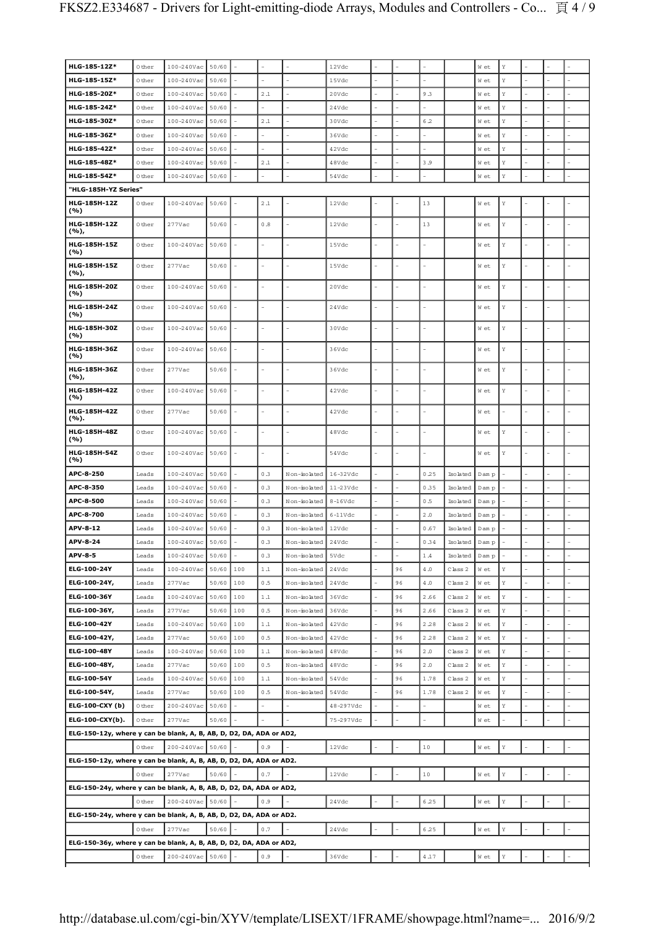| HLG-185-12Z*                                                        | 0 ther         | 100-240Vac              | 50/60          |            |                |                              | 12Vdc          |                |          |              |                    | W et         | Y           |    |  |
|---------------------------------------------------------------------|----------------|-------------------------|----------------|------------|----------------|------------------------------|----------------|----------------|----------|--------------|--------------------|--------------|-------------|----|--|
| HLG-185-15Z*                                                        | 0 ther         | 100-240Vac              | 50/60          |            |                |                              | 15Vdc          |                |          |              |                    | W et         | $\mathbf Y$ |    |  |
| HLG-185-20Z*                                                        | 0 ther         | 100-240Vac              | 50/60          |            | 2.1            |                              | 20Vdc          | $\overline{a}$ |          | 9.3          |                    | W et         | Υ           |    |  |
| HLG-185-24Z*                                                        | 0 ther         | 100-240Vac              | 50/60          |            |                |                              | 24Vdc          |                |          |              |                    | W et         | Y           |    |  |
| HLG-185-30Z*                                                        | 0 ther         | 100-240Vac              | 50/60          |            | 2.1            |                              | 30Vdc          | L              |          | 6.2          |                    | W et         | Y           |    |  |
| HLG-185-36Z*                                                        | 0 ther         | 100-240Vac              | 50/60          |            |                |                              | 36Vdc          |                |          |              |                    | W et         | Υ           |    |  |
| HLG-185-42Z*                                                        | 0 ther         | 100-240Vac              | 50/60          |            |                |                              | 42Vdc          |                |          |              |                    | W et         | Υ           |    |  |
| HLG-185-48Z*                                                        | 0 ther         | 100-240Vac              | 50/60          |            | 2.1            |                              | 48Vdc          |                |          | 3.9          |                    | W et         | Y           |    |  |
| HLG-185-54Z*                                                        | 0 ther         | 100-240Vac              | 50/60          |            |                |                              | 54Vdc          |                |          |              |                    | W et         | $\mathbf Y$ |    |  |
| "HLG-185H-YZ Series"                                                |                |                         |                |            |                |                              |                |                |          |              |                    |              |             |    |  |
| <b>HLG-185H-12Z</b><br>(%)                                          | 0 ther         | 100-240Vac              | 50/60          |            | 2.1            |                              | 12Vdc          |                |          | 13           |                    | W et         | $\mathbf Y$ |    |  |
| HLG-185H-12Z<br>(%),                                                | 0 ther         | 277Vac                  | 50/60          |            | 0.8            | ۰                            | 12Vdc          | ÷,             |          | 13           |                    | W et         | $\mathbf Y$ | ٠  |  |
| HLG-185H-15Z<br>(%)                                                 | 0 ther         | 100-240Vac              | 50/60          |            |                | ä,                           | 15Vdc          | L,             |          |              |                    | W et         | Y           |    |  |
| HLG-185H-15Z<br>(%),                                                | 0 ther         | $277$ Vac               | 50/60          |            | L.             |                              | 15Vdc          | L              |          |              |                    | W et         | $\mathbf Y$ |    |  |
| HLG-185H-20Z<br>(%)                                                 | 0 ther         | 100-240Vac              | 50/60          |            |                |                              | 20Vdc          | L.             |          |              |                    | W et         | Y           |    |  |
| <b>HLG-185H-24Z</b><br>(%)                                          | 0 ther         | 100-240Vac              | 50/60          |            |                |                              | 24Vdc          |                |          |              |                    | W et         | Y           |    |  |
| HLG-185H-30Z<br>(%)                                                 | 0 ther         | 100-240Vac              | 50/60          |            |                |                              | 30Vdc          |                |          |              |                    | W et         | $\mathbf Y$ |    |  |
| HLG-185H-36Z<br>(%)                                                 | 0 ther         | 100-240Vac              | 50/60          |            | L.             | L.                           | 36Vdc          | Ĭ.             |          |              |                    | W et         | Y           |    |  |
| HLG-185H-36Z<br>(%),                                                | 0 ther         | $277$ Vac               | 50/60          |            | L.             | ٠                            | 36Vdc          | L,             |          |              |                    | W et         | Y           |    |  |
| HLG-185H-42Z<br>(%)                                                 | 0 ther         | 100-240Vac              | 50/60          |            |                | ۰                            | 42Vdc          | L,             |          |              |                    | W et         | $\mathbf Y$ |    |  |
| <b>HLG-185H-42Z</b><br>(%).                                         | 0 ther         | 277Vac                  | 50/60          |            |                |                              | 42Vdc          |                |          |              |                    | W et         |             |    |  |
| HLG-185H-48Z<br>(%)                                                 | 0 ther         | 100-240Vac              | 50/60          |            | ÷              |                              | 48Vdc          | ä,             |          |              |                    | W et         | Y           |    |  |
| HLG-185H-54Z<br>(%)                                                 | 0 ther         | 100-240Vac              | 50/60          |            |                |                              | 54Vdc          |                |          |              |                    | W et         | Y           |    |  |
| APC-8-250                                                           | Leads          | 100-240Vac              | 50/60          |            | 0.3            | Non-isolated                 | 16-32Vdc       |                |          | 0.25         | Isolated           | D am p       |             |    |  |
| APC-8-350                                                           | Leads          | 100-240Vac              | 50/60          |            | 0.3            | Non-solated                  | 11-23Vdc       |                |          | 0.35         | Isolated           | D am p       |             |    |  |
| APC-8-500                                                           | Leads          | 100-240Vac              | 50/60          |            | 0.3            | Non-isolated                 | $8-16Vdc$      |                |          | 0.5          | Isolated           | D am p       |             |    |  |
| APC-8-700                                                           | Leads          | 100-240Vac              | 50/60          |            | 0.3            | Non-isolated                 | $6-11Vdc$      |                |          | 2.0          | Isolated           | D am p       |             |    |  |
| APV-8-12                                                            | Leads          | 100-240Vac              | 50/60          |            | 0.3            | Non-isolated                 | 12Vdc          | ÷,             |          | 0.67         | Isolated           | Dam p        |             |    |  |
| APV-8-24                                                            | Leads          | 100-240Vac              | 50/60          |            | 0.3            | Non-isolated                 | 24Vdc          |                |          | 0.34         | Isolated           | Dam p        |             |    |  |
| <b>APV-8-5</b>                                                      | Leads          | 100-240Vac 50/60        |                | ä,         | 0.3            | Non-isolated                 | 5Vdc           | $\overline{a}$ |          | 1.4          | Isolated           | D am p       | $\mathbf Y$ |    |  |
| ELG-100-24Y<br>ELG-100-24Y,                                         | Leads<br>Leads | 100-240Vac<br>$277$ Vac | 50/60<br>50/60 | 100<br>100 | $1\,.1$<br>0.5 | Non-isolated<br>Non-isolated | 24Vdc<br>24Vdc | L,             | 96<br>96 | $4.0$<br>4.0 | Class 2<br>Class 2 | W et<br>W et | Υ           |    |  |
| ELG-100-36Y                                                         | Leads          | $100 - 240$ Vac         | 50/60          | 100        | 1.1            | Non-isolated                 | 36Vdc          | L,             | 96       | 2.66         | Class 2            | W et         | Υ           |    |  |
| ELG-100-36Y,                                                        | Leads          | $277$ Vac               | 50/60          | 100        | 0.5            | Non-isolated                 | 36Vdc          | L.             | 96       | 2.66         | Class 2            | W et         | $\mathbf Y$ |    |  |
| ELG-100-42Y                                                         | Leads          | 100-240Vac              | 50/60          | 100        | 1.1            | Non-isolated                 | 42Vdc          | L,             | 96       | 2.28         | Class 2            | W et         | Υ           |    |  |
| ELG-100-42Y,                                                        | Leads          | $277$ Vac               | 50/60          | 100        | 0.5            | Non-isolated                 | 42Vdc          | ÷,             | 96       | 2.28         | Class 2            | W et         | Υ           |    |  |
| ELG-100-48Y                                                         | Leads          | 100-240Vac              | 50/60          | 100        | 1.1            | Non-isolated                 | 48Vdc          | L.             | 96       | 2.0          | Class 2            | W et         | $\mathbf Y$ |    |  |
| ELG-100-48Y,                                                        | Leads          | $277$ Vac               | 50/60          | 100        | 0.5            | Non-isolated                 | 48Vdc          |                | 96       | 2.0          | Class 2            | W et         | Y           |    |  |
| ELG-100-54Y                                                         | Leads          | 100-240Vac              | 50/60          | 100        | 1.1            | Non-isolated                 | 54Vdc          |                | 96       | 1.78         | Class 2            | W et         | Υ           |    |  |
| ELG-100-54Y,                                                        | Leads          | $277$ Vac               | 50/60          | 100        | 0.5            | Non-isolated                 | 54Vdc          | L,             | 96       | 1.78         | Class 2            | W et         | Υ           |    |  |
| <b>ELG-100-CXY (b)</b>                                              | 0 ther         | 200-240Vac              | 50/60          |            | ÷.             |                              | 48-297Vdc      | ÷.             |          | ÷.           |                    | W et         | Υ           | ÷  |  |
| ELG-100-CXY(b).                                                     | 0 ther         | $277$ Vac               | 50/60          |            |                |                              | 75-297Vdc      |                |          |              |                    | W et         |             | ä, |  |
| ELG-150-12y, where y can be blank, A, B, AB, D, D2, DA, ADA or AD2, |                |                         |                |            |                |                              |                |                |          |              |                    |              |             |    |  |
|                                                                     | 0 ther         | 200-240Vac 50/60        |                |            | 0.9            |                              | 12Vdc          |                |          | $10$         |                    | W et         | $\mathbf Y$ |    |  |
| ELG-150-12y, where y can be blank, A, B, AB, D, D2, DA, ADA or AD2. |                |                         |                |            |                |                              |                |                |          |              |                    |              |             |    |  |
|                                                                     | 0 ther         | $277$ Vac               | 50/60          |            | 0.7            |                              | 12Vdc          |                |          | 10           |                    | W et         | $\mathbf Y$ |    |  |
| ELG-150-24y, where y can be blank, A, B, AB, D, D2, DA, ADA or AD2, |                |                         |                |            |                |                              |                |                |          |              |                    |              |             |    |  |
|                                                                     | 0 ther         | 200-240Vac 50/60        |                |            | 0.9            |                              | 24Vdc          |                |          | 6.25         |                    | W et         | Υ           |    |  |
| ELG-150-24y, where y can be blank, A, B, AB, D, D2, DA, ADA or AD2. |                |                         |                |            |                |                              |                |                |          |              |                    |              |             |    |  |
|                                                                     | 0 ther         | $277$ Vac               | 50/60          |            | 0.7            |                              | 24Vdc          |                |          | 6.25         |                    | W et         | Y           |    |  |
| ELG-150-36y, where y can be blank, A, B, AB, D, D2, DA, ADA or AD2, |                |                         |                |            |                |                              |                |                |          |              |                    |              |             |    |  |
|                                                                     | 0 ther         | 200-240Vac 50/60        |                |            | 0.9            |                              | 36Vdc          | ÷.             |          | 4.17         |                    | W et         | $\mathbf Y$ |    |  |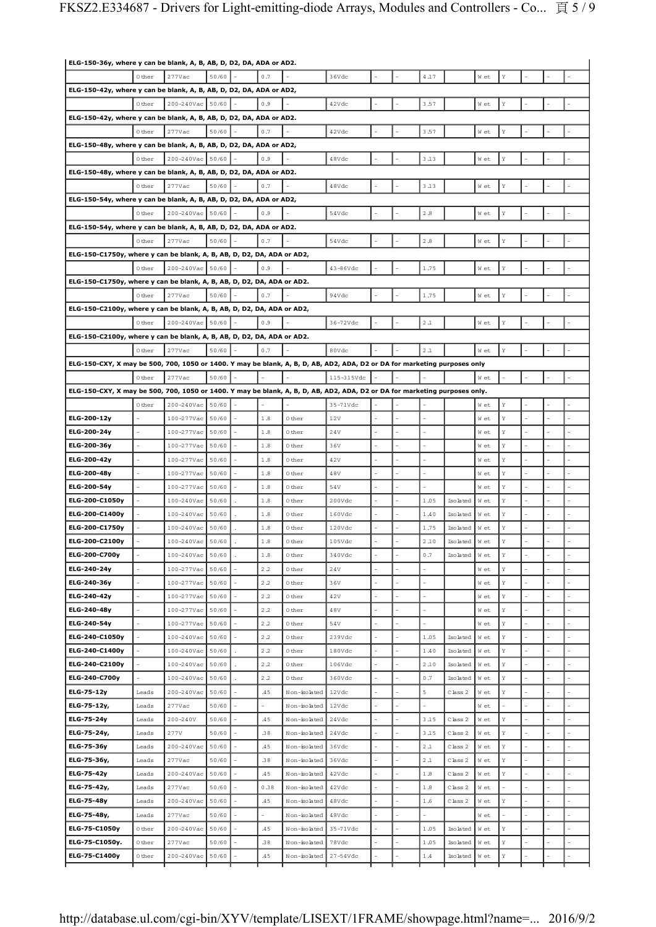| ELG-150-36y, where y can be blank, A, B, AB, D, D2, DA, ADA or AD2.                                                        |           |                  |       |    |          |              |                    |                |          |                 |      |    |   |  |
|----------------------------------------------------------------------------------------------------------------------------|-----------|------------------|-------|----|----------|--------------|--------------------|----------------|----------|-----------------|------|----|---|--|
|                                                                                                                            | 0 ther    | 277Vac           | 50/60 |    | 0.7      |              | 36Vdc              |                | 4.17     |                 | W et | Υ  |   |  |
| ELG-150-42y, where y can be blank, A, B, AB, D, D2, DA, ADA or AD2,                                                        |           |                  |       |    |          |              |                    |                |          |                 |      |    |   |  |
|                                                                                                                            | 0 ther    | 200-240Vac 50/60 |       |    | 0.9      |              | 42Vdc              |                | 3.57     |                 | W et | Υ  |   |  |
| ELG-150-42y, where y can be blank, A, B, AB, D, D2, DA, ADA or AD2.                                                        |           |                  |       |    |          |              |                    |                |          |                 |      |    |   |  |
|                                                                                                                            | 0 ther    | 277Vac           | 50/60 |    | 0.7      |              | 42Vdc              |                | 3.57     |                 | W et | Υ  |   |  |
| ELG-150-48y, where y can be blank, A, B, AB, D, D2, DA, ADA or AD2,                                                        |           |                  |       |    |          |              |                    |                |          |                 |      |    |   |  |
|                                                                                                                            | 0 ther    | 200-240Vac 50/60 |       |    | 0.9      |              | 48Vdc              |                | 3.13     |                 | W et | Υ  |   |  |
| ELG-150-48y, where y can be blank, A, B, AB, D, D2, DA, ADA or AD2.                                                        |           |                  |       |    |          |              |                    |                |          |                 |      |    |   |  |
|                                                                                                                            | 0 ther    | 277Vac           | 50/60 |    | 0.7      |              | 48Vdc              |                | 3.13     |                 | W et | Υ  |   |  |
| ELG-150-54y, where y can be blank, A, B, AB, D, D2, DA, ADA or AD2,                                                        |           |                  |       |    |          |              |                    |                |          |                 |      |    |   |  |
|                                                                                                                            | 0 ther    | 200-240Vac 50/60 |       |    | 0.9      |              | 54Vdc              |                | 2.8      |                 | W et | Υ  |   |  |
|                                                                                                                            |           |                  |       |    |          |              |                    |                |          |                 |      |    |   |  |
| ELG-150-54y, where y can be blank, A, B, AB, D, D2, DA, ADA or AD2.                                                        |           |                  |       |    |          |              |                    |                |          |                 |      |    |   |  |
|                                                                                                                            | 0 ther    | $277$ Vac        | 50/60 |    | 0.7      |              | 54Vdc              |                | 2.8      |                 | W et | Υ  |   |  |
| ELG-150-C1750y, where y can be blank, A, B, AB, D, D2, DA, ADA or AD2,                                                     |           |                  |       |    |          |              |                    |                |          |                 |      |    |   |  |
|                                                                                                                            | 0 ther    | 200-240Vac 50/60 |       |    | 0.9      |              | 43-86Vdc           |                | 1.75     |                 | W et | Υ  |   |  |
| ELG-150-C1750y, where y can be blank, A, B, AB, D, D2, DA, ADA or AD2.                                                     |           |                  |       |    |          |              |                    |                |          |                 |      |    |   |  |
|                                                                                                                            | 0 ther    | $277$ Vac        | 50/60 |    | 0.7      |              | 94Vdc              |                | 1.75     |                 | W et | Υ  |   |  |
| ELG-150-C2100y, where y can be blank, A, B, AB, D, D2, DA, ADA or AD2,                                                     |           |                  |       |    |          |              |                    |                |          |                 |      |    |   |  |
|                                                                                                                            | 0 ther    | 200-240Vac 50/60 |       |    | 0.9      |              | 36-72Vdc           |                | 2.1      |                 | W et | Υ  |   |  |
| ELG-150-C2100y, where y can be blank, A, B, AB, D, D2, DA, ADA or AD2.                                                     |           |                  |       |    |          |              |                    |                |          |                 |      |    |   |  |
|                                                                                                                            | 0 ther    | 277Vac           | 50/60 |    | 0.7      |              | 80Vdc              |                | $2\, .1$ |                 | W et | Y  |   |  |
| ELG-150-CXY, X may be 500, 700, 1050 or 1400. Y may be blank, A, B, D, AB, AD2, ADA, D2 or DA for marketing purposes only  |           |                  |       |    |          |              |                    |                |          |                 |      |    |   |  |
|                                                                                                                            | 0 ther    | 277Vac           | 50/60 |    |          |              | 115-315Vdc         |                |          |                 | W et |    |   |  |
| ELG-150-CXY, X may be 500, 700, 1050 or 1400. Y may be blank, A, B, D, AB, AD2, ADA, D2 or DA for marketing purposes only. |           |                  |       |    |          |              |                    |                |          |                 |      |    |   |  |
|                                                                                                                            | 0 ther    | 200-240Vac 50/60 |       |    |          |              | 35-71Vdc           |                |          |                 | W et | Υ  |   |  |
| ELG-200-12y                                                                                                                |           | 100-277Vac       | 50/60 |    | 1.8      | 0 ther       | 12V                |                |          |                 | W et | Υ  |   |  |
| ELG-200-24y                                                                                                                |           | 100-277Vac 50/60 |       |    | 1.8      | 0 ther       | 24V                |                |          |                 | W et | Υ  |   |  |
| ELG-200-36y                                                                                                                |           | $100 - 277$ Vac  | 50/60 |    | 1.8      | 0 ther       | 36V                |                |          |                 | W et | Υ  |   |  |
| ELG-200-42y                                                                                                                |           | 100-277Vac 50/60 |       |    | 1.8      | 0 ther       | 42V                |                |          |                 | W et | Y  |   |  |
| ELG-200-48y                                                                                                                |           | 100-277Vac       | 50/60 |    | 1.8      | 0 ther       | 48V                |                |          |                 | W et | Υ  |   |  |
| ELG-200-54y                                                                                                                |           | $100-277$ Vac    | 50/60 |    | 1.8      | 0 ther       | 54V                |                |          |                 | W et | Υ  |   |  |
| ELG-200-C1050y                                                                                                             |           | 100-240Vac       | 50/60 |    | 1.8      | 0 ther       | 200Vdc             | $\overline{a}$ | 1.05     | Isolated        | W et | Υ  |   |  |
| ELG-200-C1400y                                                                                                             |           | 100-240Vac       | 50/60 |    | 1.8      | 0 ther       | 160Vdc             |                | 1.40     | Isolated        | W et | Υ  |   |  |
| ELG-200-C1750y                                                                                                             |           | 100-240Vac       | 50/60 |    | 1.8      | 0 ther       | 120Vdc             |                | 1.75     | <b>Isolated</b> | W et | Υ  |   |  |
| ELG-200-C2100y                                                                                                             |           | 100-240Vac       | 50/60 |    | 1.8      | 0 ther       | 105Vdc             |                | 2.10     | Isolated        | W et | Y  |   |  |
| ELG-200-C700y                                                                                                              |           | 100-240Vac       | 50/60 |    | $1.8\,$  | 0 ther       | 340Vdc             |                | 0.7      | Isolated        | W et | Υ  |   |  |
| ELG-240-24y                                                                                                                |           | $100-277$ Vac    | 50/60 |    | 2.2      | 0 ther       | $2\,4\,\mathrm{V}$ | L.             |          |                 | W et | Y  |   |  |
| ELG-240-36y                                                                                                                | $\bar{a}$ | 100-277Vac 50/60 |       |    | 2.2      | 0 ther       | 36V                | ÷,             | L.       |                 | W et | Y  |   |  |
| ELG-240-42y                                                                                                                | L,        | $100 - 277$ Vac  | 50/60 |    | $2\,.2$  | 0 ther       | 42V                | $\overline{a}$ |          |                 | W et | Y  |   |  |
| ELG-240-48y                                                                                                                |           | 100-277Vac       | 50/60 |    | $2\, .2$ | 0 ther       | $48\mathrm{V}$     |                |          |                 | W et | Υ  |   |  |
| ELG-240-54y                                                                                                                | L,        | 100-277Vac       | 50/60 |    | 2.2      | 0 ther       | 54V                | $\overline{a}$ |          |                 | W et | Y  |   |  |
| ELG-240-C1050y                                                                                                             |           | 100-240Vac       | 50/60 |    | $2\,.2$  | 0 ther       | 239Vdc             |                | 1.05     | Isolated        | W et | Y  |   |  |
| ELG-240-C1400y                                                                                                             |           | 100-240Vac       | 50/60 |    | $2\,.2$  | 0 ther       | 180Vdc             |                | 1.40     | Isolated        | W et | Y  |   |  |
| ELG-240-C2100y                                                                                                             |           | 100-240Vac       | 50/60 |    | 2.2      | 0 ther       | 106Vdc             | ÷,             | 2.10     | Isolated        | W et | Y  |   |  |
| ELG-240-C700y                                                                                                              |           | 100-240Vac       | 50/60 |    | 2.2      | 0 ther       | 360Vdc             | L,             | 0.7      | Isolated        | W et | Y  |   |  |
| ELG-75-12y                                                                                                                 | Leads     | 200-240Vac       | 50/60 |    | .45      | Non-isolated | 12Vdc              | ÷,             | 5        | $C$ lass $2$    | W et | Y  |   |  |
| ELG-75-12y,                                                                                                                | Leads     | $277$ Vac        | 50/60 |    | ÷,       | Non-isolated | 12Vdc              | $\overline{a}$ | ÷,       |                 | W et | ÷. |   |  |
| ELG-75-24y                                                                                                                 | Leads     | $200 - 240V$     | 50/60 | L. | .45      | Non-isolated | 24Vdc              | $\overline{a}$ | 3.15     | $C$ lass $2$    | W et | Y  | L |  |
|                                                                                                                            |           | 277V             |       |    |          |              |                    |                |          |                 |      | Υ  |   |  |
| ELG-75-24y,                                                                                                                | Leads     |                  | 50/60 |    | .38      | Non-isolated | 24Vdc              |                | 3.15     | $C$ lass $2$    | W et |    |   |  |
| ELG-75-36y                                                                                                                 | Leads     | $200 - 240$ Vac  | 50/60 |    | .45      | Non-isolated | 36Vdc              | L,             | $2\, .1$ | Class 2         | W et | Y  |   |  |
| ELG-75-36y,                                                                                                                | Leads     | 277Vac           | 50/60 |    | .38      | Non-isolated | 36Vdc              | L,             | 2.1      | $C$ lass $2$    | W et | Y  |   |  |
| ELG-75-42y                                                                                                                 | Leads     | 200-240Vac       | 50/60 |    | .45      | Non-isolated | 42Vdc              |                | 1.8      | Class 2         | W et | Y  |   |  |
| ELG-75-42y,                                                                                                                | Leads     | $277$ Vac        | 50/60 |    | 0.38     | Non-isolated | 42Vdc              | L,             | 1.8      | Class 2         | W et |    |   |  |
| ELG-75-48y                                                                                                                 | Leads     | 200-240Vac       | 50/60 |    | .45      | Non-isolated | 48Vdc              | L,             | 1.6      | Class 2         | W et | Y  |   |  |
| ELG-75-48y,                                                                                                                | Leads     | $277$ Vac        | 50/60 |    |          | Non-isolated | 48Vdc              |                |          |                 | W et |    |   |  |
| ELG-75-C1050y                                                                                                              | 0 ther    | 200-240Vac       | 50/60 |    | .45      | Non-isolated | 35-71Vdc           |                | 1.05     | Isolated        | W et | Υ  |   |  |
| ELG-75-C1050y.                                                                                                             | 0 ther    | $277$ Vac        | 50/60 |    | .38      | Non-isolated | 78Vdc              | L,             | 1.05     | Isolated        | W et | Y  |   |  |
| ELG-75-C1400y                                                                                                              | 0 ther    | 200-240Vac       | 50/60 |    | .45      | Non-isolated | 27-54Vdc           |                | $1.4\,$  | Isolated        | W et | Υ  |   |  |
|                                                                                                                            |           |                  |       |    |          |              |                    |                |          |                 |      |    |   |  |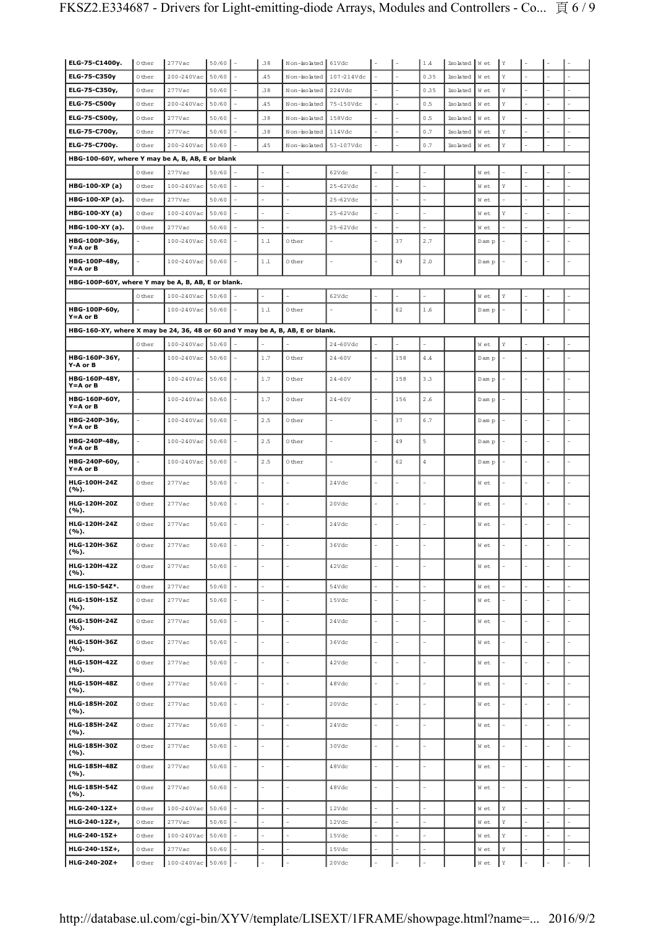| ELG-75-C1400y.                                                                 | 0 ther    | $277$ Vac        | 50/60 |        | .38     | Non-isolated 61Vdc       |             |                          |     | 1.4        | Isolated Wet |        | Υ           |    |   |  |
|--------------------------------------------------------------------------------|-----------|------------------|-------|--------|---------|--------------------------|-------------|--------------------------|-----|------------|--------------|--------|-------------|----|---|--|
| ELG-75-C350y                                                                   | 0 ther    | 200-240Vac       | 50/60 |        | .45     | Non-isolated             | 107-214Vdc  |                          |     | 0.35       | Isolated     | W et   | Y           |    |   |  |
| ELG-75-C350y,                                                                  | 0 ther    | 277Vac           | 50/60 |        | .38     | Non-isolated             | 224Vdc      |                          |     | 0.35       | Iso lated    | W et   | Y           |    |   |  |
| ELG-75-C500y                                                                   | 0 ther    | 200-240Vac       | 50/60 |        | .45     | Non-isolated             | 75-150Vdc   |                          |     | 0.5        | Isolated     | W et   | Y           |    |   |  |
| ELG-75-C500y,                                                                  | 0 ther    | 277Vac           | 50/60 |        | .38     | Non-isolated             | 158Vdc      |                          |     | 0.5        | Isolated     | W et   | Y           |    |   |  |
| ELG-75-C700y,                                                                  | 0 ther    | 277Vac           | 50/60 |        | .38     | Non-isolated             | 114Vdc      |                          |     | 0.7        | Isolated     | W et   | Y           |    |   |  |
| ELG-75-C700y.                                                                  | 0 ther    | 200-240Vac       | 50/60 |        | .45     | Non-isolated             | 53-107Vdc   |                          |     | 0.7        | Isolated     | W et   | Y           |    |   |  |
| HBG-100-60Y, where Y may be A, B, AB, E or blank                               |           |                  |       |        |         |                          |             |                          |     |            |              |        |             |    |   |  |
|                                                                                | 0 ther    | 277Vac           | 50/60 |        |         |                          | 62Vdc       |                          |     |            |              | W et   |             |    |   |  |
| HBG-100-XP (a)                                                                 | 0 ther    | 100-240Vac       | 50/60 |        |         |                          | $25-62Vdc$  |                          |     |            |              | W et   | Υ           |    |   |  |
| HBG-100-XP (a).                                                                | 0 ther    | 277Vac           | 50/60 |        |         | 1                        | $25-62Vdc$  |                          |     |            |              | W et   |             |    |   |  |
| HBG-100-XY (a)                                                                 | 0 ther    | 100-240Vac       | 50/60 |        |         | L,                       | $25-62Vdc$  |                          |     |            |              | W et   | Y           |    |   |  |
| HBG-100-XY (a).                                                                | 0 ther    | 277Vac           | 50/60 |        |         |                          | $25-62Vdc$  |                          |     |            |              | W et   |             |    |   |  |
| HBG-100P-36y,<br>$Y = A$ or $B$                                                |           | 100-240Vac       | 50/60 |        | 1.1     | 0 ther                   |             |                          | 37  | 2.7        |              | D am p |             |    |   |  |
| HBG-100P-48y,<br>$Y = A$ or $B$                                                | L.        | 100-240Vac 50/60 |       |        | $1.1\,$ | 0 ther                   |             |                          | 49  | 2.0        |              | D am p |             |    |   |  |
| HBG-100P-60Y, where Y may be A, B, AB, E or blank.                             |           |                  |       |        |         |                          |             |                          |     |            |              |        |             |    |   |  |
|                                                                                | 0 ther    | 100-240Vac       | 50/60 |        |         |                          | 62Vdc       |                          |     |            |              | W et   | Y           |    |   |  |
| HBG-100P-60y,<br>$Y = A$ or $B$                                                | ÷,        | 100-240Vac       | 50/60 |        | $1\,.1$ | 0 ther                   |             |                          | 62  | $1.6\,$    |              | D am p |             |    |   |  |
| HBG-160-XY, where X may be 24, 36, 48 or 60 and Y may be A, B, AB, E or blank. |           |                  |       |        |         |                          |             |                          |     |            |              |        |             |    |   |  |
|                                                                                | 0 ther    | 100-240Vac       | 50/60 |        |         |                          | $24-60$ Vdc |                          |     |            |              | W et   | Y           |    |   |  |
| HBG-160P-36Y,<br>Y-A or B                                                      | ÷,        | 100-240Vac       | 50/60 |        | 1.7     | 0 ther                   | $24 - 60V$  | $\overline{\phantom{a}}$ | 158 | $4\,\, .4$ |              | Dam p  |             | ÷, |   |  |
| HBG-160P-48Y,<br>$Y = A$ or $B$                                                |           | 100-240Vac       | 50/60 |        | 1.7     | 0 ther                   | $24 - 60V$  |                          | 158 | 3.3        |              | Dam p  |             |    |   |  |
| HBG-160P-60Y,<br>$Y = A$ or $B$                                                |           | $100 - 240$ Vac  | 50/60 |        | 1.7     | 0 ther                   | $24 - 60V$  |                          | 156 | $2\,.6$    |              | Dam p  |             |    |   |  |
| HBG-240P-36y,<br>$Y = A$ or $B$                                                | $\bar{a}$ | 100-240Vac       | 50/60 |        | 2.5     | 0 ther                   |             |                          | 37  | 6.7        |              | D am p |             | L. |   |  |
| HBG-240P-48y,<br>$Y = A$ or $B$                                                | L,        | 100-240Vac       | 50/60 |        | 2.5     | 0 ther                   |             |                          | 49  | 5          |              | D am p |             |    |   |  |
| HBG-240P-60y,<br>$Y = A$ or $B$                                                | ÷,        | 100-240Vac       | 50/60 |        | 2.5     | 0 ther                   |             |                          | 62  | $\sqrt{4}$ |              | D am p |             |    |   |  |
| HLG-100H-24Z<br>(%).                                                           | 0 ther    | $277$ Vac        | 50/60 |        |         |                          | 24Vdc       |                          |     |            |              | W et   |             |    |   |  |
| HLG-120H-20Z<br>(%).                                                           | 0 ther    | $277$ Vac        | 50/60 |        |         |                          | 20Vdc       |                          |     |            |              | W et   |             |    |   |  |
| HLG-120H-24Z<br>(%).                                                           | 0 ther    | $277$ Vac        | 50/60 |        |         |                          | 24Vdc       |                          |     |            |              | W et   |             |    |   |  |
| HLG-120H-36Z<br>(%).                                                           | 0 ther    | 277Vac           | 50/60 |        |         |                          | 36Vdc       |                          |     |            |              | W et   |             |    |   |  |
| HLG-120H-42Z<br>(%).                                                           | 0 ther    | $277$ Vac        | 50/60 | $\sim$ | $\sim$  | $\overline{a}$           | 42Vdc       | $\sim$                   |     | L.         |              | W et   | L,          | ÷, |   |  |
| HLG-150-54Z*.                                                                  | 0 ther    | $277$ Vac        | 50/60 |        | ÷,      | ÷.                       | 54Vdc       | ÷,                       |     |            |              | W et   |             |    |   |  |
| HLG-150H-15Z<br>(%).                                                           | 0 ther    | $277$ Vac        | 50/60 |        | ÷       | L.                       | 15Vdc       | L.                       |     |            |              | W et   |             |    |   |  |
| HLG-150H-24Z<br>(%).                                                           | 0 ther    | $277$ Vac        | 50/60 |        |         |                          | 24Vdc       |                          |     |            |              | W et   |             |    |   |  |
| HLG-150H-36Z<br>( %).                                                          | 0 ther    | $277$ Vac        | 50/60 |        |         | ÷,                       | 36Vdc       | $\overline{\phantom{a}}$ |     |            |              | W et   |             | ÷, |   |  |
| <b>HLG-150H-42Z</b><br>(%).                                                    | 0 ther    | $277$ Vac        | 50/60 |        |         | ä,                       | 42Vdc       | ä,                       |     |            |              | W et   |             |    |   |  |
| HLG-150H-48Z<br>(%).                                                           | 0 ther    | $277$ Vac        | 50/60 |        | ÷.      | ÷,                       | 48Vdc       | ÷,                       |     | L,         |              | W et   |             |    |   |  |
| HLG-185H-20Z<br>(%).                                                           | 0 ther    | $277$ Vac        | 50/60 |        | ÷.      | $\overline{a}$           | 20Vdc       | L,                       |     |            |              | W et   |             |    |   |  |
| HLG-185H-24Z<br>(%).                                                           | 0 ther    | $277$ Vac        | 50/60 |        | ÷,      | $\sim$                   | 24Vdc       |                          |     |            |              | W et   |             |    |   |  |
| HLG-185H-30Z<br>(%).                                                           | 0 ther    | $277$ Vac        | 50/60 |        |         | L.                       | 30Vdc       |                          |     |            |              | W et   |             |    |   |  |
| HLG-185H-48Z<br>(%).                                                           | 0 ther    | $277$ Vac        | 50/60 |        |         |                          | 48Vdc       | L,                       |     |            |              | W et   |             |    |   |  |
| HLG-185H-54Z<br>(%).                                                           | 0 ther    | $277$ Vac        | 50/60 |        | ÷.      | ÷,                       | 48Vdc       | $\sim$                   |     | L.         |              | W et   |             | Ē, |   |  |
| HLG-240-12Z+                                                                   | 0 ther    | 100-240Vac       | 50/60 |        |         | L.                       | 12Vdc       | $\overline{a}$           |     |            |              | W et   | Y           |    |   |  |
| HLG-240-12Z+,                                                                  | 0 ther    | $277$ Vac        | 50/60 |        | ÷       | $\overline{\phantom{a}}$ | 12Vdc       | ä,                       |     | L.         |              | W et   | Y           |    | ÷ |  |
| HLG-240-15Z+                                                                   | 0 ther    | 100-240Vac       | 50/60 |        |         | ٠                        | 15Vdc       |                          |     |            |              | W et   | Y           |    |   |  |
| HLG-240-15Z+,                                                                  | 0 ther    | 277Vac           | 50/60 |        |         |                          | 15Vdc       |                          |     |            |              | W et   | Υ           |    |   |  |
| HLG-240-20Z+                                                                   | 0 ther    | 100-240Vac 50/60 |       |        |         |                          | 20Vdc       |                          |     |            |              | W et   | $\mathbf Y$ |    |   |  |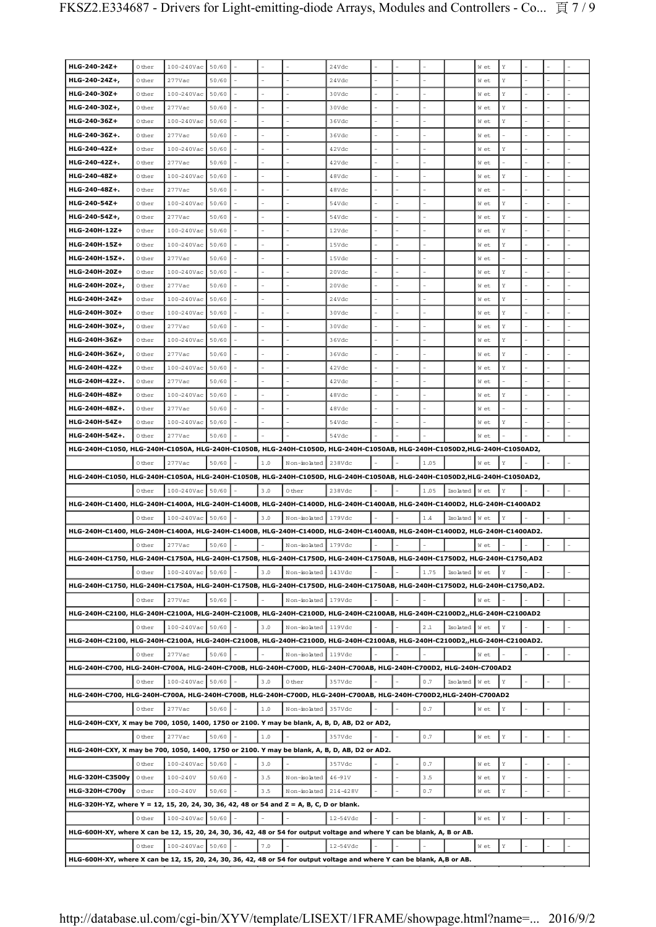| HLG-240-24Z+                                                                                                               | 0 ther | 100-240Vac       | 50/60 |           |                     | 24Vdc         |  |         |                | W et | Υ           |  |  |
|----------------------------------------------------------------------------------------------------------------------------|--------|------------------|-------|-----------|---------------------|---------------|--|---------|----------------|------|-------------|--|--|
| HLG-240-24Z+,                                                                                                              | 0 ther | 277Vac           | 50/60 |           |                     | 24Vdc         |  |         |                | W et | Υ           |  |  |
| HLG-240-30Z+                                                                                                               | 0 ther | 100-240Vac       | 50/60 |           |                     | 30Vdc         |  |         |                | W et | Υ           |  |  |
|                                                                                                                            |        |                  |       |           |                     |               |  |         |                |      |             |  |  |
| HLG-240-30Z+,<br>HLG-240-36Z+                                                                                              | 0 ther | 277Vac           | 50/60 |           |                     | 30Vdc         |  |         |                | W et | Υ           |  |  |
|                                                                                                                            | 0 ther | 100-240Vac       | 50/60 |           |                     | 36Vdc         |  |         |                | W et | Υ           |  |  |
| HLG-240-36Z+.                                                                                                              | 0 ther | $277$ Vac        | 50/60 |           |                     | 36Vdc         |  |         |                | W et |             |  |  |
| HLG-240-42Z+                                                                                                               | 0 ther | 100-240Vac       | 50/60 |           |                     | 42Vdc         |  |         |                | W et | Υ           |  |  |
| HLG-240-42Z+.                                                                                                              | 0 ther | 277Vac           | 50/60 |           |                     | 42Vdc         |  |         |                | W et |             |  |  |
| HLG-240-48Z+                                                                                                               | 0 ther | 100-240Vac       | 50/60 |           |                     | 48Vdc         |  |         |                | W et | Υ           |  |  |
| HLG-240-48Z+.                                                                                                              | 0 ther | 277Vac           | 50/60 |           |                     | 48Vdc         |  |         |                | W et |             |  |  |
| HLG-240-54Z+                                                                                                               | 0 ther | 100-240Vac       | 50/60 |           |                     | 54Vdc         |  |         |                | W et | Υ           |  |  |
| HLG-240-54Z+,                                                                                                              | 0 ther | $277$ Vac        | 50/60 |           |                     | 54Vdc         |  |         |                | W et | Υ           |  |  |
| HLG-240H-12Z+                                                                                                              | 0 ther | 100-240Vac       | 50/60 |           |                     | 12Vdc         |  |         |                | W et | Υ           |  |  |
| HLG-240H-15Z+                                                                                                              | 0 ther | 100-240Vac       | 50/60 |           | L.                  | 15Vdc         |  |         |                | W et | Υ           |  |  |
| HLG-240H-15Z+.                                                                                                             | 0 ther | 277Vac           | 50/60 |           |                     | 15Vdc         |  |         |                | W et |             |  |  |
| HLG-240H-20Z+                                                                                                              | 0 ther | 100-240Vac       | 50/60 |           |                     | 20Vdc         |  |         |                | W et | Υ           |  |  |
| HLG-240H-20Z+,                                                                                                             | 0 ther | 277Vac           | 50/60 |           |                     | 20Vdc         |  |         |                | W et | Υ           |  |  |
| HLG-240H-24Z+                                                                                                              | 0 ther | 100-240Vac       | 50/60 |           |                     | 24Vdc         |  |         |                | W et | Υ           |  |  |
| HLG-240H-30Z+                                                                                                              | 0 ther | 100-240Vac       | 50/60 |           |                     | 30Vdc         |  |         |                | W et | Υ           |  |  |
| HLG-240H-30Z+,                                                                                                             | 0 ther | 277Vac           | 50/60 |           |                     | 30Vdc         |  |         |                | W et | Υ           |  |  |
| HLG-240H-36Z+                                                                                                              | 0 ther | 100-240Vac       | 50/60 |           |                     | 36Vdc         |  |         |                | W et | Υ           |  |  |
|                                                                                                                            |        |                  |       |           |                     |               |  |         |                |      |             |  |  |
| HLG-240H-36Z+,                                                                                                             | 0 ther | 277Vac           | 50/60 |           |                     | 36Vdc         |  |         |                | W et | Υ           |  |  |
| HLG-240H-42Z+                                                                                                              | 0 ther | 100-240Vac       | 50/60 |           |                     | 42Vdc         |  |         |                | W et | Υ           |  |  |
| HLG-240H-42Z+.                                                                                                             | 0 ther | $277$ Vac        | 50/60 |           |                     | 42Vdc         |  |         |                | W et |             |  |  |
| HLG-240H-48Z+                                                                                                              | 0 ther | 100-240Vac       | 50/60 |           |                     | 48Vdc         |  |         |                | W et | Υ           |  |  |
| HLG-240H-48Z+.                                                                                                             | 0 ther | 277Vac           | 50/60 |           |                     | 48Vdc         |  |         |                | W et |             |  |  |
| HLG-240H-54Z+                                                                                                              | 0 ther | 100-240Vac       | 50/60 |           |                     | 54Vdc         |  |         |                | W et | Υ           |  |  |
| HLG-240H-54Z+.                                                                                                             | 0 ther | 277Vac           | 50/60 |           |                     | 54Vdc         |  |         |                | W et |             |  |  |
| HLG-240H-C1050, HLG-240H-C1050A, HLG-240H-C1050B, HLG-240H-C1050D, HLG-240H-C1050AB, HLG-240H-C1050D2,HLG-240H-C1050AD2,   |        |                  |       |           |                     |               |  |         |                |      |             |  |  |
|                                                                                                                            |        |                  |       |           |                     |               |  |         |                |      |             |  |  |
|                                                                                                                            | 0 ther | $277$ Vac        | 50/60 | $1.0$     | Non-isolated        | 238Vdc        |  | 1.05    |                | W et | Y           |  |  |
| HLG-240H-C1050, HLG-240H-C1050A, HLG-240H-C1050B, HLG-240H-C1050D, HLG-240H-C1050AB, HLG-240H-C1050D2,HLG-240H-C1050AD2,   |        |                  |       |           |                     |               |  |         |                |      |             |  |  |
|                                                                                                                            | 0 ther | 100-240Vac 50/60 |       | 3.0       | 0 ther              | 238Vdc        |  | 1.05    | Isolated Wet   |      | Y           |  |  |
| HLG-240H-C1400, HLG-240H-C1400A, HLG-240H-C1400B, HLG-240H-C1400D, HLG-240H-C1400AB, HLG-240H-C1400D2, HLG-240H-C1400AD2   |        |                  |       |           |                     |               |  |         |                |      |             |  |  |
|                                                                                                                            | 0 ther | 100-240Vac 50/60 |       | 3.0       | Non-isolated        | 179Vdc        |  | 1.4     | Isolated Wet   |      | Υ           |  |  |
| HLG-240H-C1400, HLG-240H-C1400A, HLG-240H-C1400B, HLG-240H-C1400D, HLG-240H-C1400AB, HLG-240H-C1400D2, HLG-240H-C1400AD2.  |        |                  |       |           |                     |               |  |         |                |      |             |  |  |
|                                                                                                                            | 0 ther | 277Vac           | 50/60 |           | Non-isolated        | 179Vdc        |  |         |                | W et |             |  |  |
| HLG-240H-C1750, HLG-240H-C1750A, HLG-240H-C1750B, HLG-240H-C1750D, HLG-240H-C1750AB, HLG-240H-C1750D2, HLG-240H-C1750,AD2  |        |                  |       |           |                     |               |  |         |                |      |             |  |  |
|                                                                                                                            | 0 ther | 100-240Vac 50/60 |       | 3.0       | Non-isolated 143Vdc |               |  | 1.75    | Isolated   Wet |      | Y           |  |  |
| HLG-240H-C1750, HLG-240H-C1750A, HLG-240H-C1750B, HLG-240H-C1750D, HLG-240H-C1750AB, HLG-240H-C1750D2, HLG-240H-C1750,AD2. |        |                  |       |           |                     |               |  |         |                |      |             |  |  |
|                                                                                                                            | 0 ther | $277$ Vac        | 50/60 |           | Non-isolated 179Vdc |               |  |         |                | W et |             |  |  |
|                                                                                                                            |        |                  |       |           |                     |               |  |         |                |      |             |  |  |
| HLG-240H-C2100, HLG-240H-C2100A, HLG-240H-C2100B, HLG-240H-C2100D, HLG-240H-C2100AB, HLG-240H-C2100D2,,HLG-240H-C2100AD2   |        |                  |       |           |                     |               |  |         |                |      |             |  |  |
|                                                                                                                            | 0 ther | 100-240Vac 50/60 |       | 3.0       | Non-isolated 119Vdc |               |  | $2\ .1$ | Isolated Wet   |      | Y           |  |  |
| HLG-240H-C2100, HLG-240H-C2100A, HLG-240H-C2100B, HLG-240H-C2100D, HLG-240H-C2100AB, HLG-240H-C2100D2,,HLG-240H-C2100AD2.  |        |                  |       |           |                     |               |  |         |                |      |             |  |  |
|                                                                                                                            | 0 ther | 277Vac           | 50/60 |           | Non-isolated        | 119Vdc        |  |         |                | W et |             |  |  |
| HLG-240H-C700, HLG-240H-C700A, HLG-240H-C700B, HLG-240H-C700D, HLG-240H-C700AB, HLG-240H-C700D2, HLG-240H-C700AD2          |        |                  |       |           |                     |               |  |         |                |      |             |  |  |
|                                                                                                                            | 0 ther | 100-240Vac 50/60 |       | 3.0       | 0 ther              | 357Vdc        |  | 0.7     | Isolated   Wet |      | Y           |  |  |
| HLG-240H-C700, HLG-240H-C700A, HLG-240H-C700B, HLG-240H-C700D, HLG-240H-C700AB, HLG-240H-C700D2,HLG-240H-C700AD2           |        |                  |       |           |                     |               |  |         |                |      |             |  |  |
|                                                                                                                            | 0 ther | $277$ Vac        | 50/60 | $1\,.0$   | Non-isolated 357Vdc |               |  | 0.7     |                | W et | $\mathbf Y$ |  |  |
| HLG-240H-CXY, X may be 700, 1050, 1400, 1750 or 2100. Y may be blank, A, B, D, AB, D2 or AD2,                              |        |                  |       |           |                     |               |  |         |                |      |             |  |  |
|                                                                                                                            | 0 ther | $277$ Vac        | 50/60 | $1\,.0$   |                     | 357Vdc        |  | 0.7     |                | W et | Υ           |  |  |
| HLG-240H-CXY, X may be 700, 1050, 1400, 1750 or 2100. Y may be blank, A, B, D, AB, D2 or AD2.                              |        |                  |       |           |                     |               |  |         |                |      |             |  |  |
|                                                                                                                            | 0 ther | 100-240Vac 50/60 |       | 3.0       |                     | 357Vdc        |  | 0.7     |                | W et | $\mathbf Y$ |  |  |
| HLG-320H-C3500y                                                                                                            | 0 ther | 100-240V         | 50/60 | 3.5       | Non-isolated        | $46 - 91V$    |  | 3.5     |                | W et | $\mathbf Y$ |  |  |
| HLG-320H-C700y                                                                                                             | 0 ther | 100-240V         | 50/60 | 3.5       | Non-isolated        | 214-428V      |  | 0.7     |                | W et | $\mathbf Y$ |  |  |
| HLG-320H-YZ, where Y = 12, 15, 20, 24, 30, 36, 42, 48 or 54 and Z = A, B, C, D or blank.                                   |        |                  |       |           |                     |               |  |         |                |      |             |  |  |
|                                                                                                                            | 0 ther | 100-240Vac 50/60 |       |           |                     | $12 - 54$ Vdc |  |         |                | W et | $\mathbf Y$ |  |  |
| HLG-600H-XY, where X can be 12, 15, 20, 24, 30, 36, 42, 48 or 54 for output voltage and where Y can be blank, A, B or AB.  |        |                  |       |           |                     |               |  |         |                |      |             |  |  |
|                                                                                                                            | 0 ther | 100-240Vac 50/60 |       | $7 \, .0$ |                     | $12-54Vdc$    |  |         |                | W et | $\mathbf Y$ |  |  |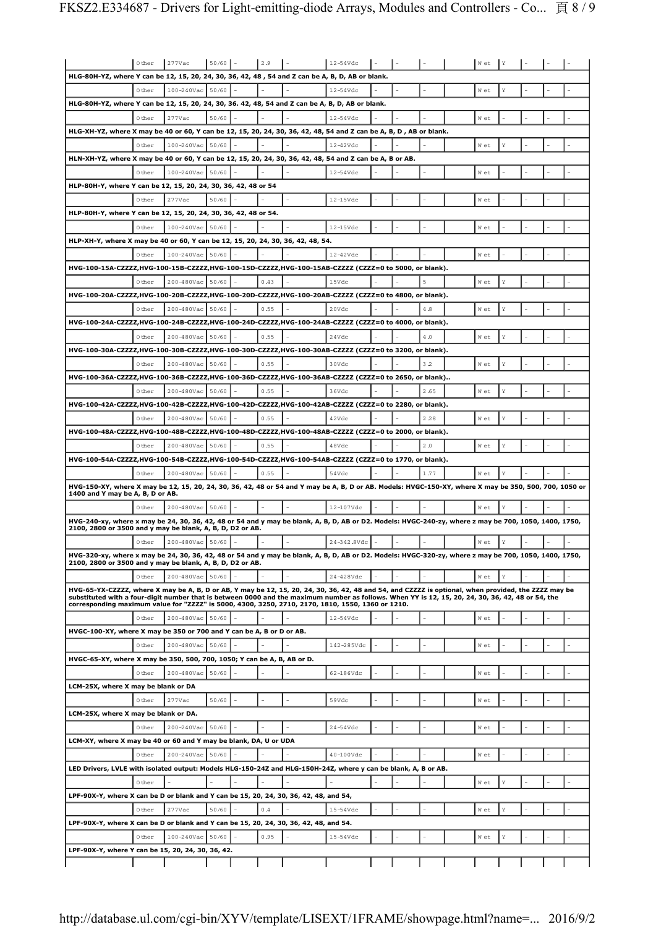|                                                                                                                                                                                                                                                                                                           | 0 ther | $277$ Vac             | 50/60 | 2.9  | 12-54Vdc    |  |      |      |     |  |  |
|-----------------------------------------------------------------------------------------------------------------------------------------------------------------------------------------------------------------------------------------------------------------------------------------------------------|--------|-----------------------|-------|------|-------------|--|------|------|-----|--|--|
| HLG-80H-YZ, where Y can be 12, 15, 20, 24, 30, 36, 42, 48, 54 and Z can be A, B, D, AB or blank.                                                                                                                                                                                                          |        |                       |       |      |             |  |      |      |     |  |  |
|                                                                                                                                                                                                                                                                                                           | 0 ther | $100 - 240$ Vac 50/60 |       |      | 12-54Vdc    |  |      | W et |     |  |  |
| HLG-80H-YZ, where Y can be 12, 15, 20, 24, 30, 36. 42, 48, 54 and Z can be A, B, D, AB or blank.                                                                                                                                                                                                          |        |                       |       |      |             |  |      |      |     |  |  |
|                                                                                                                                                                                                                                                                                                           | 0 ther | 277Vac                | 50/60 |      | 12-54Vdc    |  |      | W et |     |  |  |
| HLG-XH-YZ, where X may be 40 or 60, Y can be 12, 15, 20, 24, 30, 36, 42, 48, 54 and Z can be A, B, D, AB or blank.                                                                                                                                                                                        |        |                       |       |      |             |  |      |      |     |  |  |
|                                                                                                                                                                                                                                                                                                           |        |                       |       |      |             |  |      |      |     |  |  |
|                                                                                                                                                                                                                                                                                                           | 0 ther | 100-240Vac 50/60      |       |      | 12-42Vdc    |  |      | W et |     |  |  |
| HLN-XH-YZ, where X may be 40 or 60, Y can be 12, 15, 20, 24, 30, 36, 42, 48, 54 and Z can be A, B or AB.                                                                                                                                                                                                  |        |                       |       |      |             |  |      |      |     |  |  |
|                                                                                                                                                                                                                                                                                                           | 0 ther | 100-240Vac 50/60      |       |      | 12-54Vdc    |  |      | W et |     |  |  |
| HLP-80H-Y, where Y can be 12, 15, 20, 24, 30, 36, 42, 48 or 54                                                                                                                                                                                                                                            |        |                       |       |      |             |  |      |      |     |  |  |
|                                                                                                                                                                                                                                                                                                           | 0 ther | 277Vac                | 50/60 |      | 12-15Vdc    |  |      | W et |     |  |  |
| HLP-80H-Y, where Y can be 12, 15, 20, 24, 30, 36, 42, 48 or 54.                                                                                                                                                                                                                                           |        |                       |       |      |             |  |      |      |     |  |  |
|                                                                                                                                                                                                                                                                                                           | 0 ther | 100-240Vac 50/60      |       |      | 12-15Vdc    |  |      | W et |     |  |  |
| HLP-XH-Y, where X may be 40 or 60, Y can be 12, 15, 20, 24, 30, 36, 42, 48, 54.                                                                                                                                                                                                                           |        |                       |       |      |             |  |      |      |     |  |  |
|                                                                                                                                                                                                                                                                                                           | 0 ther | 100-240Vac            | 50/60 |      | 12-42Vdc    |  |      | W et |     |  |  |
| HVG-100-15A-CZZZZ,HVG-100-15B-CZZZZ,HVG-100-15D-CZZZZ,HVG-100-15AB-CZZZZ (CZZZ=0 to 5000, or blank).                                                                                                                                                                                                      |        |                       |       |      |             |  |      |      |     |  |  |
|                                                                                                                                                                                                                                                                                                           | 0 ther | 200-480Vac            | 50/60 | 0.43 | 15Vdc       |  | 5    | W et | Y   |  |  |
| HVG-100-20A-CZZZZ,HVG-100-20B-CZZZZ,HVG-100-20D-CZZZZ,HVG-100-20AB-CZZZZ (CZZZ=0 to 4800, or blank).                                                                                                                                                                                                      |        |                       |       |      |             |  |      |      |     |  |  |
|                                                                                                                                                                                                                                                                                                           | 0 ther | 200-480Vac 50/60      |       | 0.55 | 20Vdc       |  | 4.8  | W et |     |  |  |
| HVG-100-24A-CZZZZ,HVG-100-24B-CZZZZ,HVG-100-24D-CZZZZ,HVG-100-24AB-CZZZZ (CZZZ=0 to 4000, or blank).                                                                                                                                                                                                      |        |                       |       |      |             |  |      |      |     |  |  |
|                                                                                                                                                                                                                                                                                                           | 0 ther | 200-480Vac 50/60      |       | 0.55 | 24Vdc       |  | 4.0  | W et |     |  |  |
| HVG-100-30A-CZZZZ,HVG-100-30B-CZZZZ,HVG-100-30D-CZZZZ,HVG-100-30AB-CZZZZ (CZZZ=0 to 3200, or blank).                                                                                                                                                                                                      |        |                       |       |      |             |  |      |      |     |  |  |
|                                                                                                                                                                                                                                                                                                           | 0 ther | 200-480Vac 50/60      |       | 0.55 | 30Vdc       |  | 3.2  | W et |     |  |  |
| HVG-100-36A-CZZZZ,HVG-100-36B-CZZZZ,HVG-100-36D-CZZZZ,HVG-100-36AB-CZZZZ (CZZZ=0 to 2650, or blank)                                                                                                                                                                                                       |        |                       |       |      |             |  |      |      |     |  |  |
|                                                                                                                                                                                                                                                                                                           | 0 ther | 200-480Vac 50/60      |       | 0.55 | 36Vdc       |  | 2.65 | W et |     |  |  |
| HVG-100-42A-CZZZZ,HVG-100-42B-CZZZZ,HVG-100-42D-CZZZZ,HVG-100-42AB-CZZZZ (CZZZ=0 to 2280, or blank).                                                                                                                                                                                                      |        |                       |       |      |             |  |      |      |     |  |  |
|                                                                                                                                                                                                                                                                                                           | 0 ther | 200-480Vac 50/60      |       | 0.55 | 42Vdc       |  | 2.28 | W et |     |  |  |
| HVG-100-48A-CZZZZ,HVG-100-48B-CZZZZ,HVG-100-48D-CZZZZ,HVG-100-48AB-CZZZZ (CZZZ=0 to 2000, or blank).                                                                                                                                                                                                      |        |                       |       |      |             |  |      |      |     |  |  |
|                                                                                                                                                                                                                                                                                                           | 0 ther | 200-480Vac 50/60      |       | 0.55 | 48Vdc       |  | 2.0  | W et |     |  |  |
| HVG-100-54A-CZZZZ,HVG-100-54B-CZZZZ,HVG-100-54D-CZZZZ,HVG-100-54AB-CZZZZ (CZZZ=0 to 1770, or blank).                                                                                                                                                                                                      |        |                       |       |      |             |  |      |      |     |  |  |
|                                                                                                                                                                                                                                                                                                           |        |                       |       |      |             |  |      |      |     |  |  |
|                                                                                                                                                                                                                                                                                                           |        |                       |       |      |             |  |      |      |     |  |  |
|                                                                                                                                                                                                                                                                                                           | 0 ther | 200-480Vac            | 50/60 | 0.55 | 54Vdc       |  | 1.77 | W et |     |  |  |
| HVG-150-XY, where X may be 12, 15, 20, 24, 30, 36, 42, 48 or 54 and Y may be A, B, D or AB. Models: HVGC-150-XY, where X may be 350, 500, 700, 1050 or<br>1400 and Y may be A, B, D or AB.                                                                                                                |        |                       |       |      |             |  |      |      |     |  |  |
|                                                                                                                                                                                                                                                                                                           | 0 ther | 200-480Vac 50/60      |       |      | 12-107Vdc   |  |      | W et |     |  |  |
| HVG-240-xy, where x may be 24, 30, 36, 42, 48 or 54 and y may be blank, A, B, D, AB or D2. Models: HVGC-240-zy, where z may be 700, 1050, 1400, 1750,                                                                                                                                                     |        |                       |       |      |             |  |      |      |     |  |  |
| 2100, 2800 or 3500 and y may be blank, A, B, D, D2 or AB.                                                                                                                                                                                                                                                 |        |                       |       |      |             |  |      |      |     |  |  |
|                                                                                                                                                                                                                                                                                                           | 0 ther | 200-480Vac 50/60      |       |      | 24-342.8Vdc |  |      | W et |     |  |  |
| HVG-320-xy, where x may be 24, 30, 36, 42, 48 or 54 and y may be blank, A, B, D, AB or D2. Models: HVGC-320-zy, where z may be 700, 1050, 1400, 1750,<br>2100, 2800 or 3500 and y may be blank, A, B, D, D2 or AB.                                                                                        |        |                       |       |      |             |  |      |      |     |  |  |
|                                                                                                                                                                                                                                                                                                           |        |                       |       |      |             |  |      |      | ΙY. |  |  |
|                                                                                                                                                                                                                                                                                                           | 0 ther | 200-480Vac 50/60      |       |      | 24-428Vdc   |  |      | W et |     |  |  |
| HVG-65-YX-CZZZZ, where X may be A, B, D or AB, Y may be 12, 15, 20, 24, 30, 36, 42, 48 and 54, and CZZZZ is optional, when provided, the ZZZZ may be<br>substituted with a four-digit number that is between 0000 and the maximum number as follows. When YY is 12, 15, 20, 24, 30, 36, 42, 48 or 54, the |        |                       |       |      |             |  |      |      |     |  |  |
| corresponding maximum value for "ZZZZ" is 5000, 4300, 3250, 2710, 2170, 1810, 1550, 1360 or 1210.                                                                                                                                                                                                         |        |                       |       |      |             |  |      |      |     |  |  |
|                                                                                                                                                                                                                                                                                                           | 0 ther | 200-480Vac            | 50/60 |      | 12-54Vdc    |  |      | W et |     |  |  |
| HVGC-100-XY, where X may be 350 or 700 and Y can be A, B or D or AB.                                                                                                                                                                                                                                      |        |                       |       |      |             |  |      |      |     |  |  |
|                                                                                                                                                                                                                                                                                                           | 0 ther | 200-480Vac            | 50/60 |      | 142-285Vdc  |  |      | W et |     |  |  |
| HVGC-65-XY, where X may be 350, 500, 700, 1050; Y can be A, B, AB or D.                                                                                                                                                                                                                                   |        |                       |       |      |             |  |      |      |     |  |  |
|                                                                                                                                                                                                                                                                                                           | 0 ther | 200-480Vac            | 50/60 |      | 62-186Vdc   |  |      | W et |     |  |  |
| LCM-25X, where X may be blank or DA                                                                                                                                                                                                                                                                       |        |                       |       |      |             |  |      |      |     |  |  |
|                                                                                                                                                                                                                                                                                                           | 0 ther | 277Vac                | 50/60 |      | 59Vdc       |  |      | W et |     |  |  |
| LCM-25X, where X may be blank or DA.                                                                                                                                                                                                                                                                      |        |                       |       |      |             |  |      |      |     |  |  |
|                                                                                                                                                                                                                                                                                                           | 0 ther | 200-240Vac 50/60      |       |      | 24-54Vdc    |  |      | W et |     |  |  |
| LCM-XY, where X may be 40 or 60 and Y may be blank, DA, U or UDA                                                                                                                                                                                                                                          |        |                       |       |      |             |  |      |      |     |  |  |
|                                                                                                                                                                                                                                                                                                           | 0 ther | 200-240Vac 50/60      |       |      | 40-100Vdc   |  |      | W et |     |  |  |
| LED Drivers, LVLE with isolated output: Models HLG-150-24Z and HLG-150H-24Z, where y can be blank, A, B or AB.                                                                                                                                                                                            |        |                       |       |      |             |  |      |      |     |  |  |
|                                                                                                                                                                                                                                                                                                           | 0 ther |                       |       |      |             |  |      | W et |     |  |  |
| LPF-90X-Y, where X can be D or blank and Y can be 15, 20, 24, 30, 36, 42, 48, and 54,                                                                                                                                                                                                                     |        |                       |       |      |             |  |      |      |     |  |  |
|                                                                                                                                                                                                                                                                                                           | 0 ther | $277$ Vac             | 50/60 | 0.4  | $15-54Vdc$  |  |      | W et |     |  |  |
| LPF-90X-Y, where X can be D or blank and Y can be 15, 20, 24, 30, 36, 42, 48, and 54.                                                                                                                                                                                                                     |        |                       |       |      |             |  |      |      |     |  |  |
|                                                                                                                                                                                                                                                                                                           | 0 ther | 100-240Vac 50/60      |       | 0.95 | $15-54Vdc$  |  |      | W et | Y   |  |  |
| LPF-90X-Y, where Y can be 15, 20, 24, 30, 36, 42.                                                                                                                                                                                                                                                         |        |                       |       |      |             |  |      |      |     |  |  |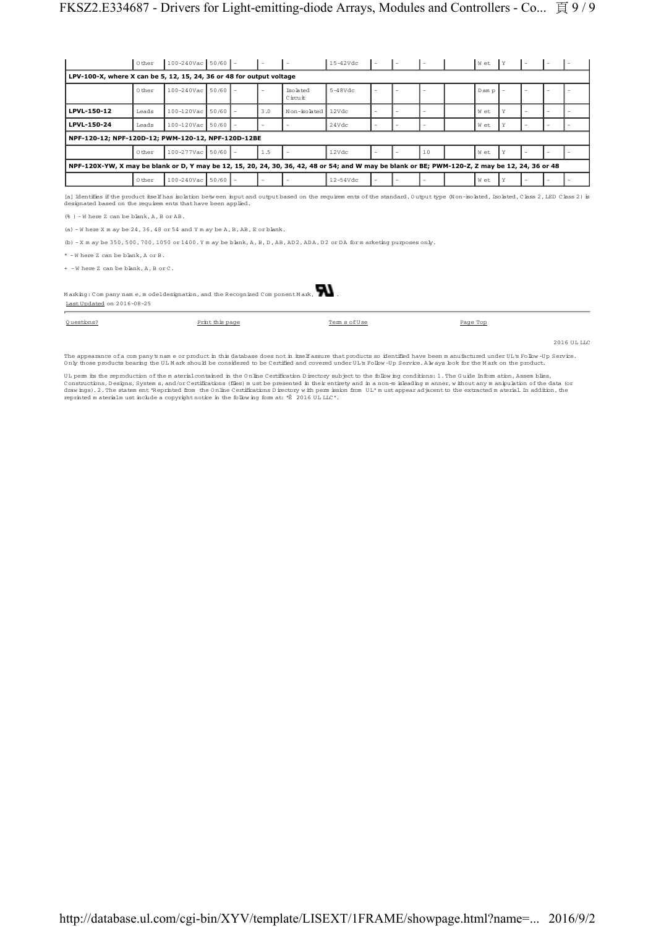|                                                                                                                                                                                                                                                                                                                                                                                                                                                                                                                                                                  | 0 ther | $100 - 240$ Vac 50/60 |  |     |                       | 15-42Vdc   |   |    | Wet    |   |  |  |
|------------------------------------------------------------------------------------------------------------------------------------------------------------------------------------------------------------------------------------------------------------------------------------------------------------------------------------------------------------------------------------------------------------------------------------------------------------------------------------------------------------------------------------------------------------------|--------|-----------------------|--|-----|-----------------------|------------|---|----|--------|---|--|--|
| LPV-100-X, where X can be 5, 12, 15, 24, 36 or 48 for output voltage                                                                                                                                                                                                                                                                                                                                                                                                                                                                                             |        |                       |  |     |                       |            |   |    |        |   |  |  |
|                                                                                                                                                                                                                                                                                                                                                                                                                                                                                                                                                                  | 0 ther | $100 - 240$ Vac 50/60 |  |     | Tso la ted<br>Circuit | $5-48Vdc$  |   |    | D am p |   |  |  |
| LPVL-150-12                                                                                                                                                                                                                                                                                                                                                                                                                                                                                                                                                      | Leads  | 100-120Vac 50/60      |  | 3.0 | Non-isolated          | 12Vdc      | L |    | W et   | Y |  |  |
| LPVL-150-24                                                                                                                                                                                                                                                                                                                                                                                                                                                                                                                                                      | Leads  | 100-120Vac 50/60      |  |     |                       | 24Vdc      |   |    | W et   | Υ |  |  |
| NPF-120-12; NPF-120D-12; PWM-120-12, NPF-120D-12BE                                                                                                                                                                                                                                                                                                                                                                                                                                                                                                               |        |                       |  |     |                       |            |   |    |        |   |  |  |
|                                                                                                                                                                                                                                                                                                                                                                                                                                                                                                                                                                  | 0 ther | 100-277Vac 50/60      |  | 1.5 |                       | 12Vdc      |   | 10 | W et   |   |  |  |
| NPF-120X-YW, X may be blank or D, Y may be 12, 15, 20, 24, 30, 36, 42, 48 or 54; and W may be blank or BE; PWM-120-Z, Z may be 12, 24, 36 or 48                                                                                                                                                                                                                                                                                                                                                                                                                  |        |                       |  |     |                       |            |   |    |        |   |  |  |
|                                                                                                                                                                                                                                                                                                                                                                                                                                                                                                                                                                  | 0 ther | 100-240Vac 50/60      |  |     |                       | $12-54Vdc$ |   |    | W et   | Υ |  |  |
| [a] Identifies if the product itself has isolation between input and output based on the requirem ents of the standard. Output type (Non-isolated, Isolated, Class 2, LED Class 2) is<br>designated based on the requirem ents that have been applied.<br>$(*)$ - W here Z can be blank, $A$ , B or $AB$ .<br>(a) $-W$ here X m ay be 24, 36, 48 or 54 and Y m ay be A, B, AB, E or blank.<br>(b) $-$ X m ay be 350, 500, 700, 1050 or 1400. Y m ay be blank, A, B, D, AB, AD2, ADA, D2 or DA for m arketing purposes only.<br>* - Where Z can be blank. A or B. |        |                       |  |     |                       |            |   |    |        |   |  |  |
| + - Where Z can be blank, A, B or C.                                                                                                                                                                                                                                                                                                                                                                                                                                                                                                                             |        |                       |  |     |                       |            |   |    |        |   |  |  |
|                                                                                                                                                                                                                                                                                                                                                                                                                                                                                                                                                                  |        |                       |  |     |                       |            |   |    |        |   |  |  |
| $M$ arking: Company name, modeldesignation, and the Recognized Component $M$ ark,<br>Last Updated on 2016-08-25                                                                                                                                                                                                                                                                                                                                                                                                                                                  |        |                       |  |     |                       |            |   |    |        |   |  |  |

Q uestions? Print this page Term s ofU se Page Top

2016 UL LLC

The appearance of a com pany's name or product in this database does not in itselfassure that products so identified have been m anufactured under UL's Follow -Up Service. Only those products bearing the UL Mark should be considered to be Certified and covered under UL's Follow -Up Service. Alw ays look for the M ark on the product.

UL perm its the reproduction of the material contained in the Online Certification Directory subject to the following conditions: 1. The Guide Information, Assemblies,<br>Constructions, Designs, Systems, and/or Certifications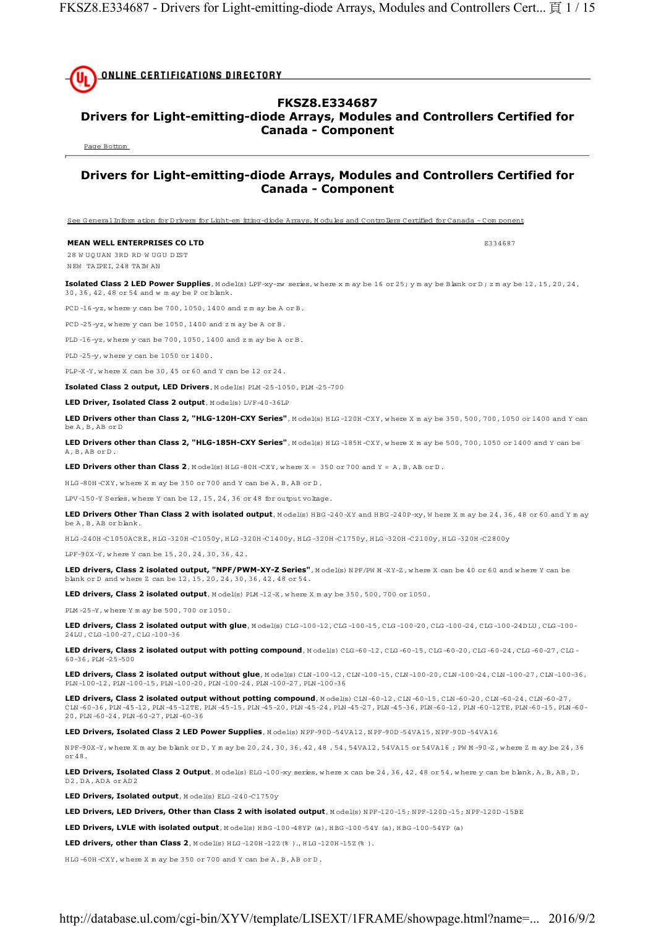**ONLINE CERTIFICATIONS DIRECTORY** 

## **FKSZ8.E334687**

## **Drivers for Light-emitting-diode Arrays, Modules and Controllers Certified for Canada - Component**

Page Bottom

## **Drivers for Light-emitting-diode Arrays, Modules and Controllers Certified for Canada - Component**

See G eneral Inform ation for D rivers for Light-em itting-diode Arrays, M odules and Controllers Certified for Canada - Com ponent

## **MEAN WELL ENTERPRISES CO LTD Example 2334687**

28 W UQUAN 3RD RD W UGU DIST N EW TAIPEI, 248 TAIW AN

Isolated Class 2 LED Power Supplies, Model(s) LPF-xy-zw series, where x m ay be 16 or 25; y m ay be Blank or D; z m ay be 12, 15, 20, 24, 30, 36, 42, 48 or 54 and w m ay be P or blank.

PCD -16-yz, w here y can be 700, 1050, 1400 and z m ay be A or B.

PCD -25-yz, w here y can be 1050, 1400 and z m ay be A or B.

PLD -16-yz, w here y can be 700, 1050, 1400 and z m ay be A or B.

PLD -25-y, w here y can be 1050 or 1400.

PLP-X-Y, w here X can be 30, 45 or 60 and Y can be 12 or 24.

**Isolated Class 2 output, LED Drivers**, M odel(s) PLM -25-1050, PLM -25-700

**LED Driver, Isolated Class 2 output**, Model(s) LVF-40-36LP

LED Drivers other than Class 2, "HLG-120H-CXY Series", Model(s) HLG-120H-CXY, where X m ay be 350, 500, 700, 1050 or 1400 and Y can be A, B, AB or D

**LED Drivers other than Class 2, "HLG-185H-CXY Series"**, Model(s) HLG-185H-CXY, where X m ay be 500, 700, 1050 or 1400 and Y can be A, B, AB or D .

**LED Drivers other than Class 2**, M odel(s) HLG-80H-CXY, where  $X = 350$  or 700 and  $Y = A$ , B, AB or D.

 $HIG - 80H - CXY$ , where X m ay be  $350$  or 700 and Y can be A, B, AB or D.

LPV-150-Y Series, w here Y can be 12, 15, 24, 36 or 48 for output voltage.

**LED Drivers Other Than Class 2 with isolated output**, Model(s) HBG-240-XY and HBG-240P-xy, W here X m ay be 24, 36, 48 or 60 and Y m ay be A, B, AB or blank.

H LG -240H -C1050ACRE, H LG -320H -C1050y, H LG -320H -C1400y, H LG -320H -C1750y, H LG -320H -C2100y, H LG -320H -C2800y

LPF-90X-Y, w here Y can be 15, 20, 24, 30, 36, 42.

LED drivers, Class 2 isolated output, "NPF/PWM-XY-Z Series", Model(s) NPF/PW M-XY-Z, where X can be 40 or 60 and where Y can be blank or D and w here Z can be 12, 15, 20, 24, 30, 36, 42, 48 or 54.

**LED drivers, Class 2 isolated output**, Model(s) PLM -12-X, where X m ay be 350, 500, 700 or 1050.

PLM -25-Y, w here Y m ay be 500, 700 or 1050.

**LED drivers, Class 2 isolated output with glue**, Model(s) CLG-100-12, CLG-100-15, CLG-100-20, CLG-100-24, CLG-100-24D LU, CLG-100-2 24LU , CLG -100-27, CLG -100-36

LED drivers, Class 2 isolated output with potting compound, Model(s) CLG-60-12, CLG-60-15, CLG-60-20, CLG-60-24, CLG-60-27, CLG-60-27, CLG-60-20, 60-36, PLM -25-500

**LED drivers, Class 2 isolated output without glue**, Model(s) CLN-100-12, CLN-100-15, CLN-100-20, CLN-100-24, CLN-100-27, CLN-100-36, PLN -100-12, PLN -100-15, PLN -100-20, PLN -100-24, PLN -100-27, PLN -100-36

**LED drivers, Class 2 isolated output without potting compound**, M odel(s) CLN -60-12, CLN -60-15, CLN -60-20, CLN -60-24, CLN -60-27, CLN -60-36, PLN -45-12, PLN -45-12TE, PLN -45-15, PLN -45-20, PLN -45-24, PLN -45-27, PLN -45-36, PLN -60-12, PLN -60-12TE, PLN -60-15, PLN -60- 20, PLN -60-24, PLN -60-27, PLN -60-36

LED Drivers, Isolated Class 2 LED Power Supplies, Model(s) NPF-90D -54VA12, NPF-90D -54VA15, NPF-90D -54VA16

N PF-90X-Y, w here X m ay be blank or D , Y m ay be 20, 24, 30, 36, 42, 48 , 54, 54VA12, 54VA15 or 54VA16 ; PW M -90-Z, w here Z m ay be 24, 36 or 48.

LED Drivers, Isolated Class 2 Output, Model(s) ELG-100-xy series, where x can be 24, 36, 42, 48 or 54, where y can be blank, A, B, AB, D, D<sub>2</sub>, D<sub>A</sub>, AD<sub>A</sub> or AD<sub>2</sub>

**LED Drivers, Isolated output**, M odel(s) ELG -240-C1750y

LED Drivers, LED Drivers, Other than Class 2 with isolated output, Model(s) NPF-120-15; NPF-120D-15; NPF-120D-15BE

**LED Drivers, LVLE with isolated output**, M odel(s) HBG-100-48YP (a), HBG-100-54Y (a), HBG-100-54YP (a)

**LED drivers, other than Class 2**, Model(s) HLG-120H-12Z(%)., HLG-120H-15Z(%).

H LG -60H -CXY, w here X m ay be 350 or 700 and Y can be A, B, AB or D .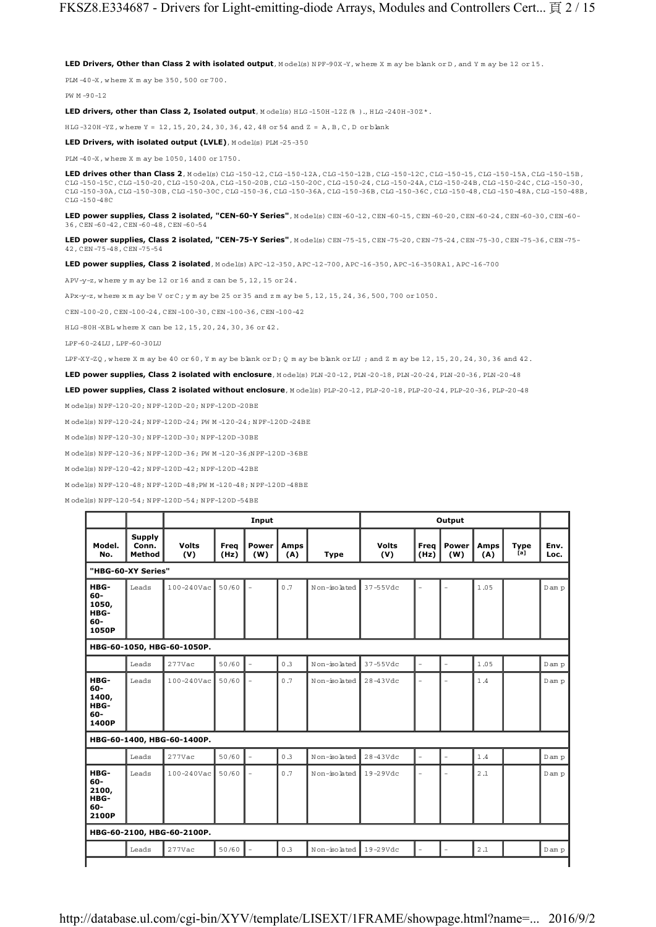LED Drivers, Other than Class 2 with isolated output, Model(s) NPF-90X-Y, where X m ay be blank or D, and Y m ay be 12 or 15.

PLM -40-X, w here X m ay be 350, 500 or 700.

PW M -90-12

LED drivers, other than Class 2, Isolated output, Model(s) HLG-150H-12Z(%)., HLG-240H-30Z\*.

HLG-320H-YZ, where Y = 12, 15, 20, 24, 30, 36, 42, 48 or 54 and Z = A, B, C, D or blank

**LED Drivers, with isolated output (LVLE)**, Model(s) PLM-25-350

PLM -40-X, w here X m ay be 1050, 1400 or 1750.

**LED drives other than Class 2**, M odel(s) CLG -150-12, CLG -150-12A, CLG -150-12B, CLG -150-12C, CLG -150-15, CLG -150-15A, CLG -150-15B, CLG -150-15C, CLG -150-20, CLG -150-20A, CLG -150-20B, CLG -150-20C, CLG -150-24, CLG -150-24A, CLG -150-24B, CLG -150-24C, CLG -150-30, CLG -150-30A, CLG -150-30B, CLG -150-30C, CLG -150-36, CLG -150-36A, CLG -150-36B, CLG -150-36C, CLG -150-48, CLG -150-48A, CLG -150-48B, CLG -150-48C

LED power supplies, Class 2 isolated, "CEN-60-Y Series", Model(s) CEN-60-12, CEN-60-15, CEN-60-20, CEN-60-24, CEN-60-30, CEN-60-36, CEN -60-42, CEN -60-48, CEN -60-54

LED power supplies, Class 2 isolated, "CEN-75-Y Series", Model(s) CEN-75-15, CEN-75-20, CEN-75-24, CEN-75-30, CEN-75-36, CEN-75-42, CEN -75-48, CEN -75-54

**LED power supplies, Class 2 isolated**, M odel(s) APC-12-350, APC-12-700, APC-16-350, APC-16-350RA1, APC-16-700

APV-y-z, w here y m ay be 12 or 16 and z can be 5, 12, 15 or 24.

APx-y-z, w here x m ay be V or C; y m ay be 25 or 35 and z m ay be 5, 12, 15, 24, 36, 500, 700 or 1050.

CEN -100-20, CEN -100-24, CEN -100-30, CEN -100-36, CEN -100-42

H LG -80H -XBL w here X can be 12, 15, 20, 24, 30, 36 or 42.

LPF-60-24LU , LPF-60-30LU

LPF-XY-ZQ, where X m ay be 40 or 60, Y m ay be blank or D;  $0 \text{ m}$  ay be blank or LU ; and Z m ay be 12, 15, 20, 24, 30, 36 and 42.

**LED power supplies, Class 2 isolated with enclosure**, M odel(s) PLN -20-12, PLN -20-18, PLN -20-24, PLN -20-36, PLN -20-48

LED power supplies, Class 2 isolated without enclosure, M odel(s) PLP-20-12, PLP-20-18, PLP-20-24, PLP-20-36, PLP-20-48

M odel(s) N PF-120-20; N PF-120D -20; N PF-120D -20BE

M odel(s) N PF-120-24; N PF-120D -24; PW M -120-24; N PF-120D -24BE

M odel(s) N PF-120-30; N PF-120D -30; N PF-120D -30BE

M odel(s) N PF-120-36; N PF-120D -36; PW M -120-36;N PF-120D -36BE

M odel(s) N PF-120-42; N PF-120D -42; N PF-120D -42BE

M odel(s) N PF-120-48; N PF-120D -48;PW M -120-48; N PF-120D -48BE

M odel(s) N PF-120-54; N PF-120D -54; N PF-120D -54BE

| Model.<br>No.<br>"HBG-60-XY Series"<br>HBG-<br>Leads<br>60-<br>1050,<br>HBG-<br>$60 -$<br>1050P<br>HBG-60-1050, HBG-60-1050P.<br>Leads | Supply<br>Conn.<br>Method | <b>Volts</b><br>(V)<br>$100 - 240$ Vac | Freq<br>(Hz)<br>50/60 | Power<br>(W)<br>$\overline{\phantom{a}}$ | Amps<br>(A)<br>0.7 | <b>Type</b>  | <b>Volts</b><br>(V) | Freq<br>(Hz)             | Power<br>(W)   | <b>Amps</b><br>(A) | <b>Type</b><br>[a] | Env.<br>Loc. |
|----------------------------------------------------------------------------------------------------------------------------------------|---------------------------|----------------------------------------|-----------------------|------------------------------------------|--------------------|--------------|---------------------|--------------------------|----------------|--------------------|--------------------|--------------|
|                                                                                                                                        |                           |                                        |                       |                                          |                    |              |                     |                          |                |                    |                    |              |
|                                                                                                                                        |                           |                                        |                       |                                          |                    |              |                     |                          |                |                    |                    |              |
|                                                                                                                                        |                           |                                        |                       |                                          |                    | Non-isolated | $37 - 55$ Vdc       | $\overline{\phantom{0}}$ | $\equiv$       | 1.05               |                    | Dam p        |
|                                                                                                                                        |                           |                                        |                       |                                          |                    |              |                     |                          |                |                    |                    |              |
|                                                                                                                                        |                           | $277$ Vac                              | 50/60                 | $\sim$                                   | 0.3                | Non-isolated | $37 - 55$ Vdc       | $\overline{\phantom{a}}$ | $\bar{a}$      | 1.05               |                    | Dam p        |
| HBG-<br>Leads<br>$60-$<br>1400,<br>HBG-<br>60-<br>1400P                                                                                |                           | 100-240Vac                             | 50/60                 | $\overline{a}$                           | 0.7                | Non-isolated | $28-43Vdc$          | Ē.                       | $\overline{a}$ | 1.4                |                    | Dam p        |
| HBG-60-1400, HBG-60-1400P.                                                                                                             |                           |                                        |                       |                                          |                    |              |                     |                          |                |                    |                    |              |
| Leads                                                                                                                                  |                           | $277$ Vac                              | 50/60                 | $\sim$                                   | 0.3                | Non-isolated | $28-43Vdc$          | $\overline{a}$           | $\equiv$       | 1.4                |                    | Dam p        |
| HBG-<br>Leads<br>60-<br>2100,<br>HBG-<br>60-<br>2100P                                                                                  |                           | 100-240Vac                             | 50/60                 | $\overline{a}$                           | 0.7                | Non-isolated | 19-29Vdc            | ۰                        | $\overline{a}$ | 2.1                |                    | Dam p        |
| HBG-60-2100, HBG-60-2100P.                                                                                                             |                           |                                        |                       |                                          |                    |              |                     |                          |                |                    |                    |              |
| Leads                                                                                                                                  |                           | 277Vac                                 | 50/60                 | $\sim$                                   | 0.3                | Non-isolated | 19-29Vdc            |                          | ÷,             | 2.1                |                    | Dam p        |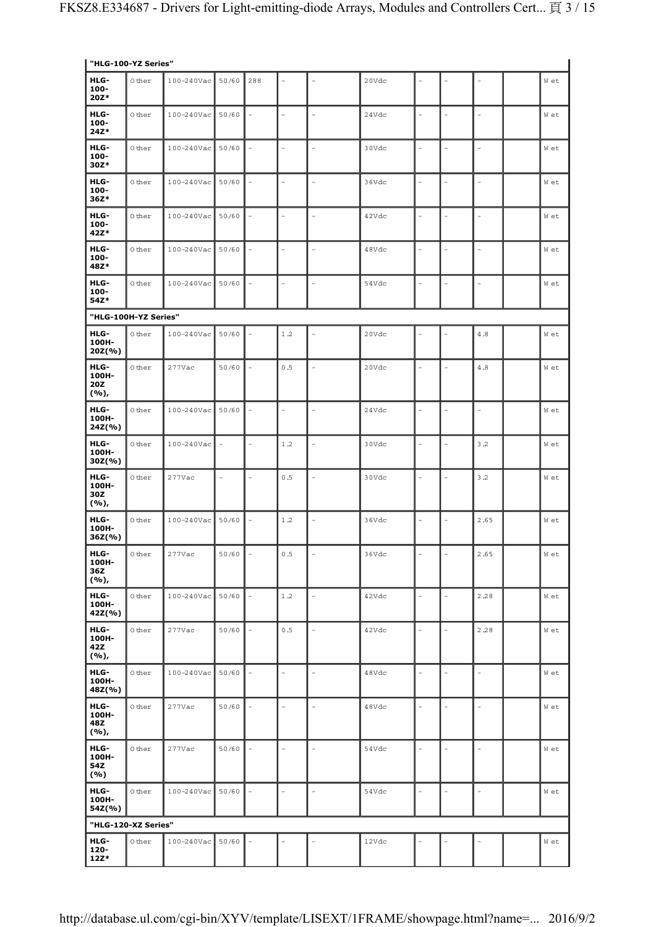| "HLG-100-YZ Series"               |        |                 |          |                          |           |                          |       |          |                |                          |      |
|-----------------------------------|--------|-----------------|----------|--------------------------|-----------|--------------------------|-------|----------|----------------|--------------------------|------|
| HLG-<br>100-<br>20Z*              | 0 ther | 100-240Vac      | 50/60    | 288                      |           |                          | 20Vdc |          |                |                          | W et |
| HLG-<br>100-<br>$24Z*$            | 0 ther | $100 - 240$ Vac | 50/60    | $\equiv$                 |           | $\overline{a}$           | 24Vdc |          |                | ۰                        | W et |
| HLG-<br>100-<br>30Z*              | 0 ther | 100-240Vac      | 50/60    | $\overline{\phantom{0}}$ |           | ÷,                       | 30Vdc |          |                |                          | W et |
| HLG-<br>100-<br>36Z*              | 0 ther | 100-240Vac      | 50/60    | $\overline{\phantom{a}}$ |           | $\equiv$                 | 36Vdc |          |                |                          | W et |
| HLG-<br>100-<br>42Z*              | 0 ther | 100-240Vac      | 50/60    |                          |           |                          | 42Vdc |          |                |                          | W et |
| HLG-<br>100-<br>48Z*              | 0 ther | 100-240Vac      | 50/60    | $\bar{a}$                | L         | $\overline{\phantom{0}}$ | 48Vdc |          |                | $\overline{a}$           | W et |
| HLG-<br>100-<br>54Z*              | 0 ther | 100-240Vac      | 50/60    | $\overline{\phantom{a}}$ | $\equiv$  | ÷,                       | 54Vdc |          | $\overline{a}$ |                          | W et |
| "HLG-100H-YZ Series"              |        |                 |          |                          |           |                          |       |          |                |                          |      |
| HLG-<br>100H-<br>20Z(%)           | 0 ther | $100 - 240$ Vac | 50/60    |                          | 1.2       |                          | 20Vdc |          |                | 4.8                      | W et |
| HLG-<br>100H-<br>20Z<br>(%),      | 0 ther | 277Vac          | 50/60    |                          | 0.5       |                          | 20Vdc |          |                | 4.8                      | W et |
| HLG-<br>100H-<br>24Z(%)           | 0 ther | 100-240Vac      | 50/60    | $\sim$                   | ÷         | ÷                        | 24Vdc | ä,       |                | $\sim$                   | W et |
| HLG-<br>100H-<br>$30Z(\% )$       | 0 ther | 100-240Vac      |          |                          | 1.2       |                          | 30Vdc |          |                | 3.2                      | W et |
| HLG-<br>100H-<br>30Z<br>(%),      | 0 ther | 277Vac          | $\equiv$ |                          | 0.5       | L.                       | 30Vdc |          |                | $3.2$                    | W et |
| HLG-<br>100H-<br>$36Z$ (%)        | 0 ther | 100-240Vac      | 50/60    | $\overline{a}$           | $1.2$     |                          | 36Vdc |          |                | 2.65                     | W et |
| HLG-<br>100H-<br>36Z<br>(%),      | 0 ther | 277Vac          | 50/60    | $\overline{\phantom{a}}$ | 0.5       |                          | 36Vdc |          |                | 2.65                     | W et |
| HLG-<br>100H-<br>42Z(%)           | 0 ther | $100 - 240$ Vac | 50/60    | $\equiv$                 | $1.2\,$   | L.                       | 42Vdc |          |                | 2.28                     | W et |
| HLG-<br>100H-<br>42Z<br>$(9/6)$ , | 0 ther | 277Vac          | 50/60    | $\overline{\phantom{a}}$ | 0.5       | ÷,                       | 42Vdc |          |                | 2.28                     | W et |
| HLG-<br>100H-<br>48Z(%)           | 0 ther | $100 - 240$ Vac | 50/60    | $\sim$                   |           | $\overline{a}$           | 48Vdc | ÷        |                | $\overline{a}$           | W et |
| HLG-<br>100H-<br>48Z<br>(%),      | 0 ther | 277Vac          | 50/60    | $\overline{\phantom{a}}$ | $\bar{ }$ | ÷,                       | 48Vdc | ÷,       |                | $\overline{\phantom{a}}$ | W et |
| HLG-<br>100H-<br>54Z<br>(%)       | 0 ther | 277Vac          | 50/60    | $\sim$                   |           | $\overline{a}$           | 54Vdc |          |                |                          | W et |
| HLG-<br>100H-<br>54Z(%)           | 0 ther | $100 - 240$ Vac | 50/60    | $\overline{a}$           |           | $\overline{a}$           | 54Vdc | $\equiv$ |                | $\overline{\phantom{a}}$ | W et |
| "HLG-120-XZ Series"               |        |                 |          |                          |           |                          |       |          |                |                          |      |
| HLG-<br>$120 -$<br>$12Z*$         | 0 ther | 100-240Vac      | 50/60    |                          |           |                          | 12Vdc |          |                |                          | W et |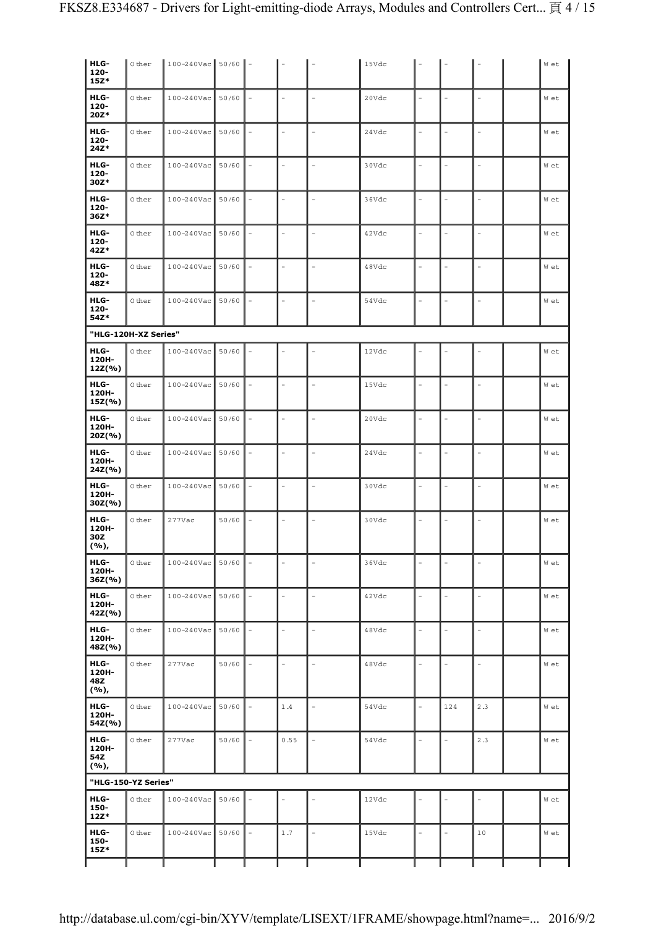| HLG-<br>$120 -$<br>$15Z*$    | 0 ther               | 100-240Vac 50/60 |       | $\overline{\phantom{a}}$ |                          |                          | 15Vdc |                |                |                          | W et |
|------------------------------|----------------------|------------------|-------|--------------------------|--------------------------|--------------------------|-------|----------------|----------------|--------------------------|------|
| HLG-<br>$120 -$<br>$20Z*$    | 0 ther               | 100-240Vac       | 50/60 |                          | ÷.                       | ÷,                       | 20Vdc |                |                | $\overline{\phantom{a}}$ | W et |
| HLG-<br>$120 -$<br>24Z*      | 0 ther               | 100-240Vac       | 50/60 |                          | $\bar{ }$                | $\overline{a}$           | 24Vdc |                |                | $\overline{\phantom{a}}$ | W et |
| HLG-<br>$120 -$<br>30Z*      | 0 ther               | 100-240Vac       | 50/60 |                          | $\equiv$                 | ÷,                       | 30Vdc | L.             |                | $\overline{\phantom{a}}$ | W et |
| HLG-<br>$120 -$<br>$36Z*$    | 0 ther               | 100-240Vac       | 50/60 |                          | $\equiv$                 | $\equiv$                 | 36Vdc | ÷,             |                | $\overline{\phantom{a}}$ | W et |
| HLG-<br>$120 -$<br>42Z*      | 0 ther               | 100-240Vac       | 50/60 |                          | $\sim$                   | $\bar{a}$                | 42Vdc | ۳              | L.             | $\equiv$                 | W et |
| HLG-<br>$120 -$<br>48Z*      | 0 ther               | 100-240Vac       | 50/60 |                          | $\overline{a}$           | $\overline{a}$           | 48Vdc |                |                | ÷,                       | W et |
| HLG-<br>$120 -$<br>54Z*      | 0 ther               | 100-240Vac       | 50/60 |                          | $\equiv$                 | $\overline{a}$           | 54Vdc |                |                | $\overline{a}$           | W et |
|                              | "HLG-120H-XZ Series" |                  |       |                          |                          |                          |       |                |                |                          |      |
| HLG-<br>120H-<br>$12Z(\% )$  | 0 ther               | 100-240Vac       | 50/60 |                          |                          |                          | 12Vdc |                |                |                          | W et |
| HLG-<br>120H-<br>15Z(%)      | 0 ther               | 100-240Vac       | 50/60 |                          | $\sim$                   | ÷.                       | 15Vdc |                |                | $\sim$                   | W et |
| HLG-<br>120H-<br>20Z(%)      | 0 ther               | 100-240Vac       | 50/60 |                          | $\equiv$                 | $\equiv$                 | 20Vdc | L.             | L.             | $\overline{a}$           | W et |
| HLG-<br>120H-<br>24Z(%)      | 0 ther               | 100-240Vac       | 50/60 |                          | $\overline{a}$           | $\overline{a}$           | 24Vdc | L,             |                | $\overline{a}$           | W et |
| HLG-<br>120H-<br>$30Z(\% )$  | 0 ther               | 100-240Vac       | 50/60 |                          | $\sim$                   | $\sim$                   | 30Vdc | L.             |                | $\overline{a}$           | W et |
| HLG-<br>120H-<br>30Z<br>(%), | 0 ther               | 277Vac           | 50/60 |                          | L,                       | $\overline{a}$           | 30Vdc |                |                | L.                       | W et |
| HLG-<br>120H-<br>36Z(%)      | 0 ther               | 100-240Vac       | 50/60 |                          | $\overline{\phantom{a}}$ | $\overline{\phantom{0}}$ | 36Vdc |                |                | $\qquad \qquad -$        | W et |
| HLG-<br>120H-<br>42Z(%)      | 0 ther               | 100-240Vac       | 50/60 |                          | $\overline{a}$           | $\frac{1}{2}$            | 42Vdc | $\overline{a}$ | $\overline{a}$ | $\overline{a}$           | W et |
| HLG-<br>120H-<br>48Z(%)      | 0 ther               | 100-240Vac       | 50/60 |                          | $\overline{a}$           | $\frac{1}{2}$            | 48Vdc |                |                | $\overline{\phantom{a}}$ | W et |
| HLG-<br>120H-<br>48Z<br>(%), | 0 ther               | 277Vac           | 50/60 |                          | $\equiv$                 | $\overline{a}$           | 48Vdc | L,             | L.             | $\sim$                   | W et |
| HLG-<br>120H-<br>54Z(%)      | 0 ther               | 100-240Vac       | 50/60 |                          | 1.4                      |                          | 54Vdc |                | 124            | 2.3                      | W et |
| HLG-<br>120H-<br>54Z<br>(%), | 0 ther               | 277Vac           | 50/60 |                          | 0.55                     |                          | 54Vdc | L.             | L              | 2.3                      | W et |
|                              | "HLG-150-YZ Series"  |                  |       |                          |                          |                          |       |                |                |                          |      |
| HLG-<br>150-<br>$12Z*$       | 0 ther               | 100-240Vac       | 50/60 |                          |                          |                          | 12Vdc |                |                |                          | W et |
| HLG-<br>150-<br>$15Z*$       | 0 ther               | 100-240Vac       | 50/60 |                          | $1.7$                    | $\equiv$                 | 15Vdc | L.             |                | 10                       | W et |
|                              |                      |                  |       |                          |                          |                          |       |                |                |                          |      |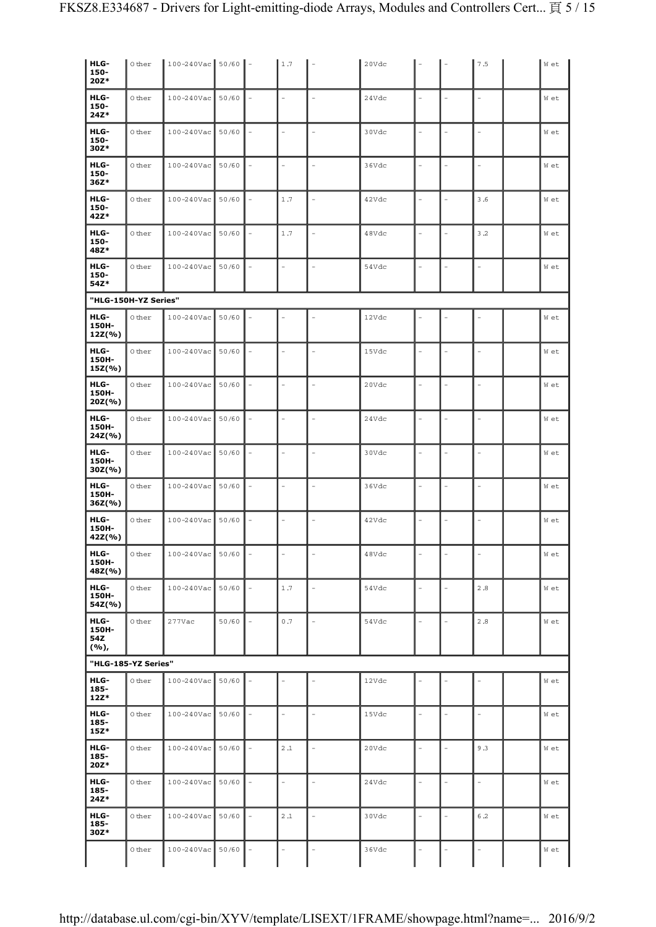| HLG-<br>150-<br>$20Z*$      | 0 ther               | $100 - 240$ Vac 50/60 |       | $\overline{\phantom{a}}$ | 1.7            |                | 20Vdc |                          |                | 7.5                      | W et |
|-----------------------------|----------------------|-----------------------|-------|--------------------------|----------------|----------------|-------|--------------------------|----------------|--------------------------|------|
| HLG-                        | 0 ther               | 100-240Vac            | 50/60 |                          | ÷,             | ÷,             | 24Vdc | $\overline{a}$           |                | $\overline{\phantom{0}}$ | W et |
| 150-<br>24Z*                |                      |                       |       |                          |                |                |       |                          |                |                          |      |
| HLG-<br>150-<br>30Z*        | 0 ther               | 100-240Vac            | 50/60 | $\equiv$                 | L.             | ÷              | 30Vdc | ÷,                       |                | L.                       | W et |
| HLG-<br>150-<br>$36Z*$      | 0 ther               | 100-240Vac            | 50/60 |                          |                | $\overline{a}$ | 36Vdc |                          |                | L,                       | W et |
| HLG-<br>150-<br>42Z*        | 0 ther               | 100-240Vac            | 50/60 |                          | 1.7            | $\overline{a}$ | 42Vdc |                          |                | 3.6                      | W et |
| HLG-<br>150-<br>48Z*        | 0 ther               | 100-240Vac            | 50/60 |                          | 1.7            |                | 48Vdc |                          |                | 3.2                      | W et |
| HLG-<br>150-<br>54Z*        | 0 ther               | 100-240Vac            | 50/60 |                          | L.             | L.             | 54Vdc |                          |                |                          | W et |
|                             | "HLG-150H-YZ Series" |                       |       |                          |                |                |       |                          |                |                          |      |
| HLG-<br>150H-<br>$12Z(\% )$ | 0 ther               | 100-240Vac            | 50/60 |                          |                |                | 12Vdc |                          |                |                          | W et |
| HLG-<br>150H-<br>$15Z(\% )$ | 0 ther               | 100-240Vac            | 50/60 |                          | ۳              | $\overline{a}$ | 15Vdc |                          |                | L.                       | W et |
| HLG-<br>150H-<br>$20Z(\% )$ | 0 ther               | 100-240Vac            | 50/60 |                          |                | ÷,             | 20Vdc |                          |                |                          | W et |
| HLG-<br>150H-<br>24Z(%)     | 0 ther               | 100-240Vac            | 50/60 |                          | $\overline{a}$ |                | 24Vdc |                          |                |                          | W et |
| HLG-<br>150H-<br>$30Z(\% )$ | 0 ther               | 100-240Vac            | 50/60 |                          | L.             |                | 30Vdc |                          |                |                          | W et |
| HLG-<br>150H-<br>$36Z$ (%)  | 0 ther               | 100-240Vac            | 50/60 |                          | $\overline{a}$ |                | 36Vdc | L,                       | L,             | L,                       | W et |
| HLG-<br>150H-<br>42Z(%)     | 0 ther               | 100-240Vac            | 50/60 |                          | L.             |                | 42Vdc | ÷,                       | L.             | L,                       | W et |
| HLG-<br>150H-<br>48Z(%)     | $\circ$ ther         | $100 - 240$ Vac 50/60 |       | $\sim$                   |                |                | 48Vdc |                          |                |                          | W et |
| HLG-<br>150H-<br>54Z(%)     | 0 ther               | 100-240Vac            | 50/60 |                          | 1.7            | $\overline{a}$ | 54Vdc | $\overline{a}$           | $\overline{a}$ | 2.8                      | W et |
| HLG-<br>150H-<br>54Z        | 0 ther               | 277Vac                | 50/60 |                          | 0.7            | $\overline{a}$ | 54Vdc |                          | L,             | 2.8                      | W et |
| (%),                        | "HLG-185-YZ Series"  |                       |       |                          |                |                |       |                          |                |                          |      |
| HLG-<br>185-<br>$12Z*$      | 0 ther               | 100-240Vac            | 50/60 |                          |                |                | 12Vdc |                          |                |                          | W et |
| HLG-<br>185-<br>$15Z*$      | 0 ther               | $100 - 240$ Vac       | 50/60 |                          | ۳              | L.             | 15Vdc | $\overline{\phantom{0}}$ | $\overline{a}$ | L.                       | W et |
| HLG-<br>185-<br>20Z*        | 0 ther               | 100-240Vac            | 50/60 | $\overline{\phantom{a}}$ | 2.1            | ÷,             | 20Vdc |                          |                | 9.3                      | W et |
| HLG-<br>185-<br>$24Z*$      | 0 ther               | 100-240Vac            | 50/60 |                          | ۳              | L.             | 24Vdc | $\overline{\phantom{0}}$ |                | $\overline{a}$           | W et |
| HLG-<br>185-<br>30Z*        | 0 ther               | 100-240Vac            | 50/60 |                          | 2.1            |                | 30Vdc |                          |                | 6.2                      | W et |
|                             | 0 ther               | $100 - 240$ Vac       | 50/60 |                          |                |                | 36Vdc |                          |                | L,                       | W et |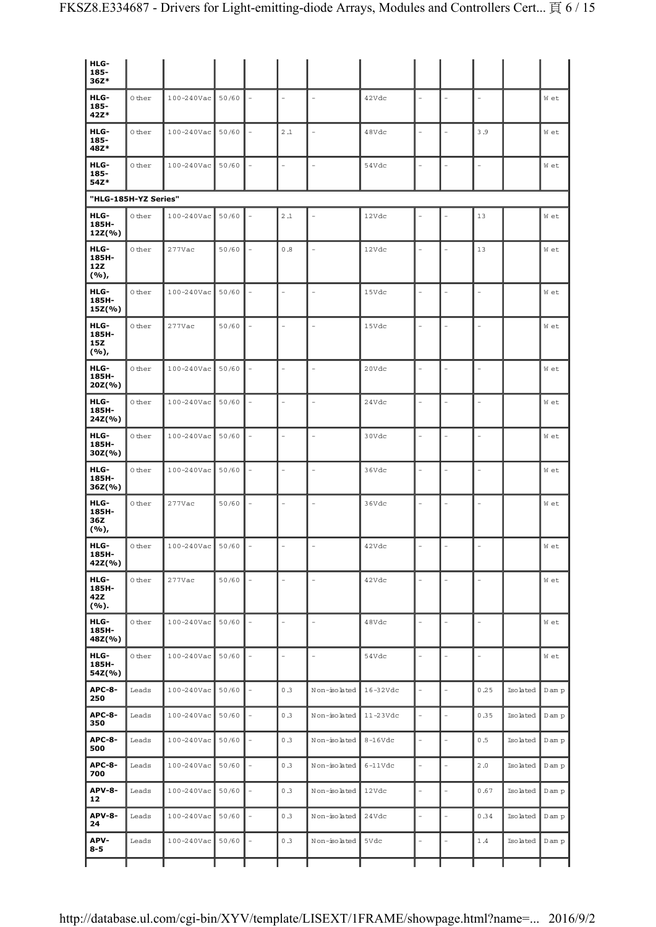| HLG-<br>185-                      |                      |                 |       |                |                          |              |                          |                          |          |        |
|-----------------------------------|----------------------|-----------------|-------|----------------|--------------------------|--------------|--------------------------|--------------------------|----------|--------|
| 36Z*                              |                      |                 |       |                |                          |              |                          |                          |          |        |
| HLG-<br>185-<br>42Z*              | 0 ther               | $100 - 240$ Vac | 50/60 |                | $\overline{\phantom{a}}$ | 42Vdc        |                          |                          |          | W et   |
| HLG-<br>185-<br>48Z*              | 0 ther               | $100 - 240$ Vac | 50/60 | $2\, .1$       | $\overline{a}$           | 48Vdc        |                          | 3.9                      |          | W et   |
| HLG-<br>185-<br>54Z*              | 0 ther               | 100-240Vac      | 50/60 |                | $\frac{1}{2}$            | 54Vdc        |                          | ÷,                       |          | W et   |
|                                   | "HLG-185H-YZ Series" |                 |       |                |                          |              |                          |                          |          |        |
| HLG-<br>185H-<br>12Z(%)           | 0 ther               | 100-240Vac      | 50/60 | 2.1            | L,                       | 12Vdc        |                          | 13                       |          | W et   |
| HLG-<br>185H-<br>12Z<br>(%),      | 0 ther               | 277Vac          | 50/60 | 0.8            | $\frac{1}{2}$            | 12Vdc        |                          | 13                       |          | W et   |
| HLG-<br>185H-<br>$15Z(\% )$       | $\circ$ ther         | 100-240Vac      | 50/60 | $\overline{a}$ | $\overline{\phantom{a}}$ | 15Vdc        | $\equiv$                 | $\sim$                   |          | W et   |
| HLG-<br>185H-<br>15Z<br>(%),      | 0 ther               | 277Vac          | 50/60 |                | $\equiv$                 | 15Vdc        |                          |                          |          | W et   |
| HLG-<br>185H-<br>$20Z$ (%)        | 0 ther               | 100-240Vac      | 50/60 | L.             | $\frac{1}{2}$            | 20Vdc        |                          |                          |          | W et   |
| HLG-<br>185H-<br>24Z(%)           | 0 ther               | 100-240Vac      | 50/60 |                | $\frac{1}{2}$            | 24Vdc        |                          |                          |          | W et   |
| HLG-<br>185H-<br>$30Z(\% )$       | 0 ther               | 100-240Vac      | 50/60 | L.             | ÷,                       | 30Vdc        |                          |                          |          | W et   |
| HLG-<br>185H-<br>$36Z$ (%)        | 0 ther               | 100-240Vac      | 50/60 | $\equiv$       | $\equiv$                 | 36Vdc        | $\overline{a}$           | $\overline{a}$           |          | W et   |
| HLG-<br>185H-<br>36Z<br>$(9/6)$ , | $\circ$ ther         | 277Vac          | 50/60 | $\equiv$       | $\overline{\phantom{a}}$ | 36Vdc        | $\overline{\phantom{a}}$ | $\overline{a}$           |          | W et   |
| HLG-<br>185H-<br>42Z(%)           | 0 ther               | $100 - 240$ Vac | 50/60 |                | $\overline{a}$           | 42Vdc        | $\overline{a}$           | ÷,                       |          | W et   |
| HLG-<br>185H-<br>42Z<br>(%).      | 0 ther               | 277Vac          | 50/60 |                | $\blacksquare$           | 42Vdc        |                          |                          |          | W et   |
| HLG-<br>185H-<br>48Z(%)           | 0 ther               | 100-240Vac      | 50/60 | $\overline{a}$ | $\blacksquare$           | 48Vdc        | ÷.                       | $\overline{\phantom{a}}$ |          | W et   |
| HLG-<br>185H-<br>54Z(%)           | 0 ther               | 100-240Vac      | 50/60 | $\overline{a}$ | $\blacksquare$           | 54Vdc        |                          |                          |          | W et   |
| <b>APC-8-</b><br>250              | Leads                | 100-240Vac      | 50/60 | 0.3            | Non-isolated             | $16 - 32Vdc$ |                          | 0.25                     | Isolated | D am p |
| <b>APC-8-</b><br>350              | Leads                | 100-240Vac      | 50/60 | 0.3            | Non-isolated             | 11-23Vdc     | L,                       | 0.35                     | Isolated | D am p |
| <b>APC-8-</b><br>500              | Leads                | 100-240Vac      | 50/60 | 0.3            | Non-isolated             | $8-16Vdc$    | $\overline{a}$           | 0.5                      | Isolated | D am p |
| <b>APC-8-</b><br>700              | Leads                | 100-240Vac      | 50/60 | 0.3            | Non-isolated             | $6-11Vdc$    |                          | 2.0                      | Isolated | D am p |
| <b>APV-8-</b><br>12               | Leads                | 100-240Vac      | 50/60 | 0.3            | Non-isolated             | 12Vdc        |                          | 0.67                     | Isolated | D am p |
| <b>APV-8-</b><br>24               | Leads                | 100-240Vac      | 50/60 | 0.3            | Non-isolated             | 24Vdc        |                          | 0.34                     | Isolated | D am p |
| APV-<br>$8 - 5$                   | Leads                | 100-240Vac      | 50/60 | 0.3            | Non-isolated             | 5Vdc         | L.                       | 1.4                      | Isolated | D am p |
|                                   |                      |                 |       |                |                          |              |                          |                          |          |        |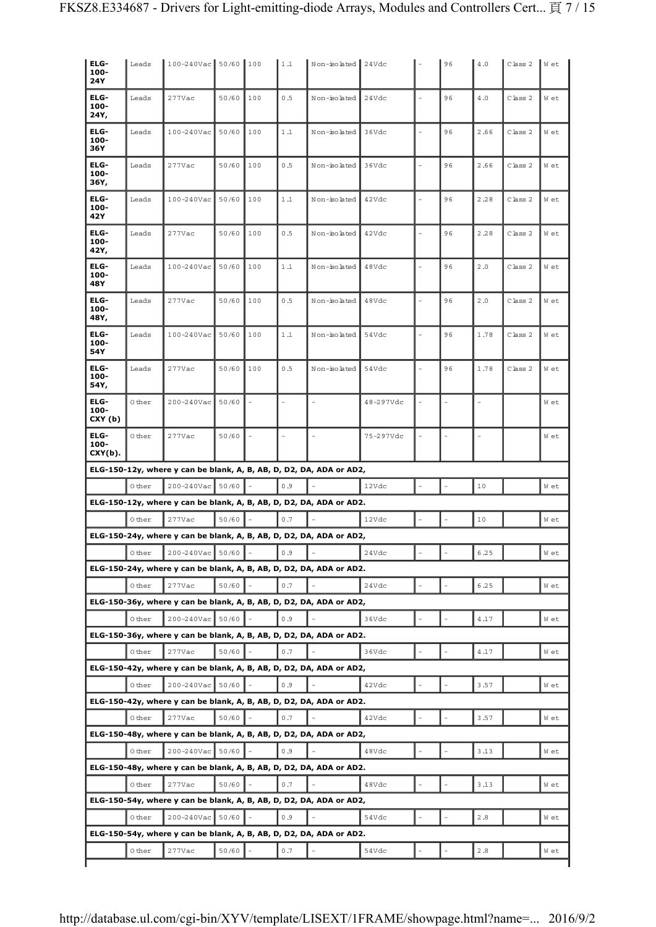| ELG-<br>100-<br><b>24Y</b> | Leads  | 100-240Vac 50/60 |       | 100 | 1.1   | Non-isolated 24Vdc                                                  |                    |    | 96 | 4.0  | Class 2      | W et |
|----------------------------|--------|------------------|-------|-----|-------|---------------------------------------------------------------------|--------------------|----|----|------|--------------|------|
| ELG-<br>100-<br>24Y,       | Leads  | 277Vac           | 50/60 | 100 | 0.5   | Non-isolated                                                        | 24Vdc              |    | 96 | 4.0  | Class 2      | W et |
| ELG-<br>100-<br>36Y        | Leads  | 100-240Vac       | 50/60 | 100 | 1.1   | Non-isolated                                                        | 36Vdc              |    | 96 | 2.66 | Class 2      | W et |
| ELG-<br>100-<br>36Y,       | Leads  | 277Vac           | 50/60 | 100 | 0.5   | Non-isolated                                                        | 36Vdc              |    | 96 | 2.66 | Class 2      | W et |
| ELG-<br>100-<br>42Y        | Leads  | 100-240Vac       | 50/60 | 100 | 1.1   | Non-isolated                                                        | 42Vdc              | L, | 96 | 2.28 | Class 2      | W et |
| ELG-<br>100-<br>42Y,       | Leads  | 277Vac           | 50/60 | 100 | 0.5   | Non-isolated                                                        | 42Vdc              | L, | 96 | 2.28 | $C$ lass $2$ | W et |
| ELG-<br>100-<br>48Y        | Leads  | 100-240Vac       | 50/60 | 100 | $1.1$ | Non-isolated                                                        | 48Vdc              |    | 96 | 2.0  | Class 2      | W et |
| ELG-<br>$100 -$<br>48Y,    | Leads  | 277Vac           | 50/60 | 100 | 0.5   | Non-isolated                                                        | 48Vdc              |    | 96 | 2.0  | Class 2      | W et |
| ELG-<br>100-<br>54Y        | Leads  | 100-240Vac       | 50/60 | 100 | 1.1   | Non-isolated                                                        | 54Vdc              |    | 96 | 1.78 | Class 2      | W et |
| ELG-<br>100-<br>54Y,       | Leads  | 277Vac           | 50/60 | 100 | 0.5   | Non-isolated                                                        | 54Vdc              |    | 96 | 1.78 | Class 2      | W et |
| ELG-<br>100-<br>CXY (b)    | 0 ther | 200-240Vac       | 50/60 |     |       |                                                                     | 48-297Vdc          |    |    |      |              | W et |
| ELG-<br>100-<br>$CXY(b)$ . | 0 ther | $277$ Vac        | 50/60 |     |       |                                                                     | 75-297Vdc          |    |    |      |              | W et |
|                            |        |                  |       |     |       |                                                                     |                    |    |    |      |              |      |
|                            |        |                  |       |     |       | ELG-150-12y, where y can be blank, A, B, AB, D, D2, DA, ADA or AD2, |                    |    |    |      |              |      |
|                            | 0 ther | 200-240Vac       | 50/60 |     | 0.9   |                                                                     | 12Vdc              |    |    | 10   |              | W et |
|                            |        |                  |       |     |       | ELG-150-12y, where y can be blank, A, B, AB, D, D2, DA, ADA or AD2. |                    |    |    |      |              |      |
|                            | 0 ther | 277Vac           | 50/60 |     | 0.7   |                                                                     | 12Vdc              |    |    | 10   |              | W et |
|                            |        |                  |       |     |       | ELG-150-24y, where y can be blank, A, B, AB, D, D2, DA, ADA or AD2, |                    |    |    |      |              |      |
|                            | 0 ther | $200 - 240$ Vac  | 50/60 |     | 0.9   |                                                                     | $2\,4\mathrm{Vdc}$ |    |    | 6.25 |              | w et |
|                            |        |                  |       |     |       | ELG-150-24y, where y can be blank, A, B, AB, D, D2, DA, ADA or AD2. |                    |    |    |      |              |      |
|                            | 0 ther | 277Vac           | 50/60 |     | 0.7   |                                                                     | 24Vdc              |    |    | 6.25 |              | W et |
|                            |        |                  |       |     |       | ELG-150-36y, where y can be blank, A, B, AB, D, D2, DA, ADA or AD2, |                    |    |    |      |              |      |
|                            | 0 ther | 200-240Vac       | 50/60 |     | 0.9   |                                                                     | 36Vdc              |    |    | 4.17 |              | W et |
|                            |        |                  |       |     |       | ELG-150-36y, where y can be blank, A, B, AB, D, D2, DA, ADA or AD2. |                    |    |    |      |              |      |
|                            | 0 ther | 277Vac           | 50/60 |     | 0.7   |                                                                     | 36Vdc              |    |    | 4.17 |              | W et |
|                            |        |                  |       |     |       | ELG-150-42y, where y can be blank, A, B, AB, D, D2, DA, ADA or AD2, |                    |    |    |      |              |      |
|                            | 0 ther | 200-240Vac       | 50/60 |     | 0.9   |                                                                     | 42Vdc              |    |    | 3.57 |              | W et |
|                            |        |                  |       |     |       | ELG-150-42y, where y can be blank, A, B, AB, D, D2, DA, ADA or AD2. |                    |    |    |      |              |      |
|                            | 0 ther | 277Vac           | 50/60 |     | 0.7   |                                                                     | 42Vdc              |    |    | 3.57 |              | W et |
|                            |        |                  |       |     |       | ELG-150-48y, where y can be blank, A, B, AB, D, D2, DA, ADA or AD2, |                    |    |    |      |              |      |
|                            | 0 ther | 200-240Vac       | 50/60 |     | 0.9   |                                                                     | 48Vdc              |    |    | 3.13 |              | W et |
|                            |        |                  |       |     |       | ELG-150-48y, where y can be blank, A, B, AB, D, D2, DA, ADA or AD2. |                    |    |    |      |              |      |
|                            | 0 ther | 277Vac           | 50/60 |     | 0.7   |                                                                     | 48Vdc              |    |    | 3.13 |              | W et |
|                            |        |                  |       |     |       |                                                                     |                    |    |    |      |              |      |
|                            |        |                  |       |     |       | ELG-150-54y, where y can be blank, A, B, AB, D, D2, DA, ADA or AD2, |                    |    |    |      |              |      |
|                            | 0 ther | 200-240Vac       | 50/60 |     | 0.9   |                                                                     | 54Vdc              |    |    | 2.8  |              | W et |
|                            | 0 ther | 277Vac           | 50/60 |     | 0.7   | ELG-150-54y, where y can be blank, A, B, AB, D, D2, DA, ADA or AD2. | 54Vdc              |    |    | 2.8  |              | W et |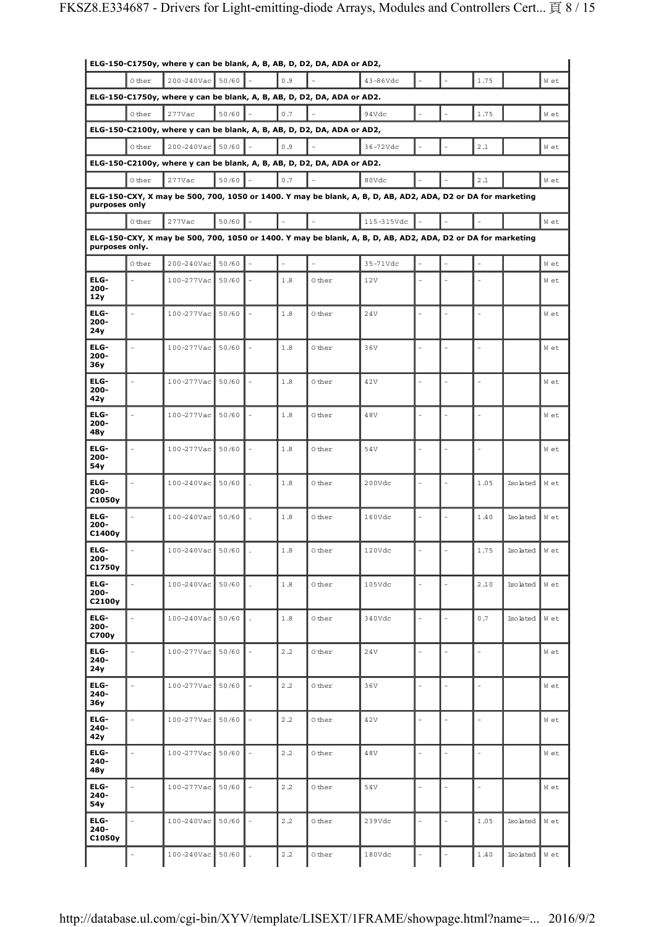| ELG-150-C1750y, where y can be blank, A, B, AB, D, D2, DA, ADA or AD2, |                |                  |       |  |         |                                                                        |                                                                                                             |  |                |                          |                           |      |
|------------------------------------------------------------------------|----------------|------------------|-------|--|---------|------------------------------------------------------------------------|-------------------------------------------------------------------------------------------------------------|--|----------------|--------------------------|---------------------------|------|
|                                                                        | 0 ther         | 200-240Vac       | 50/60 |  | 0.9     |                                                                        | 43-86Vdc                                                                                                    |  |                | 1.75                     |                           | W et |
|                                                                        |                |                  |       |  |         | ELG-150-C1750y, where y can be blank, A, B, AB, D, D2, DA, ADA or AD2. |                                                                                                             |  |                |                          |                           |      |
|                                                                        | 0 ther         | 277Vac           | 50/60 |  | 0.7     |                                                                        | 94Vdc                                                                                                       |  |                | 1.75                     |                           | W et |
|                                                                        |                |                  |       |  |         | ELG-150-C2100y, where y can be blank, A, B, AB, D, D2, DA, ADA or AD2, |                                                                                                             |  |                |                          |                           |      |
|                                                                        | 0 ther         | 200-240Vac       | 50/60 |  | 0.9     |                                                                        | 36-72Vdc                                                                                                    |  |                | 2.1                      |                           | W et |
|                                                                        |                |                  |       |  |         | ELG-150-C2100y, where y can be blank, A, B, AB, D, D2, DA, ADA or AD2. |                                                                                                             |  |                |                          |                           |      |
|                                                                        | 0 ther         | 277Vac           | 50/60 |  | 0.7     |                                                                        | 80Vdc                                                                                                       |  |                | 2.1                      |                           | W et |
|                                                                        |                |                  |       |  |         |                                                                        | ELG-150-CXY, X may be 500, 700, 1050 or 1400. Y may be blank, A, B, D, AB, AD2, ADA, D2 or DA for marketing |  |                |                          |                           |      |
| purposes only                                                          |                |                  |       |  |         |                                                                        |                                                                                                             |  |                |                          |                           |      |
|                                                                        | 0 ther         | 277Vac           | 50/60 |  |         |                                                                        | 115-315Vdc                                                                                                  |  |                |                          |                           | W et |
| purposes only.                                                         |                |                  |       |  |         |                                                                        | ELG-150-CXY, X may be 500, 700, 1050 or 1400. Y may be blank, A, B, D, AB, AD2, ADA, D2 or DA for marketing |  |                |                          |                           |      |
|                                                                        | 0 ther         | 200-240Vac       | 50/60 |  |         | $\equiv$                                                               | 35-71Vdc                                                                                                    |  |                |                          |                           | W et |
| ELG-                                                                   |                | 100-277Vac       | 50/60 |  | 1.8     | 0 ther                                                                 | 12V                                                                                                         |  |                |                          |                           | W et |
| $200 -$<br>12y                                                         |                |                  |       |  |         |                                                                        |                                                                                                             |  |                |                          |                           |      |
| ELG-                                                                   |                | 100-277Vac       | 50/60 |  | 1.8     | 0 ther                                                                 | 24V                                                                                                         |  |                |                          |                           | W et |
| $200 -$<br>24y                                                         |                |                  |       |  |         |                                                                        |                                                                                                             |  |                |                          |                           |      |
| ELG-                                                                   |                | 100-277Vac       | 50/60 |  | $1.8\,$ | 0 ther                                                                 | 36V                                                                                                         |  |                |                          |                           | W et |
| 200-<br>36y                                                            |                |                  |       |  |         |                                                                        |                                                                                                             |  |                |                          |                           |      |
| ELG-                                                                   |                | 100-277Vac       | 50/60 |  | 1.8     | 0 ther                                                                 | 42V                                                                                                         |  |                |                          |                           | W et |
| $200 -$<br>42y                                                         |                |                  |       |  |         |                                                                        |                                                                                                             |  |                |                          |                           |      |
| ELG-                                                                   | $\overline{a}$ | 100-277Vac       | 50/60 |  | 1.8     | 0 ther                                                                 | 48V                                                                                                         |  | $\equiv$       |                          |                           | W et |
| 200-                                                                   |                |                  |       |  |         |                                                                        |                                                                                                             |  |                |                          |                           |      |
| 48y<br>ELG-                                                            |                |                  |       |  | 1.8     |                                                                        |                                                                                                             |  |                |                          |                           |      |
| $200 -$                                                                |                | 100-277Vac       | 50/60 |  |         | 0 ther                                                                 | 54V                                                                                                         |  |                |                          |                           | W et |
| 54y                                                                    |                |                  |       |  |         |                                                                        |                                                                                                             |  |                |                          |                           |      |
| ELG-<br>$200 -$                                                        |                | $100 - 240$ Vac  | 50/60 |  | 1.8     | 0 ther                                                                 | 200Vdc                                                                                                      |  |                | 1.05                     | Isolated                  | W et |
| C1050y                                                                 |                |                  |       |  |         |                                                                        |                                                                                                             |  |                |                          |                           |      |
| ELG-<br>$200 -$                                                        |                | 100-240Vac       | 50/60 |  | 1.8     | 0 ther                                                                 | 160Vdc                                                                                                      |  |                | 1.40                     | Isolated                  | W et |
| C1400y                                                                 |                |                  |       |  |         |                                                                        |                                                                                                             |  |                |                          |                           |      |
| ELG-<br>200-                                                           |                | 100-240Vac 50/60 |       |  | 1.8     | 0 ther                                                                 | 120Vdc                                                                                                      |  |                | 1.75                     | $Isolated \parallel W et$ |      |
| C1750y                                                                 |                |                  |       |  |         |                                                                        |                                                                                                             |  |                |                          |                           |      |
| ELG-<br>200-                                                           |                | $100 - 240$ Vac  | 50/60 |  | 1.8     | 0 ther                                                                 | 105Vdc                                                                                                      |  |                | 2.10                     | Isolated                  | W et |
| C2100y                                                                 |                |                  |       |  |         |                                                                        |                                                                                                             |  |                |                          |                           |      |
| ELG-                                                                   |                | 100-240Vac       | 50/60 |  | 1.8     | 0 ther                                                                 | 340Vdc                                                                                                      |  |                | 0.7                      | Isolated                  | W et |
| $200 -$<br>C700y                                                       |                |                  |       |  |         |                                                                        |                                                                                                             |  |                |                          |                           |      |
| ELG-                                                                   |                | 100-277Vac       | 50/60 |  | 2.2     | 0 ther                                                                 | 24V                                                                                                         |  | $\overline{a}$ | ÷,                       |                           | W et |
| $240 -$<br>24y                                                         |                |                  |       |  |         |                                                                        |                                                                                                             |  |                |                          |                           |      |
| ELG-                                                                   | $\overline{a}$ | 100-277Vac       | 50/60 |  | 2.2     | 0 ther                                                                 | 36V                                                                                                         |  |                | $\overline{a}$           |                           | W et |
| $240 -$<br>36y                                                         |                |                  |       |  |         |                                                                        |                                                                                                             |  |                |                          |                           |      |
| ELG-                                                                   |                | 100-277Vac       | 50/60 |  | 2.2     | 0 ther                                                                 | 42V                                                                                                         |  |                | $\overline{\phantom{a}}$ |                           | W et |
| $240 -$<br>42y                                                         |                |                  |       |  |         |                                                                        |                                                                                                             |  |                |                          |                           |      |
| ELG-                                                                   |                | 100-277Vac       | 50/60 |  | 2.2     | 0 ther                                                                 | 48V                                                                                                         |  |                |                          |                           | W et |
| $240 -$<br>48y                                                         |                |                  |       |  |         |                                                                        |                                                                                                             |  |                |                          |                           |      |
|                                                                        |                |                  |       |  |         |                                                                        |                                                                                                             |  |                |                          |                           |      |
| ELG-<br>$240 -$                                                        |                | 100-277Vac       | 50/60 |  | 2.2     | 0 ther                                                                 | 54V                                                                                                         |  |                |                          |                           | W et |
| 54y                                                                    |                |                  |       |  |         |                                                                        |                                                                                                             |  |                |                          |                           |      |
| ELG-<br>$240 -$                                                        |                | 100-240Vac       | 50/60 |  | 2.2     | 0 ther                                                                 | 239Vdc                                                                                                      |  |                | 1.05                     | Isolated                  | W et |
| C1050y                                                                 |                |                  |       |  |         |                                                                        |                                                                                                             |  |                |                          |                           |      |
|                                                                        |                | 100-240Vac       | 50/60 |  | 2.2     | 0 ther                                                                 | 180Vdc                                                                                                      |  |                | 1.40                     | Isolated                  | W et |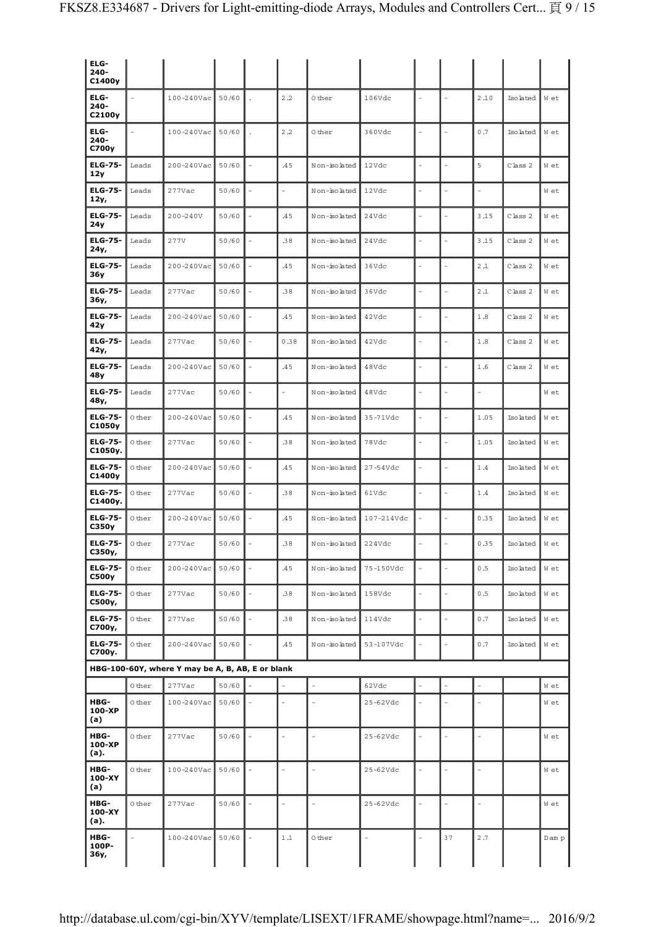| ELG-<br>$240 -$<br>C1400y |        |                                                  |       |                |                      |                |                          |      |          |       |
|---------------------------|--------|--------------------------------------------------|-------|----------------|----------------------|----------------|--------------------------|------|----------|-------|
| ELG-<br>$240 -$<br>C2100y |        | 100-240Vac                                       | 50/60 | 2.2            | 0 ther               | 106Vdc         |                          | 2.10 | Isolated | W et  |
| ELG-<br>$240 -$<br>C700y  |        | 100-240Vac                                       | 50/60 | 2.2            | 0 ther               | 360Vdc         | $\overline{\phantom{a}}$ | 0.7  | Isolated | W et  |
| <b>ELG-75-</b><br>12y     | Leads  | 200-240Vac                                       | 50/60 | .45            | Non-isolated         | 12Vdc          |                          | 5    | Class 2  | W et  |
| <b>ELG-75-</b><br>12y,    | Leads  | 277Vac                                           | 50/60 |                | Non-isolated         | 12Vdc          |                          |      |          | W et  |
| <b>ELG-75-</b><br>24y     | Leads  | $200 - 240V$                                     | 50/60 | .45            | Non-isolated         | 24Vdc          |                          | 3.15 | Class 2  | W et  |
| <b>ELG-75-</b><br>24y,    | Leads  | 277V                                             | 50/60 | .38            | Non-isolated         | 24Vdc          |                          | 3.15 | Class 2  | W et  |
| <b>ELG-75-</b><br>36y     | Leads  | 200-240Vac                                       | 50/60 | .45            | Non-isolated         | 36Vdc          |                          | 2.1  | Class 2  | W et  |
| <b>ELG-75-</b><br>36у,    | Leads  | 277Vac                                           | 50/60 | .38            | Non-isolated         | 36Vdc          |                          | 2.1  | Class 2  | W et  |
| <b>ELG-75-</b><br>42y     | Leads  | 200-240Vac                                       | 50/60 | .45            | Non-isolated         | 42Vdc          |                          | 1.8  | Class 2  | W et  |
| <b>ELG-75-</b><br>42y,    | Leads  | 277Vac                                           | 50/60 | 0.38           | Non-isolated         | 42Vdc          |                          | 1.8  | Class 2  | W et  |
| <b>ELG-75-</b><br>48y     | Leads  | 200-240Vac                                       | 50/60 | .45            | Non-isolated         | 48Vdc          |                          | 1.6  | Class 2  | W et  |
| <b>ELG-75-</b><br>48y,    | Leads  | 277Vac                                           | 50/60 |                | Non-isolated         | 48Vdc          |                          |      |          | W et  |
| <b>ELG-75-</b><br>C1050y  | 0 ther | 200-240Vac                                       | 50/60 | .45            | Non-isolated         | 35-71Vdc       | ÷                        | 1.05 | Isolated | W et  |
| <b>ELG-75-</b><br>C1050y. | 0 ther | 277Vac                                           | 50/60 | .38            | Non-isolated         | 78Vdc          |                          | 1.05 | Isolated | W et  |
| <b>ELG-75-</b><br>C1400y  | 0 ther | 200-240Vac                                       | 50/60 | .45            | Non-isolated         | $27 - 54V$ dc  |                          | 1.4  | Isolated | W et  |
| <b>ELG-75-</b><br>C1400y. | 0 ther | 277Vac                                           | 50/60 | .38            | Non-isolated         | 61Vdc          |                          | 1.4  | Isolated | W et  |
| <b>ELG-75-</b><br>C350y   | 0 ther | 200-240Vac                                       | 50/60 | .45            | Non-isolated         | 107-214Vdc     |                          | 0.35 | Isolated | W et  |
| <b>ELG-75-</b><br>С350у,  | 0 ther | 277Vac                                           | 50/60 | .38            | Non-isolated         | 224Vdc         |                          | 0.35 | Isolated | W et  |
| <b>ELG-75-</b><br>C500y   | 0 ther | 200-240Vac                                       | 50/60 | .45            | Non-isolated         | 75-150Vdc      |                          | 0.5  | Isolated | W et  |
| <b>ELG-75-</b><br>C500y,  | 0 ther | 277Vac                                           | 50/60 | .38            | Non-isolated         | 158Vdc         |                          | 0.5  | Isolated | W et  |
| <b>ELG-75-</b><br>C700y,  | 0 ther | 277Vac                                           | 50/60 | .38            | Non-isolated         | 114Vdc         |                          | 0.7  | Isolated | W et  |
| <b>ELG-75-</b><br>C700y.  | 0 ther | 200-240Vac                                       | 50/60 | .45            | Non-isolated         | 53-107Vdc      |                          | 0.7  | Isolated | W et  |
|                           |        | HBG-100-60Y, where Y may be A, B, AB, E or blank |       |                |                      |                |                          |      |          |       |
|                           | 0 ther | 277Vac                                           | 50/60 |                | $\ddot{\phantom{1}}$ | 62Vdc          |                          |      |          | W et  |
| HBG-<br>100-XP<br>(a)     | 0 ther | 100-240Vac                                       | 50/60 |                |                      | $25-62Vdc$     |                          |      |          | W et  |
| HBG-<br>100-XP<br>(a).    | 0 ther | 277Vac                                           | 50/60 | $\overline{a}$ | $\frac{1}{2}$        | $25-62Vdc$     |                          |      |          | W et  |
| HBG-<br>100-XY<br>(a)     | 0 ther | 100-240Vac                                       | 50/60 |                | $\equiv$             | $25-62Vdc$     |                          |      |          | W et  |
| HBG-<br>100-XY<br>(a).    | 0 ther | 277Vac                                           | 50/60 | $\overline{a}$ | $\equiv$             | $25-62Vdc$     |                          |      |          | W et  |
| HBG-<br>100P-<br>36y,     |        | 100-240Vac                                       | 50/60 | 1.1            | 0 ther               | $\overline{a}$ | 37                       | 2.7  |          | Dam p |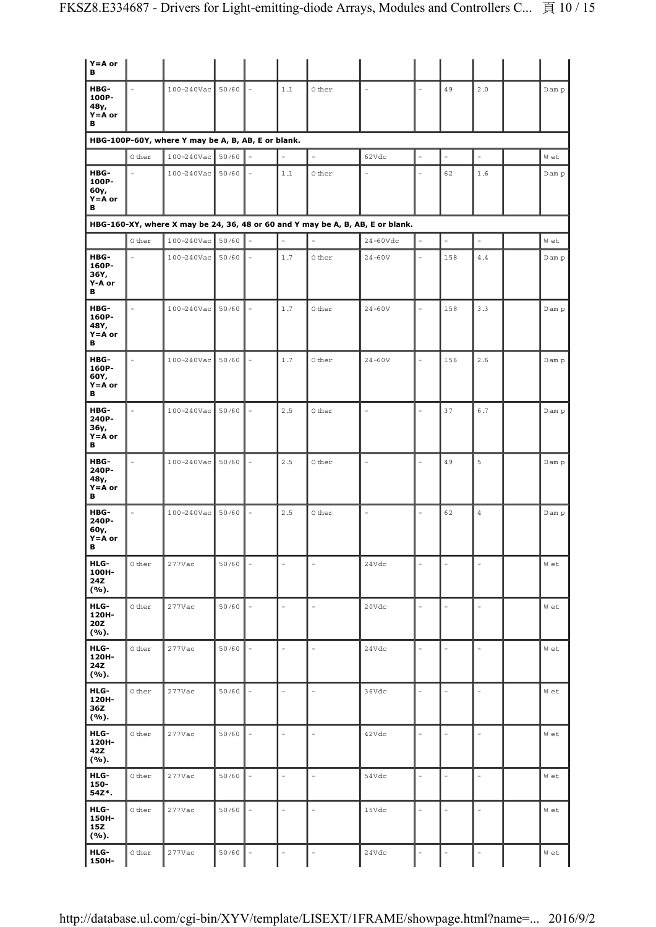| $Y = A$ or<br>в                          |        |                                                    |       |          |                |                |                                                                                |                          |                |                |       |
|------------------------------------------|--------|----------------------------------------------------|-------|----------|----------------|----------------|--------------------------------------------------------------------------------|--------------------------|----------------|----------------|-------|
| HBG-<br>100P-<br>48y,<br>$Y = A$ or<br>в |        | 100-240Vac                                         | 50/60 | $\sim$   | 1.1            | 0 ther         | $\overline{a}$                                                                 | L,                       | 49             | 2.0            | Dam p |
|                                          |        | HBG-100P-60Y, where Y may be A, B, AB, E or blank. |       |          |                |                |                                                                                |                          |                |                |       |
|                                          | 0 ther | 100-240Vac                                         | 50/60 |          |                | $\overline{a}$ | 62Vdc                                                                          | L,                       | $\overline{a}$ | $\overline{a}$ | W et  |
| HBG-<br>100P-<br>60y,<br>$Y = A$ or<br>в |        | $100 - 240$ Vac 50/60                              |       |          | 1.1            | 0 ther         | L,                                                                             |                          | 62             | 1.6            | Dam p |
|                                          |        |                                                    |       |          |                |                | HBG-160-XY, where X may be 24, 36, 48 or 60 and Y may be A, B, AB, E or blank. |                          |                |                |       |
|                                          | 0 ther | $100 - 240$ Vac                                    | 50/60 |          | $\overline{a}$ | $\overline{a}$ | $24-60Vdc$                                                                     |                          | $\overline{a}$ |                | W et  |
| HBG-<br>160P-<br>36Y,<br>Y-A or<br>в     |        | 100-240Vac                                         | 50/60 |          | 1.7            | 0 ther         | $24 - 60V$                                                                     | L                        | 158            | 4.4            | Dam p |
| HBG-<br>160P-<br>48Y,<br>$Y = A$ or<br>в |        | 100-240Vac                                         | 50/60 |          | 1.7            | 0 ther         | $24 - 60V$                                                                     |                          | 158            | 3.3            | Dam p |
| HBG-<br>160P-<br>60Y,<br>$Y = A$ or<br>в |        | $100 - 240$ Vac                                    | 50/60 |          | 1.7            | 0 ther         | $24 - 60V$                                                                     |                          | 156            | 2.6            | Dam p |
| HBG-<br>240P-<br>36y,<br>$Y = A$ or<br>в |        | $100 - 240$ Vac                                    | 50/60 |          | 2.5            | 0 ther         | $\frac{1}{2}$                                                                  |                          | 37             | 6.7            | Dam p |
| HBG-<br>240P-<br>48y,<br>$Y = A$ or<br>в |        | 100-240Vac                                         | 50/60 | $\equiv$ | 2.5            | 0 ther         | $\overline{\phantom{a}}$                                                       |                          | 49             | 5              | Dam p |
| HBG-<br>240P-<br>60y,<br>$Y = A$ or<br>в |        | 100-240Vac                                         | 50/60 |          | 2.5            | 0 ther         | $\equiv$                                                                       |                          | 62             | $\overline{4}$ | Dam p |
| HLG-<br>100H-<br>24Z<br>(%).             | 0 ther | 277Vac                                             | 50/60 |          |                |                | 24Vdc                                                                          |                          |                |                | W et  |
| HLG-<br>120H-<br>20Z<br>(%).             | 0 ther | 277Vac                                             | 50/60 |          |                | L.             | 20Vdc                                                                          | $\overline{\phantom{0}}$ |                | ÷,             | W et  |
| HLG-<br>120H-<br>24Z<br>(%).             | 0 ther | 277Vac                                             | 50/60 |          |                | $\overline{a}$ | 24Vdc                                                                          |                          |                | L.             | W et  |
| HLG-<br>120H-<br>36Z<br>(%).             | 0 ther | 277Vac                                             | 50/60 |          |                | $\overline{a}$ | 36Vdc                                                                          |                          |                | L,             | W et  |
| HLG-<br>120H-<br>42Z<br>(%).             | 0 ther | 277Vac                                             | 50/60 |          | L.             | $\overline{a}$ | 42Vdc                                                                          |                          |                | $\overline{a}$ | W et  |
| HLG-<br>150-<br>54Z*.                    | 0 ther | 277Vac                                             | 50/60 |          | $\overline{a}$ | $\overline{a}$ | 54Vdc                                                                          |                          |                | L.             | W et  |
| HLG-<br>150H-<br>15Z<br>(%).             | 0 ther | 277Vac                                             | 50/60 |          | ÷              | L.             | 15Vdc                                                                          | Ē,                       |                | ÷,             | W et  |
| HLG-<br>150H-                            | 0 ther | 277Vac                                             | 50/60 |          |                | ÷              | 24Vdc                                                                          |                          |                |                | W et  |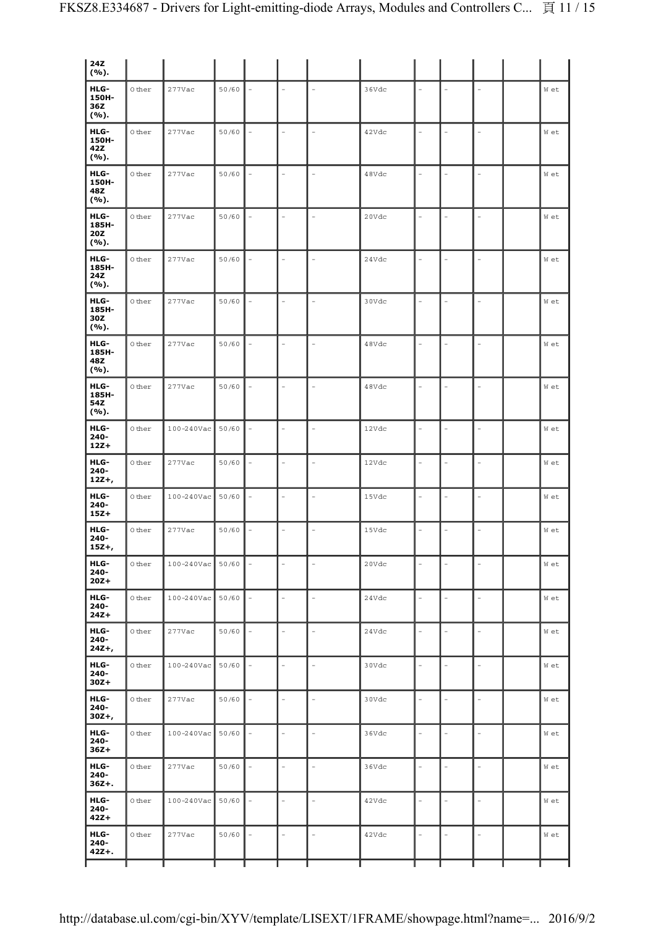| HLG-<br>$\bar{\phantom{a}}$<br>0 ther<br>$277$ Vac<br>50/60<br>36Vdc<br>L,<br>W et<br>150H-<br>36Z<br>(%).<br>HLG-<br>0 ther<br>$277$ Vac<br>50/60<br>42Vdc<br>W et<br>÷,<br>$\frac{1}{2}$<br>$\overline{\phantom{a}}$<br>150H-<br>42Z<br>(%).<br>HLG-<br>$\circ$ ther<br>$\overline{a}$<br>277Vac<br>50/60<br>48Vdc<br>$\overline{\phantom{a}}$<br>W et<br>$\equiv$<br>$\sim$<br>150H-<br>48Z<br>(%).<br>HLG-<br>0 ther<br>277Vac<br>50/60<br>$\bar{ }$<br>20Vdc<br>W et<br>÷,<br>185H-<br>20Z<br>(%).<br>HLG-<br>50/60<br>0 ther<br>277Vac<br>24Vdc<br>$\overline{\phantom{a}}$<br>W et<br>185H-<br>24Z<br>(%).<br>HLG-<br>50/60<br>0 ther<br>277Vac<br>30Vdc<br>$\frac{1}{2}$<br>W et<br>185H-<br>30Z<br>(%).<br>HLG-<br>$\overline{a}$<br>0 ther<br>277Vac<br>50/60<br>$\overline{a}$<br>48Vdc<br>W et<br>$\overline{a}$<br>185H-<br>48Z<br>(%).<br>HLG-<br>0 ther<br>50/60<br>277Vac<br>48Vdc<br>W et<br>$\frac{1}{2}$<br>185H-<br>54Z<br>(%).<br>HLG-<br>0 ther<br>100-240Vac<br>50/60<br>12Vdc<br>W et<br>$\frac{1}{2}$<br>$240 -$<br>$12Z+$<br>HLG-<br>$\overline{a}$<br>0 ther<br>277Vac<br>50/60<br>12Vdc<br>W et<br>L,<br>L.<br>÷,<br>$240 -$<br>$12Z +$<br>HLG-<br>0 ther<br>100-240Vac<br>50/60<br>15Vdc<br>$\frac{1}{2}$<br>W et |
|------------------------------------------------------------------------------------------------------------------------------------------------------------------------------------------------------------------------------------------------------------------------------------------------------------------------------------------------------------------------------------------------------------------------------------------------------------------------------------------------------------------------------------------------------------------------------------------------------------------------------------------------------------------------------------------------------------------------------------------------------------------------------------------------------------------------------------------------------------------------------------------------------------------------------------------------------------------------------------------------------------------------------------------------------------------------------------------------------------------------------------------------------------------------------------------------------------------------------------------------|
|                                                                                                                                                                                                                                                                                                                                                                                                                                                                                                                                                                                                                                                                                                                                                                                                                                                                                                                                                                                                                                                                                                                                                                                                                                                |
|                                                                                                                                                                                                                                                                                                                                                                                                                                                                                                                                                                                                                                                                                                                                                                                                                                                                                                                                                                                                                                                                                                                                                                                                                                                |
|                                                                                                                                                                                                                                                                                                                                                                                                                                                                                                                                                                                                                                                                                                                                                                                                                                                                                                                                                                                                                                                                                                                                                                                                                                                |
|                                                                                                                                                                                                                                                                                                                                                                                                                                                                                                                                                                                                                                                                                                                                                                                                                                                                                                                                                                                                                                                                                                                                                                                                                                                |
|                                                                                                                                                                                                                                                                                                                                                                                                                                                                                                                                                                                                                                                                                                                                                                                                                                                                                                                                                                                                                                                                                                                                                                                                                                                |
|                                                                                                                                                                                                                                                                                                                                                                                                                                                                                                                                                                                                                                                                                                                                                                                                                                                                                                                                                                                                                                                                                                                                                                                                                                                |
|                                                                                                                                                                                                                                                                                                                                                                                                                                                                                                                                                                                                                                                                                                                                                                                                                                                                                                                                                                                                                                                                                                                                                                                                                                                |
|                                                                                                                                                                                                                                                                                                                                                                                                                                                                                                                                                                                                                                                                                                                                                                                                                                                                                                                                                                                                                                                                                                                                                                                                                                                |
|                                                                                                                                                                                                                                                                                                                                                                                                                                                                                                                                                                                                                                                                                                                                                                                                                                                                                                                                                                                                                                                                                                                                                                                                                                                |
|                                                                                                                                                                                                                                                                                                                                                                                                                                                                                                                                                                                                                                                                                                                                                                                                                                                                                                                                                                                                                                                                                                                                                                                                                                                |
| $240 -$<br>$15Z+$                                                                                                                                                                                                                                                                                                                                                                                                                                                                                                                                                                                                                                                                                                                                                                                                                                                                                                                                                                                                                                                                                                                                                                                                                              |
| HLG-<br>0 ther<br>277Vac<br>50/60<br>15Vdc<br>$\frac{1}{2}$<br>$\equiv$<br>W et<br>÷,<br>$\overline{\phantom{a}}$<br>$\overline{a}$<br>$240 -$<br>$15Z +$ ,                                                                                                                                                                                                                                                                                                                                                                                                                                                                                                                                                                                                                                                                                                                                                                                                                                                                                                                                                                                                                                                                                    |
| HLG-<br>$\circ$ ther<br>$100 - 240$ Vac<br>50/60<br>20Vdc<br>W et<br>$\equiv$<br>L.<br>$\equiv$<br>$240 -$<br>$20Z+$                                                                                                                                                                                                                                                                                                                                                                                                                                                                                                                                                                                                                                                                                                                                                                                                                                                                                                                                                                                                                                                                                                                           |
| HLG-<br>$\bar{\phantom{a}}$<br>50/60<br>0 ther<br>$100 - 240$ Vac<br>L,<br>24Vdc<br>W et<br>$240 -$<br>$24Z+$                                                                                                                                                                                                                                                                                                                                                                                                                                                                                                                                                                                                                                                                                                                                                                                                                                                                                                                                                                                                                                                                                                                                  |
| HLG-<br>$\frac{1}{2}$<br>50/60<br>0 ther<br>277Vac<br>$\overline{a}$<br>24Vdc<br>W et<br>$\overline{a}$<br>$240 -$<br>$24Z +$                                                                                                                                                                                                                                                                                                                                                                                                                                                                                                                                                                                                                                                                                                                                                                                                                                                                                                                                                                                                                                                                                                                  |
| HLG-<br>50/60<br>0 ther<br>$100 - 240$ Vac<br>30Vdc<br>W et<br>$\overline{a}$<br>$\overline{\phantom{a}}$<br>-<br>$\overline{\phantom{0}}$<br>$240 -$<br>$30Z +$                                                                                                                                                                                                                                                                                                                                                                                                                                                                                                                                                                                                                                                                                                                                                                                                                                                                                                                                                                                                                                                                               |
| HLG-<br>50/60<br>0 ther<br>277Vac<br>30Vdc<br>W et<br>L.<br>$\overline{\phantom{a}}$<br>$\equiv$<br>$\overline{a}$<br>240-<br>$30Z +$ ,                                                                                                                                                                                                                                                                                                                                                                                                                                                                                                                                                                                                                                                                                                                                                                                                                                                                                                                                                                                                                                                                                                        |
| HLG-<br>0 ther<br>100-240Vac<br>50/60<br>36Vdc<br>$\blacksquare$<br>W et<br>$\overline{a}$<br>$240 -$<br>$36Z+$                                                                                                                                                                                                                                                                                                                                                                                                                                                                                                                                                                                                                                                                                                                                                                                                                                                                                                                                                                                                                                                                                                                                |
| HLG-<br>50/60<br>0 ther<br>277Vac<br>$\bar{ }$<br>36Vdc<br>W et<br>L.<br>L<br>$240 -$<br>$36Z + .$                                                                                                                                                                                                                                                                                                                                                                                                                                                                                                                                                                                                                                                                                                                                                                                                                                                                                                                                                                                                                                                                                                                                             |
| HLG-<br>0 ther<br>50/60<br>100-240Vac<br>42Vdc<br>$\frac{1}{2}$<br>$\equiv$<br>W et<br>÷,<br>$\overline{\phantom{a}}$<br>$\overline{a}$<br>$240 -$<br>$42Z+$                                                                                                                                                                                                                                                                                                                                                                                                                                                                                                                                                                                                                                                                                                                                                                                                                                                                                                                                                                                                                                                                                   |
| HLG-<br>50/60<br>$\omega$<br>0 ther<br>277Vac<br>42Vdc<br>$\equiv$<br>$\overline{a}$<br>$\overline{\phantom{a}}$<br>W et<br>$240 -$<br>$42Z + .$                                                                                                                                                                                                                                                                                                                                                                                                                                                                                                                                                                                                                                                                                                                                                                                                                                                                                                                                                                                                                                                                                               |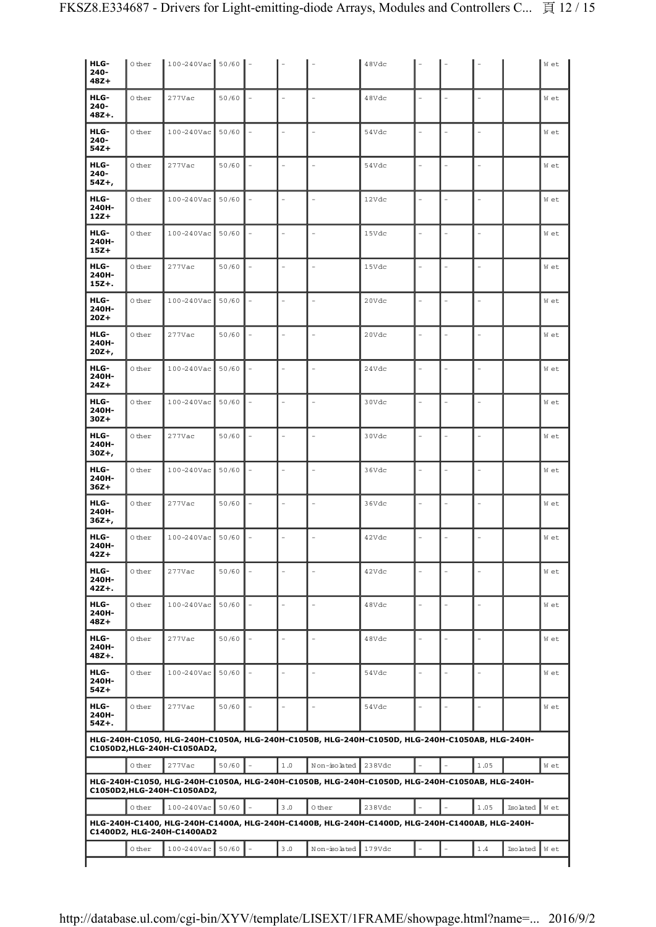| HLG-<br>$240 -$<br>$48Z+$  | 0 ther | $100 - 240$ Vac 50/60      |       |                          |                          | 48Vdc                                                                                          |                |      |          | W et |
|----------------------------|--------|----------------------------|-------|--------------------------|--------------------------|------------------------------------------------------------------------------------------------|----------------|------|----------|------|
| HLG-<br>$240 -$<br>$48Z +$ | 0 ther | 277Vac                     | 50/60 |                          |                          | 48Vdc                                                                                          |                |      |          | W et |
| HLG-<br>$240 -$<br>$54Z+$  | 0 ther | 100-240Vac                 | 50/60 | ÷,                       | $\equiv$                 | 54Vdc                                                                                          | ۳              |      |          | W et |
| HLG-<br>$240 -$<br>54Z+,   | Other  | 277Vac                     | 50/60 |                          | $\overline{\phantom{a}}$ | 54Vdc                                                                                          | $\equiv$       |      |          | W et |
| HLG-<br>240H-<br>$12Z+$    | 0 ther | 100-240Vac                 | 50/60 | $\sim$                   | $\equiv$                 | 12Vdc                                                                                          | ۳              |      |          | W et |
| HLG-<br>240H-<br>$15Z+$    | 0 ther | 100-240Vac                 | 50/60 |                          | ÷,                       | 15Vdc                                                                                          |                |      |          | W et |
| HLG-<br>240H-<br>$15Z +$   | 0 ther | 277Vac                     | 50/60 | $\overline{a}$           | $\overline{a}$           | 15Vdc                                                                                          |                |      |          | W et |
| HLG-<br>240H-<br>$20Z+$    | 0 ther | 100-240Vac                 | 50/60 |                          | $\overline{a}$           | 20Vdc                                                                                          |                |      |          | W et |
| HLG-<br>240H-<br>$20Z +$ , | 0 ther | $277$ Vac                  | 50/60 |                          |                          | 20Vdc                                                                                          |                |      |          | W et |
| HLG-<br>240H-<br>$24Z+$    | 0 ther | 100-240Vac                 | 50/60 |                          |                          | 24Vdc                                                                                          |                |      |          | W et |
| HLG-<br>240H-<br>$30Z +$   | 0 ther | 100-240Vac                 | 50/60 | L.                       | $\overline{a}$           | 30Vdc                                                                                          |                |      |          | W et |
| HLG-<br>240H-<br>30Z+,     | 0 ther | 277Vac                     | 50/60 | ÷,                       | $\sim$                   | 30Vdc                                                                                          |                |      |          | W et |
| HLG-<br>240H-<br>$36Z+$    | 0 ther | 100-240Vac                 | 50/60 | L.                       | $\overline{a}$           | 36Vdc                                                                                          | $\overline{a}$ |      |          | W et |
| HLG-<br>240H-<br>$36Z +$   | 0 ther | 277Vac                     | 50/60 | $\overline{\phantom{a}}$ | $\equiv$                 | 36Vdc                                                                                          |                |      |          | W et |
| HLG-<br>240H-<br>$42Z+$    | 0 ther | 100-240Vac                 | 50/60 |                          | $\overline{a}$           | 42Vdc                                                                                          |                |      |          | W et |
| HLG-<br>240H-<br>$42Z +$   | 0 ther | $277$ Vac                  | 50/60 |                          | $\equiv$                 | 42Vdc                                                                                          |                |      |          | W et |
| HLG-<br>240H-<br>$48Z +$   | 0 ther | 100-240Vac                 | 50/60 |                          | $\bar{a}$                | 48Vdc                                                                                          |                |      |          | W et |
| HLG-<br>240H-<br>$48Z +$   | 0 ther | $277$ Vac                  | 50/60 |                          | $\equiv$                 | 48Vdc                                                                                          |                |      |          | W et |
| HLG-<br>240H-<br>54Z+      | 0 ther | 100-240Vac                 | 50/60 | L.                       | $\overline{a}$           | 54Vdc                                                                                          |                |      |          | W et |
| HLG-<br>240H-<br>$54Z +$   | 0 ther | $277$ Vac                  | 50/60 | $\overline{a}$           | $\overline{a}$           | 54Vdc                                                                                          | ۳              |      |          | W et |
|                            |        | C1050D2,HLG-240H-C1050AD2, |       |                          |                          | HLG-240H-C1050, HLG-240H-C1050A, HLG-240H-C1050B, HLG-240H-C1050D, HLG-240H-C1050AB, HLG-240H- |                |      |          |      |
|                            | 0 ther | $277$ Vac                  | 50/60 | 1.0                      | Non-isolated             | 238Vdc                                                                                         |                | 1.05 |          | W et |
|                            |        | C1050D2,HLG-240H-C1050AD2, |       |                          |                          | HLG-240H-C1050, HLG-240H-C1050A, HLG-240H-C1050B, HLG-240H-C1050D, HLG-240H-C1050AB, HLG-240H- |                |      |          |      |
|                            | 0 ther | 100-240Vac                 | 50/60 | 3.0                      | 0 ther                   | 238Vdc                                                                                         |                | 1.05 | Isolated | W et |
|                            |        | C1400D2, HLG-240H-C1400AD2 |       |                          |                          | HLG-240H-C1400, HLG-240H-C1400A, HLG-240H-C1400B, HLG-240H-C1400D, HLG-240H-C1400AB, HLG-240H- |                |      |          |      |
|                            | 0 ther | 100-240Vac                 | 50/60 | 3.0                      | Non-isolated             | 179Vdc                                                                                         |                | 1.4  | Isolated | W et |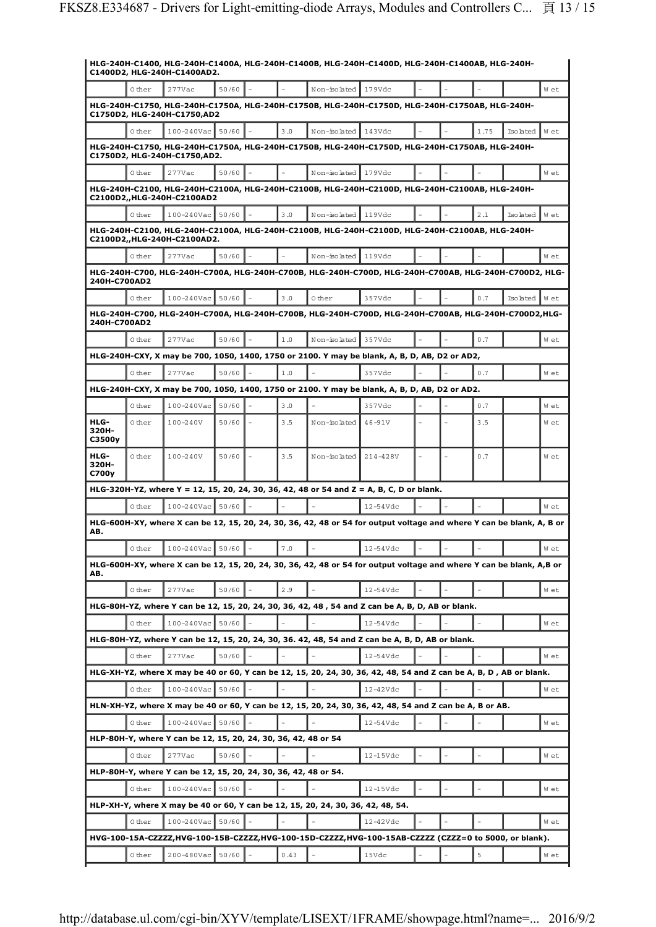|                                    |        | C1400D2, HLG-240H-C1400AD2.                                              |         |         |                                                                                 | HLG-240H-C1400, HLG-240H-C1400A, HLG-240H-C1400B, HLG-240H-C1400D, HLG-240H-C1400AB, HLG-240H-                        |  |      |          |      |
|------------------------------------|--------|--------------------------------------------------------------------------|---------|---------|---------------------------------------------------------------------------------|-----------------------------------------------------------------------------------------------------------------------|--|------|----------|------|
|                                    | 0 ther | $277$ Vac                                                                | 50/60   |         | Non-isolated                                                                    | 179Vdc                                                                                                                |  |      |          | W et |
|                                    |        | C1750D2, HLG-240H-C1750,AD2                                              |         |         |                                                                                 | HLG-240H-C1750, HLG-240H-C1750A, HLG-240H-C1750B, HLG-240H-C1750D, HLG-240H-C1750AB, HLG-240H-                        |  |      |          |      |
|                                    | 0 ther | 100-240Vac                                                               | 50/60   | 3.0     | Non-isolated                                                                    | 143Vdc                                                                                                                |  | 1.75 | Isolated | W et |
|                                    |        |                                                                          |         |         |                                                                                 | HLG-240H-C1750, HLG-240H-C1750A, HLG-240H-C1750B, HLG-240H-C1750D, HLG-240H-C1750AB, HLG-240H-                        |  |      |          |      |
|                                    |        | C1750D2, HLG-240H-C1750,AD2.                                             |         |         |                                                                                 |                                                                                                                       |  |      |          |      |
|                                    | 0 ther | $277$ Vac                                                                | 50/60   |         | Non-isolated 179Vdc                                                             |                                                                                                                       |  |      |          | W et |
|                                    |        | C2100D2,,HLG-240H-C2100AD2                                               |         |         |                                                                                 | HLG-240H-C2100, HLG-240H-C2100A, HLG-240H-C2100B, HLG-240H-C2100D, HLG-240H-C2100AB, HLG-240H-                        |  |      |          |      |
|                                    | 0 ther | $100 - 240$ Vac                                                          | 50/60   | 3.0     | Non-isolated 119Vdc                                                             |                                                                                                                       |  | 2.1  | Isolated | W et |
|                                    |        | C2100D2,,HLG-240H-C2100AD2.                                              |         |         |                                                                                 | HLG-240H-C2100, HLG-240H-C2100A, HLG-240H-C2100B, HLG-240H-C2100D, HLG-240H-C2100AB, HLG-240H-                        |  |      |          |      |
|                                    | 0 ther | 277Vac                                                                   | 50/60   |         | Non-isolated 119Vdc                                                             |                                                                                                                       |  |      |          | W et |
|                                    |        |                                                                          |         |         |                                                                                 | HLG-240H-C700, HLG-240H-C700A, HLG-240H-C700B, HLG-240H-C700D, HLG-240H-C700AB, HLG-240H-C700D2, HLG-                 |  |      |          |      |
| 240H-C700AD2                       |        |                                                                          |         |         |                                                                                 |                                                                                                                       |  |      |          |      |
|                                    | 0 ther | 100-240Vac                                                               | 50/60   | 3.0     | 0 ther                                                                          | 357Vdc                                                                                                                |  | 0.7  | Isolated | W et |
| 240H-C700AD2                       |        |                                                                          |         |         |                                                                                 | HLG-240H-C700, HLG-240H-C700A, HLG-240H-C700B, HLG-240H-C700D, HLG-240H-C700AB, HLG-240H-C700D2,HLG-                  |  |      |          |      |
|                                    | 0 ther | 277Vac                                                                   | 50/60   | 1.0     | Non-isolated                                                                    | 357Vdc                                                                                                                |  | 0.7  |          | W et |
|                                    |        |                                                                          |         |         |                                                                                 | HLG-240H-CXY, X may be 700, 1050, 1400, 1750 or 2100. Y may be blank, A, B, D, AB, D2 or AD2,                         |  |      |          |      |
|                                    | 0 ther | $277$ Vac                                                                | 50/60   | 1.0     |                                                                                 | 357Vdc                                                                                                                |  | 0.7  |          | W et |
|                                    |        |                                                                          |         |         |                                                                                 | HLG-240H-CXY, X may be 700, 1050, 1400, 1750 or 2100. Y may be blank, A, B, D, AB, D2 or AD2.                         |  |      |          |      |
|                                    | 0 ther | 100-240Vac                                                               | 50/60   | 3.0     |                                                                                 | 357Vdc                                                                                                                |  | 0.7  |          | W et |
| HLG-<br>320H-<br>C3500y            | 0 ther | 100-240V                                                                 | 50/60   | 3.5     | Non-isolated                                                                    | $46 - 91V$                                                                                                            |  | 3.5  |          | W et |
| HLG-<br>320H-<br>C700 <sub>V</sub> | 0 ther | 100-240V                                                                 | 50/60   | 3.5     | Non-isolated                                                                    | 214-428V                                                                                                              |  | 0.7  |          | W et |
|                                    |        |                                                                          |         |         |                                                                                 | HLG-320H-YZ, where Y = 12, 15, 20, 24, 30, 36, 42, 48 or 54 and Z = A, B, C, D or blank.                              |  |      |          |      |
|                                    | 0 ther | 100-240Vac                                                               | 50/60   |         |                                                                                 | $12 - 54$ Vdc                                                                                                         |  |      |          | W et |
| AB.                                |        |                                                                          |         |         |                                                                                 | HLG-600H-XY, where X can be 12, 15, 20, 24, 30, 36, 42, 48 or 54 for output voltage and where Y can be blank, A, B or |  |      |          |      |
|                                    | 0 ther | $100 - 240$ Vac                                                          | $50/60$ | $7\ .0$ |                                                                                 | 12-54Vdc                                                                                                              |  |      |          | W et |
| AB.                                |        |                                                                          |         |         |                                                                                 | HLG-600H-XY, where X can be 12, 15, 20, 24, 30, 36, 42, 48 or 54 for output voltage and where Y can be blank, A,B or  |  |      |          |      |
|                                    | 0 ther | 277Vac                                                                   | 50/60   | 2.9     |                                                                                 | $12 - 54$ Vdc                                                                                                         |  |      |          | W et |
|                                    |        |                                                                          |         |         |                                                                                 | HLG-80H-YZ, where Y can be 12, 15, 20, 24, 30, 36, 42, 48, 54 and Z can be A, B, D, AB or blank.                      |  |      |          |      |
|                                    | 0 ther | 100-240Vac                                                               | 50/60   |         |                                                                                 | $12 - 54$ Vdc                                                                                                         |  |      |          | W et |
|                                    |        |                                                                          |         |         |                                                                                 | HLG-80H-YZ, where Y can be 12, 15, 20, 24, 30, 36. 42, 48, 54 and Z can be A, B, D, AB or blank.                      |  |      |          |      |
|                                    | 0 ther | 277Vac                                                                   | 50/60   |         |                                                                                 | $12 - 54$ Vdc                                                                                                         |  |      |          | W et |
|                                    |        |                                                                          |         |         |                                                                                 | HLG-XH-YZ, where X may be 40 or 60, Y can be 12, 15, 20, 24, 30, 36, 42, 48, 54 and Z can be A, B, D, AB or blank.    |  |      |          |      |
|                                    | 0 ther | 100-240Vac                                                               | 50/60   |         |                                                                                 | 12-42Vdc                                                                                                              |  |      |          | W et |
|                                    |        |                                                                          |         |         |                                                                                 | HLN-XH-YZ, where X may be 40 or 60, Y can be 12, 15, 20, 24, 30, 36, 42, 48, 54 and Z can be A, B or AB.              |  |      |          |      |
|                                    | 0 ther | 100-240Vac                                                               | 50/60   |         |                                                                                 | $12 - 54$ Vdc                                                                                                         |  |      |          | W et |
|                                    | 0 ther | HLP-80H-Y, where Y can be 12, 15, 20, 24, 30, 36, 42, 48 or 54<br>277Vac | 50/60   |         |                                                                                 | 12-15Vdc                                                                                                              |  |      |          | W et |
|                                    |        | HLP-80H-Y, where Y can be 12, 15, 20, 24, 30, 36, 42, 48 or 54.          |         |         |                                                                                 |                                                                                                                       |  |      |          |      |
|                                    | 0 ther | 100-240Vac                                                               | 50/60   |         |                                                                                 | 12-15Vdc                                                                                                              |  |      |          | W et |
|                                    |        |                                                                          |         |         | HLP-XH-Y, where X may be 40 or 60, Y can be 12, 15, 20, 24, 30, 36, 42, 48, 54. |                                                                                                                       |  |      |          |      |
|                                    | 0 ther | 100-240Vac                                                               | 50/60   |         |                                                                                 | 12-42Vdc                                                                                                              |  |      |          | W et |
|                                    |        |                                                                          |         |         |                                                                                 | HVG-100-15A-CZZZZ,HVG-100-15B-CZZZZ,HVG-100-15D-CZZZZ,HVG-100-15AB-CZZZZ (CZZZ=0 to 5000, or blank).                  |  |      |          |      |
|                                    | 0 ther | 200-480Vac                                                               | 50/60   | 0.43    |                                                                                 | 15Vdc                                                                                                                 |  | 5    |          | W et |
|                                    |        |                                                                          |         |         |                                                                                 |                                                                                                                       |  |      |          |      |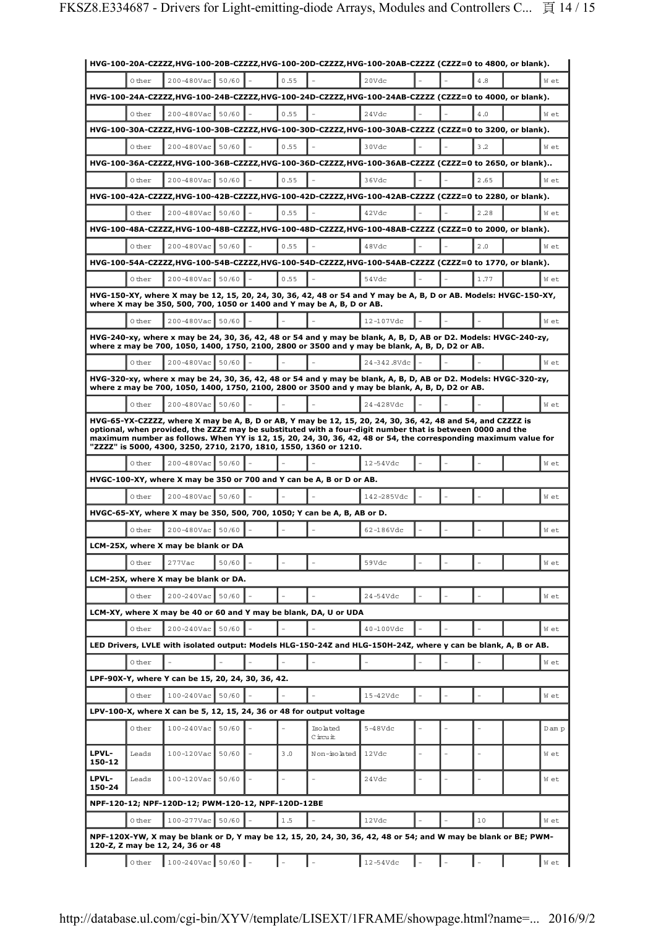|                 |        |                                                    |       |      |                                                                         | HVG-100-20A-CZZZZ,HVG-100-20B-CZZZZ,HVG-100-20D-CZZZZ,HVG-100-20AB-CZZZZ (CZZZ=0 to 4800, or blank).                                                                                                                                                                                                                                         |  |      |        |
|-----------------|--------|----------------------------------------------------|-------|------|-------------------------------------------------------------------------|----------------------------------------------------------------------------------------------------------------------------------------------------------------------------------------------------------------------------------------------------------------------------------------------------------------------------------------------|--|------|--------|
|                 | 0 ther | 200-480Vac                                         | 50/60 | 0.55 |                                                                         | 20Vdc                                                                                                                                                                                                                                                                                                                                        |  | 4.8  | W et   |
|                 |        |                                                    |       |      |                                                                         | HVG-100-24A-CZZZZ,HVG-100-24B-CZZZZ,HVG-100-24D-CZZZZ,HVG-100-24AB-CZZZZ (CZZZ=0 to 4000, or blank).                                                                                                                                                                                                                                         |  |      |        |
|                 | 0 ther | 200-480Vac                                         | 50/60 | 0.55 |                                                                         | 24Vdc                                                                                                                                                                                                                                                                                                                                        |  | 4.0  | W et   |
|                 |        |                                                    |       |      |                                                                         | HVG-100-30A-CZZZZ,HVG-100-30B-CZZZZ,HVG-100-30D-CZZZZ,HVG-100-30AB-CZZZZ (CZZZ=0 to 3200, or blank).                                                                                                                                                                                                                                         |  |      |        |
|                 | 0 ther | 200-480Vac                                         | 50/60 | 0.55 |                                                                         | 30Vdc                                                                                                                                                                                                                                                                                                                                        |  | 3.2  | W et   |
|                 |        |                                                    |       |      |                                                                         | HVG-100-36A-CZZZZ,HVG-100-36B-CZZZZ,HVG-100-36D-CZZZZ,HVG-100-36AB-CZZZZ (CZZZ=0 to 2650, or blank)                                                                                                                                                                                                                                          |  |      |        |
|                 | 0 ther | 200-480Vac                                         | 50/60 | 0.55 |                                                                         | 36Vdc                                                                                                                                                                                                                                                                                                                                        |  | 2.65 | W et   |
|                 |        |                                                    |       |      |                                                                         | HVG-100-42A-CZZZZ,HVG-100-42B-CZZZZ,HVG-100-42D-CZZZZ,HVG-100-42AB-CZZZZ (CZZZ=0 to 2280, or blank).                                                                                                                                                                                                                                         |  |      |        |
|                 | 0 ther | 200-480Vac                                         | 50/60 | 0.55 |                                                                         | 42Vdc                                                                                                                                                                                                                                                                                                                                        |  | 2.28 | W et   |
|                 |        |                                                    |       |      |                                                                         | HVG-100-48A-CZZZZ,HVG-100-48B-CZZZZ,HVG-100-48D-CZZZZ,HVG-100-48AB-CZZZZ (CZZZ=0 to 2000, or blank).                                                                                                                                                                                                                                         |  |      |        |
|                 | 0 ther | 200-480Vac                                         | 50/60 | 0.55 |                                                                         | 48Vdc                                                                                                                                                                                                                                                                                                                                        |  | 2.0  | W et   |
|                 |        |                                                    |       |      |                                                                         | HVG-100-54A-CZZZZ,HVG-100-54B-CZZZZ,HVG-100-54D-CZZZZ,HVG-100-54AB-CZZZZ (CZZZ=0 to 1770, or blank).                                                                                                                                                                                                                                         |  |      |        |
|                 | 0 ther | 200-480Vac                                         | 50/60 | 0.55 |                                                                         | 54Vdc                                                                                                                                                                                                                                                                                                                                        |  | 1.77 | W et   |
|                 |        |                                                    |       |      |                                                                         | HVG-150-XY, where X may be 12, 15, 20, 24, 30, 36, 42, 48 or 54 and Y may be A, B, D or AB. Models: HVGC-150-XY,                                                                                                                                                                                                                             |  |      |        |
|                 |        |                                                    |       |      | where X may be 350, 500, 700, 1050 or 1400 and Y may be A, B, D or AB.  |                                                                                                                                                                                                                                                                                                                                              |  |      |        |
|                 | 0 ther | $200 - 480$ Vac                                    | 50/60 |      |                                                                         | 12-107Vdc                                                                                                                                                                                                                                                                                                                                    |  |      | W et   |
|                 |        |                                                    |       |      |                                                                         | HVG-240-xy, where x may be 24, 30, 36, 42, 48 or 54 and y may be blank, A, B, D, AB or D2. Models: HVGC-240-zy,<br>where z may be 700, 1050, 1400, 1750, 2100, 2800 or 3500 and y may be blank, A, B, D, D2 or AB.                                                                                                                           |  |      |        |
|                 | 0 ther | 200-480Vac                                         | 50/60 |      |                                                                         | 24-342.8Vdc                                                                                                                                                                                                                                                                                                                                  |  |      | W et   |
|                 |        |                                                    |       |      |                                                                         | HVG-320-xy, where x may be 24, 30, 36, 42, 48 or 54 and y may be blank, A, B, D, AB or D2. Models: HVGC-320-zy,                                                                                                                                                                                                                              |  |      |        |
|                 |        |                                                    |       |      |                                                                         | where z may be 700, 1050, 1400, 1750, 2100, 2800 or 3500 and y may be blank, A, B, D, D2 or AB.                                                                                                                                                                                                                                              |  |      |        |
|                 | 0 ther | 200-480Vac                                         | 50/60 |      |                                                                         | 24-428Vdc                                                                                                                                                                                                                                                                                                                                    |  |      | W et   |
|                 |        |                                                    |       |      | "ZZZZ" is 5000, 4300, 3250, 2710, 2170, 1810, 1550, 1360 or 1210.       | HVG-65-YX-CZZZZ, where X may be A, B, D or AB, Y may be 12, 15, 20, 24, 30, 36, 42, 48 and 54, and CZZZZ is<br>optional, when provided, the ZZZZ may be substituted with a four-digit number that is between 0000 and the<br>maximum number as follows. When YY is 12, 15, 20, 24, 30, 36, 42, 48 or 54, the corresponding maximum value for |  |      |        |
|                 | 0 ther | 200-480Vac                                         | 50/60 |      |                                                                         | $12 - 54$ Vdc                                                                                                                                                                                                                                                                                                                                |  |      | W et   |
|                 |        |                                                    |       |      | HVGC-100-XY, where X may be 350 or 700 and Y can be A, B or D or AB.    |                                                                                                                                                                                                                                                                                                                                              |  |      |        |
|                 | 0 ther | 200-480Vac                                         | 50/60 |      |                                                                         | 142-285Vdc                                                                                                                                                                                                                                                                                                                                   |  |      | W et   |
|                 |        |                                                    |       |      | HVGC-65-XY, where X may be 350, 500, 700, 1050; Y can be A, B, AB or D. |                                                                                                                                                                                                                                                                                                                                              |  |      |        |
|                 | 0 ther | 200-480Vac                                         | 50/60 |      |                                                                         | 62-186Vdc                                                                                                                                                                                                                                                                                                                                    |  |      | W et   |
|                 |        | LCM-25X, where X may be blank or DA                |       |      |                                                                         |                                                                                                                                                                                                                                                                                                                                              |  |      |        |
|                 | 0 ther | 277Vac                                             | 50/60 |      |                                                                         | 59Vdc                                                                                                                                                                                                                                                                                                                                        |  |      | W et   |
|                 |        | LCM-25X, where X may be blank or DA.               |       |      |                                                                         |                                                                                                                                                                                                                                                                                                                                              |  |      |        |
|                 | 0 ther | 200-240Vac                                         | 50/60 |      |                                                                         | $24-54Vdc$                                                                                                                                                                                                                                                                                                                                   |  |      | W et   |
|                 |        |                                                    |       |      | LCM-XY, where X may be 40 or 60 and Y may be blank, DA, U or UDA        |                                                                                                                                                                                                                                                                                                                                              |  |      |        |
|                 | Other  | 200-240Vac                                         | 50/60 |      |                                                                         | 40-100Vdc                                                                                                                                                                                                                                                                                                                                    |  |      | W et   |
|                 |        |                                                    |       |      |                                                                         | LED Drivers, LVLE with isolated output: Models HLG-150-24Z and HLG-150H-24Z, where y can be blank, A, B or AB.                                                                                                                                                                                                                               |  |      |        |
|                 | 0 ther |                                                    |       |      |                                                                         |                                                                                                                                                                                                                                                                                                                                              |  |      | W et   |
|                 |        | LPF-90X-Y, where Y can be 15, 20, 24, 30, 36, 42.  |       |      |                                                                         |                                                                                                                                                                                                                                                                                                                                              |  |      |        |
|                 | 0 ther | 100-240Vac                                         | 50/60 |      |                                                                         | $15-42Vdc$                                                                                                                                                                                                                                                                                                                                   |  |      | W et   |
|                 |        |                                                    |       |      | LPV-100-X, where X can be 5, 12, 15, 24, 36 or 48 for output voltage    |                                                                                                                                                                                                                                                                                                                                              |  |      |        |
|                 | 0 ther | 100-240Vac                                         | 50/60 |      | Isolated                                                                | $5-48Vdc$                                                                                                                                                                                                                                                                                                                                    |  |      | D am p |
|                 |        |                                                    |       |      | Circuit                                                                 |                                                                                                                                                                                                                                                                                                                                              |  |      |        |
| LPVL-<br>150-12 | Leads  | $100 - 120$ Vac                                    | 50/60 | 3.0  | Non-isolated                                                            | 12Vdc                                                                                                                                                                                                                                                                                                                                        |  |      | W et   |
| LPVL-<br>150-24 | Leads  | 100-120Vac 50/60                                   |       |      |                                                                         | 24Vdc                                                                                                                                                                                                                                                                                                                                        |  |      | W et   |
|                 |        | NPF-120-12; NPF-120D-12; PWM-120-12, NPF-120D-12BE |       |      |                                                                         |                                                                                                                                                                                                                                                                                                                                              |  |      |        |
|                 | 0 ther | 100-277Vac                                         | 50/60 | 1.5  |                                                                         | 12Vdc                                                                                                                                                                                                                                                                                                                                        |  | 10   | W et   |
|                 |        | 120-Z, Z may be 12, 24, 36 or 48                   |       |      |                                                                         | NPF-120X-YW, X may be blank or D, Y may be 12, 15, 20, 24, 30, 36, 42, 48 or 54; and W may be blank or BE; PWM-                                                                                                                                                                                                                              |  |      |        |
|                 | 0 ther | $100 - 240$ Vac 50/60 -                            |       |      |                                                                         | 12-54Vdc                                                                                                                                                                                                                                                                                                                                     |  |      | W et   |